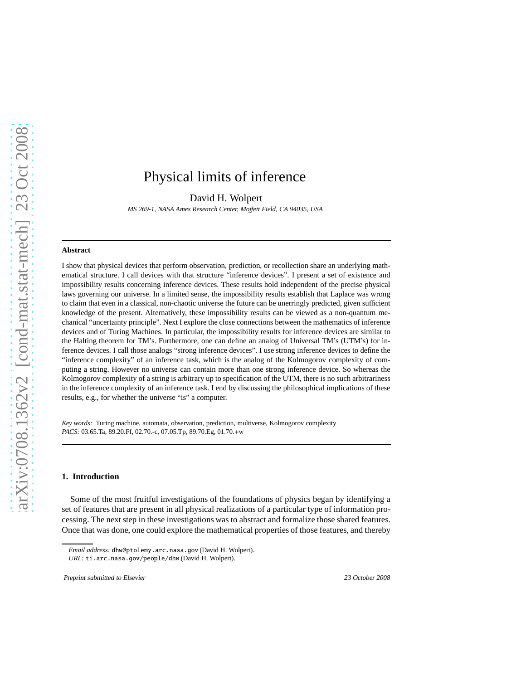# Physical limits of inference

David H. Wolpert

*MS 269-1, NASA Ames Research Center, Mo*ff*ett Field, CA 94035, USA*

## **Abstract**

I show that physical devices that perform observation, prediction, or recollection share an underlying mathematical structure. I call devices with that structure "inference devices". I present a set of existence and impossibility results concerning inference devices. These results hold independent of the precise physical laws governing our universe. In a limited sense, the impossibility results establish that Laplace was wrong to claim that even in a classical, non-chaotic universe the future can be unerringly predicted, given sufficient knowledge of the present. Alternatively, these impossibility results can be viewed as a non-quantum mechanical "uncertainty principle". Next I explore the close connections between the mathematics of inference devices and of Turing Machines. In particular, the impossibility results for inference devices are similar to the Halting theorem for TM's. Furthermore, one can define an analog of Universal TM's (UTM's) for inference devices. I call those analogs "strong inference devices". I use strong inference devices to define the "inference complexity" of an inference task, which is the analog of the Kolmogorov complexity of computing a string. However no universe can contain more than one strong inference device. So whereas the Kolmogorov complexity of a string is arbitrary up to specification of the UTM, there is no such arbitrariness in the inference complexity of an inference task. I end by discussing the philosophical implications of these results, e.g., for whether the universe "is" a computer.

*Key words:* Turing machine, automata, observation, prediction, multiverse, Kolmogorov complexity *PACS:* 03.65.Ta, 89.20.Ff, 02.70.-c, 07.05.Tp, 89.70.Eg, 01.70.+w

# **1. Introduction**

Some of the most fruitful investigations of the foundations of physics began by identifying a set of features that are present in all physical realizations of a particular type of information processing. The next step in these investigations was to abstract and formalize those shared features. Once that was done, one could explore the mathematical properties of those features, and thereby

*Email address:* dhw@ptolemy.arc.nasa.gov (David H. Wolpert).

*URL:* ti.arc.nasa.gov/people/dhw (David H. Wolpert).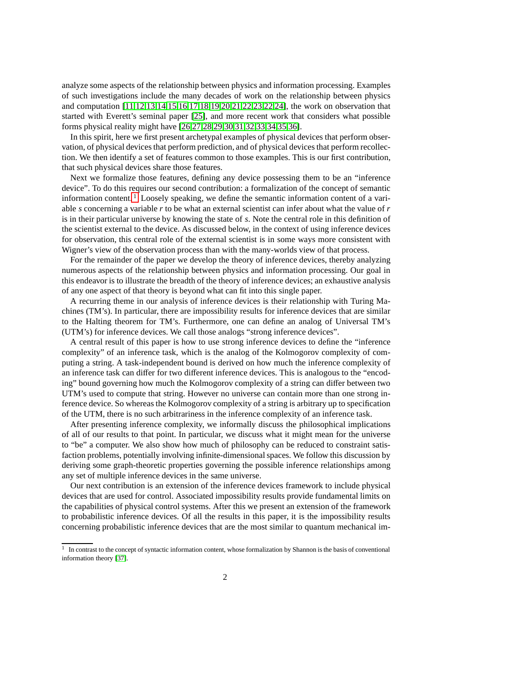analyze some aspects of the relationship between physics and information processing. Examples of such investigations include the many decades of work on the relationship between physics and computation [\[11,](#page-41-0)[12,](#page-41-1)[13](#page-41-2)[,14](#page-41-3)[,15](#page-41-4)[,16](#page-41-5)[,17](#page-41-6)[,18](#page-41-7)[,19,](#page-41-8)[20,](#page-41-9)[21,](#page-41-10)[22,](#page-41-11)[23,](#page-41-12)[22](#page-41-11)[,24\]](#page-41-13), the work on observation that started with Everett's seminal paper [\[25\]](#page-41-14), and more recent work that considers what possible forms physical reality might have [\[26](#page-41-15)[,27](#page-41-16)[,28,](#page-41-17)[29,](#page-41-18)[30,](#page-41-19)[31,](#page-41-20)[32,](#page-41-21)[33,](#page-41-22)[34](#page-41-23)[,35](#page-41-24)[,36\]](#page-41-25).

In this spirit, here we first present archetypal examples of physical devices that perform observation, of physical devices that perform prediction, and of physical devices that perform recollection. We then identify a set of features common to those examples. This is our first contribution, that such physical devices share those features.

Next we formalize those features, defining any device possessing them to be an "inference device". To do this requires our second contribution: a formalization of the concept of semantic information content.<sup>[1](#page-1-0)</sup> Loosely speaking, we define the semantic information content of a variable *s* concerning a variable *r* to be what an external scientist can infer about what the value of *r* is in their particular universe by knowing the state of *s*. Note the central role in this definition of the scientist external to the device. As discussed below, in the context of using inference devices for observation, this central role of the external scientist is in some ways more consistent with Wigner's view of the observation process than with the many-worlds view of that process.

For the remainder of the paper we develop the theory of inference devices, thereby analyzing numerous aspects of the relationship between physics and information processing. Our goal in this endeavor is to illustrate the breadth of the theory of inference devices; an exhaustive analysis of any one aspect of that theory is beyond what can fit into this single paper.

A recurring theme in our analysis of inference devices is their relationship with Turing Machines (TM's). In particular, there are impossibility results for inference devices that are similar to the Halting theorem for TM's. Furthermore, one can define an analog of Universal TM's (UTM's) for inference devices. We call those analogs "strong inference devices".

A central result of this paper is how to use strong inference devices to define the "inference complexity" of an inference task, which is the analog of the Kolmogorov complexity of computing a string. A task-independent bound is derived on how much the inference complexity of an inference task can differ for two different inference devices. This is analogous to the "encoding" bound governing how much the Kolmogorov complexity of a string can differ between two UTM's used to compute that string. However no universe can contain more than one strong inference device. So whereas the Kolmogorov complexity of a string is arbitrary up to specification of the UTM, there is no such arbitrariness in the inference complexity of an inference task.

After presenting inference complexity, we informally discuss the philosophical implications of all of our results to that point. In particular, we discuss what it might mean for the universe to "be" a computer. We also show how much of philosophy can be reduced to constraint satisfaction problems, potentially involving infinite-dimensional spaces. We follow this discussion by deriving some graph-theoretic properties governing the possible inference relationships among any set of multiple inference devices in the same universe.

Our next contribution is an extension of the inference devices framework to include physical devices that are used for control. Associated impossibility results provide fundamental limits on the capabilities of physical control systems. After this we present an extension of the framework to probabilistic inference devices. Of all the results in this paper, it is the impossibility results concerning probabilistic inference devices that are the most similar to quantum mechanical im-

<span id="page-1-0"></span><sup>&</sup>lt;sup>1</sup> In contrast to the concept of syntactic information content, whose formalization by Shannon is the basis of conventional information theory [\[37\]](#page-41-26).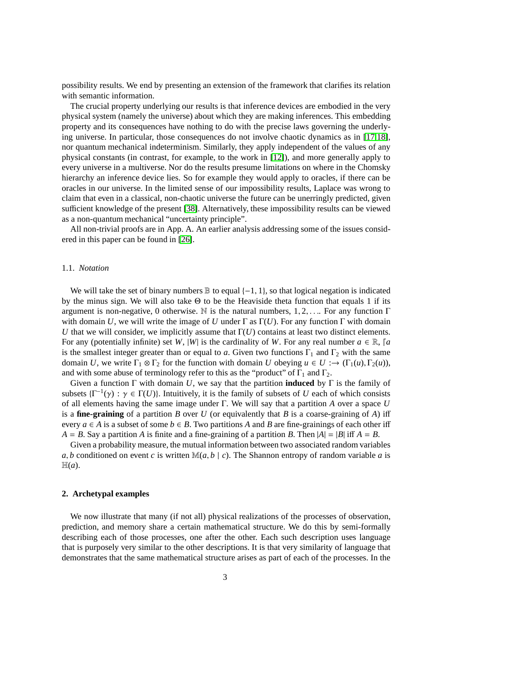possibility results. We end by presenting an extension of the framework that clarifies its relation with semantic information.

The crucial property underlying our results is that inference devices are embodied in the very physical system (namely the universe) about which they are making inferences. This embedding property and its consequences have nothing to do with the precise laws governing the underlying universe. In particular, those consequences do not involve chaotic dynamics as in [\[17](#page-41-6)[,18\]](#page-41-7), nor quantum mechanical indeterminism. Similarly, they apply independent of the values of any physical constants (in contrast, for example, to the work in [\[12\]](#page-41-1)), and more generally apply to every universe in a multiverse. Nor do the results presume limitations on where in the Chomsky hierarchy an inference device lies. So for example they would apply to oracles, if there can be oracles in our universe. In the limited sense of our impossibility results, Laplace was wrong to claim that even in a classical, non-chaotic universe the future can be unerringly predicted, given sufficient knowledge of the present [\[38\]](#page-41-27). Alternatively, these impossibility results can be viewed as a non-quantum mechanical "uncertainty principle".

All non-trivial proofs are in App. A. An earlier analysis addressing some of the issues considered in this paper can be found in [\[26\]](#page-41-15).

## <span id="page-2-1"></span>1.1. *Notation*

We will take the set of binary numbers  $\mathbb B$  to equal  $\{-1, 1\}$ , so that logical negation is indicated by the minus sign. We will also take Θ to be the Heaviside theta function that equals 1 if its argument is non-negative, 0 otherwise. N is the natural numbers,  $1, 2, \ldots$  For any function  $\Gamma$ with domain *U*, we will write the image of *U* under  $\Gamma$  as  $\Gamma(U)$ . For any function  $\Gamma$  with domain *U* that we will consider, we implicitly assume that  $\Gamma(U)$  contains at least two distinct elements. For any (potentially infinite) set *W*,  $|W|$  is the cardinality of *W*. For any real number  $a \in \mathbb{R}$ , [a is the smallest integer greater than or equal to *a*. Given two functions  $\Gamma_1$  and  $\Gamma_2$  with the same domain *U*, we write  $\Gamma_1 \otimes \Gamma_2$  for the function with domain *U* obeying  $u \in U : \rightarrow (\Gamma_1(u), \Gamma_2(u))$ , and with some abuse of terminology refer to this as the "product" of  $\Gamma_1$  and  $\Gamma_2$ .

Given a function Γ with domain *U*, we say that the partition **induced** by Γ is the family of subsets  $\{\Gamma^{-1}(\gamma) : \gamma \in \Gamma(U)\}$ . Intuitively, it is the family of subsets of *U* each of which consists of all elements having the same image under Γ. We will say that a partition *A* over a space *U* is a **fine-graining** of a partition *B* over *U* (or equivalently that *B* is a coarse-graining of *A*) iff every  $a \in A$  is a subset of some  $b \in B$ . Two partitions A and B are fine-grainings of each other iff  $A = B$ . Say a partition *A* is finite and a fine-graining of a partition *B*. Then  $|A| = |B|$  iff  $A = B$ .

Given a probability measure, the mutual information between two associated random variables *a*, *b* conditioned on event *c* is written  $\mathbb{M}(a, b \mid c)$ . The Shannon entropy of random variable *a* is  $\mathbb{H}(a)$ .

# <span id="page-2-0"></span>**2. Archetypal examples**

We now illustrate that many (if not all) physical realizations of the processes of observation, prediction, and memory share a certain mathematical structure. We do this by semi-formally describing each of those processes, one after the other. Each such description uses language that is purposely very similar to the other descriptions. It is that very similarity of language that demonstrates that the same mathematical structure arises as part of each of the processes. In the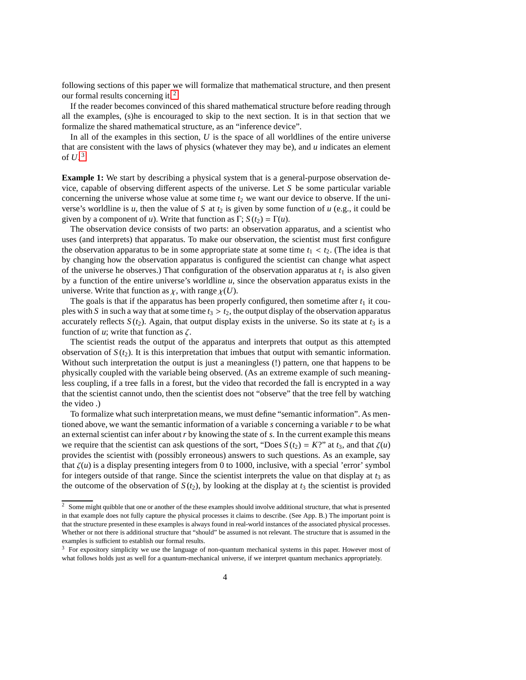following sections of this paper we will formalize that mathematical structure, and then present our formal results concerning it. [2](#page-3-0)

If the reader becomes convinced of this shared mathematical structure before reading through all the examples, (s)he is encouraged to skip to the next section. It is in that section that we formalize the shared mathematical structure, as an "inference device".

In all of the examples in this section, *U* is the space of all worldlines of the entire universe that are consistent with the laws of physics (whatever they may be), and *u* indicates an element of  $U^3$  $U^3$ 

**Example 1:** We start by describing a physical system that is a general-purpose observation device, capable of observing different aspects of the universe. Let *S* be some particular variable concerning the universe whose value at some time  $t_2$  we want our device to observe. If the universe's worldline is *u*, then the value of *S* at  $t_2$  is given by some function of *u* (e.g., it could be given by a component of *u*). Write that function as  $\Gamma$ ;  $S(t_2) = \Gamma(u)$ .

The observation device consists of two parts: an observation apparatus, and a scientist who uses (and interprets) that apparatus. To make our observation, the scientist must first configure the observation apparatus to be in some appropriate state at some time  $t_1 < t_2$ . (The idea is that by changing how the observation apparatus is configured the scientist can change what aspect of the universe he observes.) That configuration of the observation apparatus at  $t_1$  is also given by a function of the entire universe's worldline *u*, since the observation apparatus exists in the universe. Write that function as  $\chi$ , with range  $\chi(U)$ .

The goals is that if the apparatus has been properly configured, then sometime after  $t_1$  it couples with *S* in such a way that at some time  $t_3 > t_2$ , the output display of the observation apparatus accurately reflects  $S(t_2)$ . Again, that output display exists in the universe. So its state at  $t_3$  is a function of  $u$ ; write that function as  $\zeta$ .

The scientist reads the output of the apparatus and interprets that output as this attempted observation of  $S(t_2)$ . It is this interpretation that imbues that output with semantic information. Without such interpretation the output is just a meaningless (!) pattern, one that happens to be physically coupled with the variable being observed. (As an extreme example of such meaningless coupling, if a tree falls in a forest, but the video that recorded the fall is encrypted in a way that the scientist cannot undo, then the scientist does not "observe" that the tree fell by watching the video .)

To formalize what such interpretation means, we must define "semantic information". As mentioned above, we want the semantic information of a variable *s* concerning a variable *r* to be what an external scientist can infer about*r* by knowing the state of *s*. In the current example this means we require that the scientist can ask questions of the sort, "Does  $S(t_2) = K$ ?" at  $t_3$ , and that  $\zeta(u)$ provides the scientist with (possibly erroneous) answers to such questions. As an example, say that  $\zeta(u)$  is a display presenting integers from 0 to 1000, inclusive, with a special 'error' symbol for integers outside of that range. Since the scientist interprets the value on that display at  $t_3$  as the outcome of the observation of  $S(t_2)$ , by looking at the display at  $t_3$  the scientist is provided

<span id="page-3-0"></span><sup>&</sup>lt;sup>2</sup> Some might quibble that one or another of the these examples should involve additional structure, that what is presented in that example does not fully capture the physical processes it claims to describe. (See App. B.) The important point is that the structure presented in these examples is always found in real-world instances of the associated physical processes. Whether or not there is additional structure that "should" be assumed is not relevant. The structure that is assumed in the examples is sufficient to establish our formal results.

<span id="page-3-1"></span><sup>3</sup> For expository simplicity we use the language of non-quantum mechanical systems in this paper. However most of what follows holds just as well for a quantum-mechanical universe, if we interpret quantum mechanics appropriately.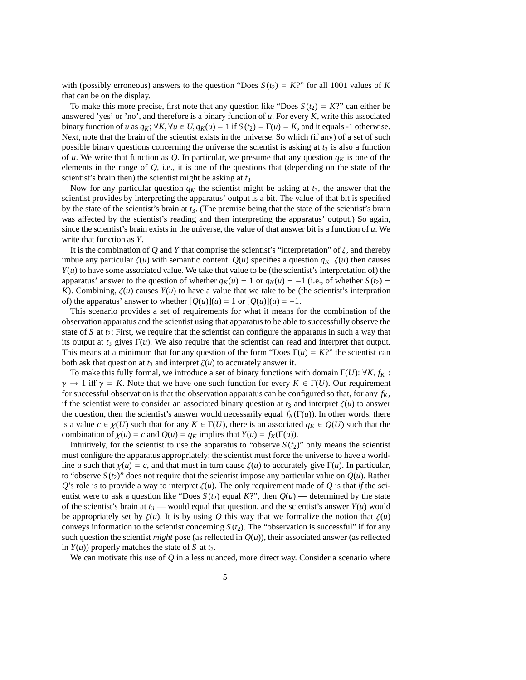with (possibly erroneous) answers to the question "Does  $S(t_2) = K$ ?" for all 1001 values of K that can be on the display.

To make this more precise, first note that any question like "Does  $S(t_2) = K$ ?" can either be answered 'yes' or 'no', and therefore is a binary function of *u*. For every *K*, write this associated binary function of *u* as  $q_K$ ;  $\forall K$ ,  $\forall u \in U$ ,  $q_K(u) = 1$  if  $S(t_2) = \Gamma(u) = K$ , and it equals -1 otherwise. Next, note that the brain of the scientist exists in the universe. So which (if any) of a set of such possible binary questions concerning the universe the scientist is asking at  $t_3$  is also a function of *u*. We write that function as Q. In particular, we presume that any question  $q_K$  is one of the elements in the range of *Q*, i.e., it is one of the questions that (depending on the state of the scientist's brain then) the scientist might be asking at *t*3.

Now for any particular question  $q<sub>K</sub>$  the scientist might be asking at  $t<sub>3</sub>$ , the answer that the scientist provides by interpreting the apparatus' output is a bit. The value of that bit is specified by the state of the scientist's brain at *t*3. (The premise being that the state of the scientist's brain was affected by the scientist's reading and then interpreting the apparatus' output.) So again, since the scientist's brain exists in the universe, the value of that answer bit is a function of *u*. We write that function as *Y*.

It is the combination of *Q* and *Y* that comprise the scientist's "interpretation" of ζ, and thereby imbue any particular  $\zeta(u)$  with semantic content.  $Q(u)$  specifies a question  $q_K$ .  $\zeta(u)$  then causes *Y*(*u*) to have some associated value. We take that value to be (the scientist's interpretation of) the apparatus' answer to the question of whether  $q_K(u) = 1$  or  $q_K(u) = -1$  (i.e., of whether  $S(t_2) =$ *K*). Combining,  $\zeta(u)$  causes  $Y(u)$  to have a value that we take to be (the scientist's interpration of) the apparatus' answer to whether  $[Q(u)](u) = 1$  or  $[Q(u)](u) = -1$ .

This scenario provides a set of requirements for what it means for the combination of the observation apparatus and the scientist using that apparatus to be able to successfully observe the state of *S* at  $t_2$ : First, we require that the scientist can configure the apparatus in such a way that its output at  $t_3$  gives  $\Gamma(u)$ . We also require that the scientist can read and interpret that output. This means at a minimum that for any question of the form "Does  $\Gamma(u) = K$ ?" the scientist can both ask that question at  $t_3$  and interpret  $\zeta(u)$  to accurately answer it.

To make this fully formal, we introduce a set of binary functions with domain Γ(*U*): ∀*K*, *f<sup>K</sup>* :  $\gamma \to 1$  iff  $\gamma = K$ . Note that we have one such function for every  $K \in \Gamma(U)$ . Our requirement for successful observation is that the observation apparatus can be configured so that, for any  $f_K$ , if the scientist were to consider an associated binary question at  $t_3$  and interpret  $\zeta(u)$  to answer the question, then the scientist's answer would necessarily equal  $f_K(\Gamma(u))$ . In other words, there is a value  $c \in \chi(U)$  such that for any  $K \in \Gamma(U)$ , there is an associated  $q_K \in \mathcal{Q}(U)$  such that the combination of  $\chi(u) = c$  and  $Q(u) = q_K$  implies that  $Y(u) = f_K(\Gamma(u))$ .

Intuitively, for the scientist to use the apparatus to "observe  $S(t_2)$ " only means the scientist must configure the apparatus appropriately; the scientist must force the universe to have a worldline *u* such that  $\chi(u) = c$ , and that must in turn cause  $\zeta(u)$  to accurately give  $\Gamma(u)$ . In particular, to "observe  $S(t_2)$ " does not require that the scientist impose any particular value on  $Q(u)$ . Rather *Q*'s role is to provide a way to interpret  $\zeta(u)$ . The only requirement made of *Q* is that *if* the scientist were to ask a question like "Does  $S(t_2)$  equal  $K$ ?", then  $Q(u)$  — determined by the state of the scientist's brain at  $t_3$  — would equal that question, and the scientist's answer  $Y(u)$  would be appropriately set by  $\zeta(u)$ . It is by using Q this way that we formalize the notion that  $\zeta(u)$ conveys information to the scientist concerning  $S(t_2)$ . The "observation is successful" if for any such question the scientist *might* pose (as reflected in  $Q(u)$ ), their associated answer (as reflected in  $Y(u)$ ) properly matches the state of *S* at  $t_2$ .

We can motivate this use of Q in a less nuanced, more direct way. Consider a scenario where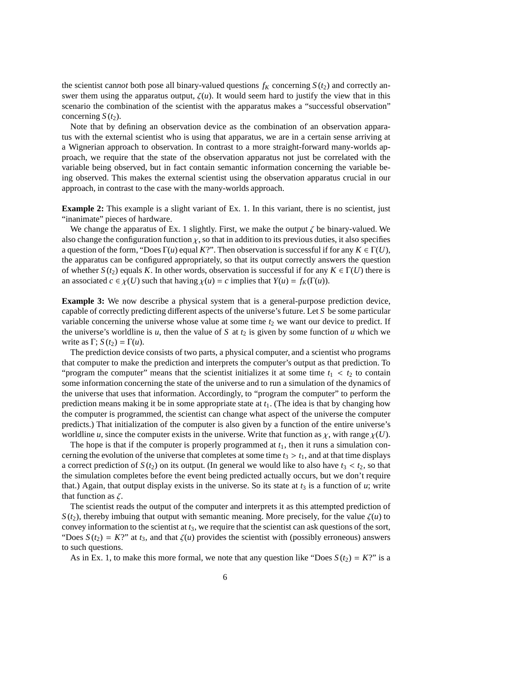the scientist cannot both pose all binary-valued questions  $f_K$  concerning  $S(t_2)$  and correctly answer them using the apparatus output,  $\zeta(u)$ . It would seem hard to justify the view that in this scenario the combination of the scientist with the apparatus makes a "successful observation" concerning  $S(t_2)$ .

Note that by defining an observation device as the combination of an observation apparatus with the external scientist who is using that apparatus, we are in a certain sense arriving at a Wignerian approach to observation. In contrast to a more straight-forward many-worlds approach, we require that the state of the observation apparatus not just be correlated with the variable being observed, but in fact contain semantic information concerning the variable being observed. This makes the external scientist using the observation apparatus crucial in our approach, in contrast to the case with the many-worlds approach.

**Example 2:** This example is a slight variant of Ex. 1. In this variant, there is no scientist, just "inanimate" pieces of hardware.

We change the apparatus of Ex. 1 slightly. First, we make the output  $\zeta$  be binary-valued. We also change the configuration function  $\chi$ , so that in addition to its previous duties, it also specifies a question of the form, "Does Γ(*u*) equal *K*?". Then observation is successful if for any *K* ∈ Γ(*U*), the apparatus can be configured appropriately, so that its output correctly answers the question of whether  $S(t_2)$  equals *K*. In other words, observation is successful if for any  $K \in \Gamma(U)$  there is an associated  $c \in \chi(U)$  such that having  $\chi(u) = c$  implies that  $Y(u) = f_K(\Gamma(u))$ .

**Example 3:** We now describe a physical system that is a general-purpose prediction device, capable of correctly predicting different aspects of the universe's future. Let *S* be some particular variable concerning the universe whose value at some time  $t_2$  we want our device to predict. If the universe's worldline is  $u$ , then the value of  $S$  at  $t_2$  is given by some function of  $u$  which we write as  $\Gamma$ ;  $S(t_2) = \Gamma(u)$ .

The prediction device consists of two parts, a physical computer, and a scientist who programs that computer to make the prediction and interprets the computer's output as that prediction. To "program the computer" means that the scientist initializes it at some time  $t_1 < t_2$  to contain some information concerning the state of the universe and to run a simulation of the dynamics of the universe that uses that information. Accordingly, to "program the computer" to perform the prediction means making it be in some appropriate state at *t*1. (The idea is that by changing how the computer is programmed, the scientist can change what aspect of the universe the computer predicts.) That initialization of the computer is also given by a function of the entire universe's worldline *u*, since the computer exists in the universe. Write that function as  $\chi$ , with range  $\chi$ (*U*).

The hope is that if the computer is properly programmed at  $t<sub>1</sub>$ , then it runs a simulation concerning the evolution of the universe that completes at some time  $t_3 > t_1$ , and at that time displays a correct prediction of  $S(t_2)$  on its output. (In general we would like to also have  $t_3 < t_2$ , so that the simulation completes before the event being predicted actually occurs, but we don't require that.) Again, that output display exists in the universe. So its state at  $t_3$  is a function of *u*; write that function as  $\zeta$ .

The scientist reads the output of the computer and interprets it as this attempted prediction of  $S(t_2)$ , thereby imbuing that output with semantic meaning. More precisely, for the value  $\zeta(u)$  to convey information to the scientist at *t*3, we require that the scientist can ask questions of the sort, "Does  $S(t_2) = K$ ?" at  $t_3$ , and that  $\zeta(u)$  provides the scientist with (possibly erroneous) answers to such questions.

As in Ex. 1, to make this more formal, we note that any question like "Does  $S(t_2) = K$ ?" is a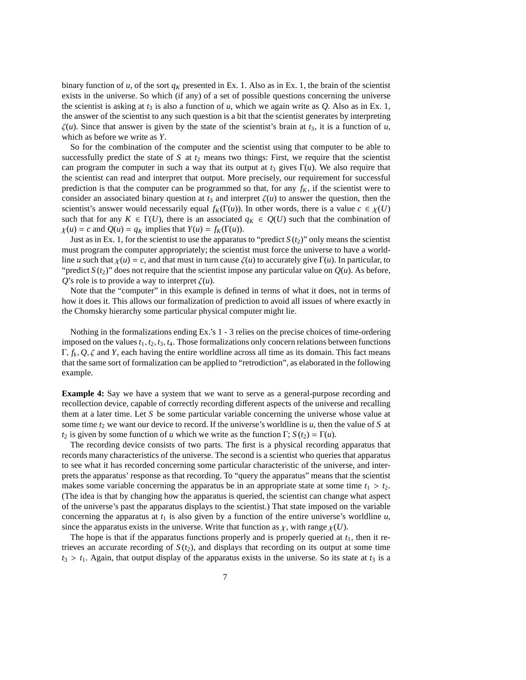binary function of *u*, of the sort  $q_K$  presented in Ex. 1. Also as in Ex. 1, the brain of the scientist exists in the universe. So which (if any) of a set of possible questions concerning the universe the scientist is asking at  $t_3$  is also a function of *u*, which we again write as *Q*. Also as in Ex. 1, the answer of the scientist to any such question is a bit that the scientist generates by interpreting  $\zeta(u)$ . Since that answer is given by the state of the scientist's brain at  $t_3$ , it is a function of *u*, which as before we write as *Y*.

So for the combination of the computer and the scientist using that computer to be able to successfully predict the state of  $S$  at  $t_2$  means two things: First, we require that the scientist can program the computer in such a way that its output at  $t_3$  gives  $\Gamma(u)$ . We also require that the scientist can read and interpret that output. More precisely, our requirement for successful prediction is that the computer can be programmed so that, for any  $f_K$ , if the scientist were to consider an associated binary question at  $t_3$  and interpret  $\zeta(u)$  to answer the question, then the scientist's answer would necessarily equal  $f_K(\Gamma(u))$ . In other words, there is a value  $c \in \chi(U)$ such that for any  $K \in \Gamma(U)$ , there is an associated  $q_K \in Q(U)$  such that the combination of  $\chi(u) = c$  and  $Q(u) = q_K$  implies that  $Y(u) = f_K(\Gamma(u))$ .

Just as in Ex. 1, for the scientist to use the apparatus to "predict  $S(t_2)$ " only means the scientist must program the computer appropriately; the scientist must force the universe to have a worldline *u* such that  $\chi(u) = c$ , and that must in turn cause  $\zeta(u)$  to accurately give  $\Gamma(u)$ . In particular, to "predict  $S(t_2)$ " does not require that the scientist impose any particular value on  $Q(u)$ . As before, *Q*'s role is to provide a way to interpret  $\zeta(u)$ .

Note that the "computer" in this example is defined in terms of what it does, not in terms of how it does it. This allows our formalization of prediction to avoid all issues of where exactly in the Chomsky hierarchy some particular physical computer might lie.

Nothing in the formalizations ending Ex.'s 1 - 3 relies on the precise choices of time-ordering imposed on the values *t*1, *t*2, *t*3, *t*4. Those formalizations only concern relations between functions Γ, *fk*, *Q*, ζ and *Y*, each having the entire worldline across all time as its domain. This fact means that the same sort of formalization can be applied to "retrodiction", as elaborated in the following example.

**Example 4:** Say we have a system that we want to serve as a general-purpose recording and recollection device, capable of correctly recording different aspects of the universe and recalling them at a later time. Let *S* be some particular variable concerning the universe whose value at some time *t*<sup>2</sup> we want our device to record. If the universe's worldline is *u*, then the value of *S* at *t*<sub>2</sub> is given by some function of *u* which we write as the function  $\Gamma$ ;  $S(t_2) = \Gamma(u)$ .

The recording device consists of two parts. The first is a physical recording apparatus that records many characteristics of the universe. The second is a scientist who queries that apparatus to see what it has recorded concerning some particular characteristic of the universe, and interprets the apparatus' response as that recording. To "query the apparatus" means that the scientist makes some variable concerning the apparatus be in an appropriate state at some time  $t_1 > t_2$ . (The idea is that by changing how the apparatus is queried, the scientist can change what aspect of the universe's past the apparatus displays to the scientist.) That state imposed on the variable concerning the apparatus at  $t_1$  is also given by a function of the entire universe's worldline  $u$ , since the apparatus exists in the universe. Write that function as  $\chi$ , with range  $\chi(U)$ .

The hope is that if the apparatus functions properly and is properly queried at  $t_1$ , then it retrieves an accurate recording of  $S(t_2)$ , and displays that recording on its output at some time  $t_3 > t_1$ . Again, that output display of the apparatus exists in the universe. So its state at  $t_3$  is a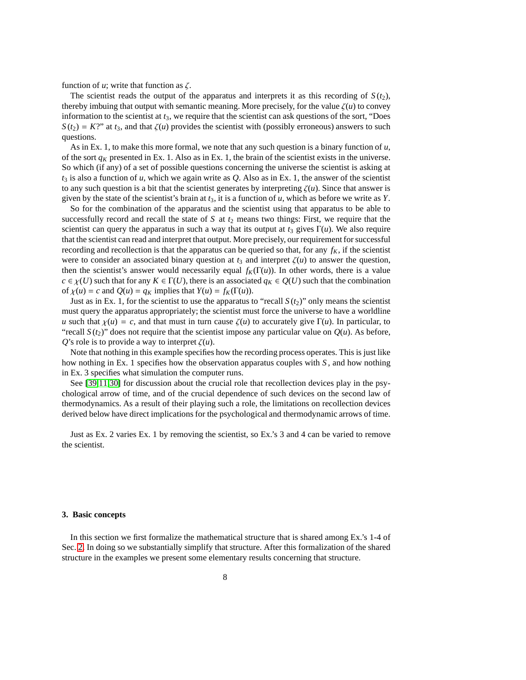function of  $u$ ; write that function as  $\zeta$ .

The scientist reads the output of the apparatus and interprets it as this recording of  $S(t_2)$ , thereby imbuing that output with semantic meaning. More precisely, for the value  $\zeta(u)$  to convey information to the scientist at  $t_3$ , we require that the scientist can ask questions of the sort, "Does"  $S(t_2) = K$ ?" at *t*<sub>3</sub>, and that  $\zeta(u)$  provides the scientist with (possibly erroneous) answers to such questions.

As in Ex. 1, to make this more formal, we note that any such question is a binary function of *u*, of the sort  $q_K$  presented in Ex. 1. Also as in Ex. 1, the brain of the scientist exists in the universe. So which (if any) of a set of possible questions concerning the universe the scientist is asking at  $t_3$  is also a function of *u*, which we again write as  $Q$ . Also as in Ex. 1, the answer of the scientist to any such question is a bit that the scientist generates by interpreting  $\zeta(u)$ . Since that answer is given by the state of the scientist's brain at *t*3, it is a function of *u*, which as before we write as *Y*.

So for the combination of the apparatus and the scientist using that apparatus to be able to successfully record and recall the state of  $S$  at  $t_2$  means two things: First, we require that the scientist can query the apparatus in such a way that its output at  $t_3$  gives  $\Gamma(u)$ . We also require that the scientist can read and interpret that output. More precisely, our requirement for successful recording and recollection is that the apparatus can be queried so that, for any  $f_K$ , if the scientist were to consider an associated binary question at  $t_3$  and interpret  $\zeta(u)$  to answer the question, then the scientist's answer would necessarily equal  $f_K(\Gamma(u))$ . In other words, there is a value  $c \in \chi(U)$  such that for any  $K \in \Gamma(U)$ , there is an associated  $q_K \in \mathcal{Q}(U)$  such that the combination of  $\chi(u) = c$  and  $Q(u) = q_K$  implies that  $Y(u) = f_K(\Gamma(u))$ .

Just as in Ex. 1, for the scientist to use the apparatus to "recall  $S(t_2)$ " only means the scientist must query the apparatus appropriately; the scientist must force the universe to have a worldline *u* such that  $\chi(u) = c$ , and that must in turn cause  $\zeta(u)$  to accurately give  $\Gamma(u)$ . In particular, to "recall  $S(t_2)$ " does not require that the scientist impose any particular value on  $Q(u)$ . As before, *Q*'s role is to provide a way to interpret  $\zeta(u)$ .

Note that nothing in this example specifies how the recording process operates. This is just like how nothing in Ex. 1 specifies how the observation apparatus couples with *S* , and how nothing in Ex. 3 specifies what simulation the computer runs.

See [\[39,](#page-41-28)[11,](#page-41-0)[30\]](#page-41-19) for discussion about the crucial role that recollection devices play in the psychological arrow of time, and of the crucial dependence of such devices on the second law of thermodynamics. As a result of their playing such a role, the limitations on recollection devices derived below have direct implications for the psychological and thermodynamic arrows of time.

Just as Ex. 2 varies Ex. 1 by removing the scientist, so Ex.'s 3 and 4 can be varied to remove the scientist.

#### **3. Basic concepts**

In this section we first formalize the mathematical structure that is shared among Ex.'s 1-4 of Sec. [2.](#page-2-0) In doing so we substantially simplify that structure. After this formalization of the shared structure in the examples we present some elementary results concerning that structure.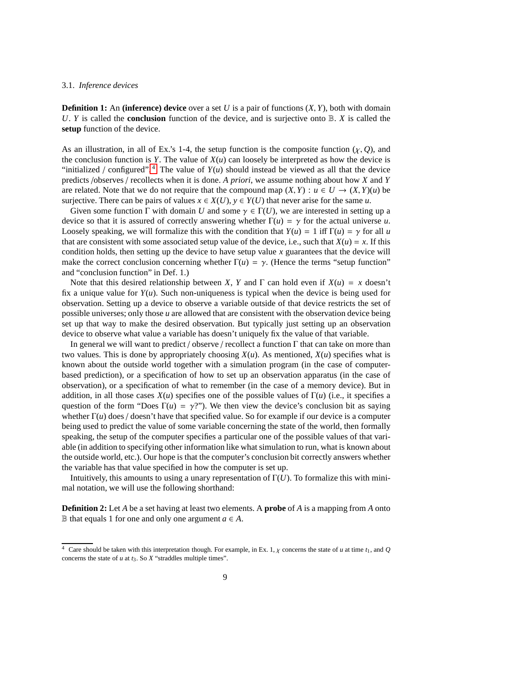#### 3.1. *Inference devices*

**Definition 1:** An (inference) device over a set *U* is a pair of functions  $(X, Y)$ , both with domain *U*. *Y* is called the **conclusion** function of the device, and is surjective onto B. *X* is called the **setup** function of the device.

As an illustration, in all of Ex.'s 1-4, the setup function is the composite function  $(\chi, Q)$ , and the conclusion function is *Y*. The value of  $X(u)$  can loosely be interpreted as how the device is "initialized / configured".<sup>[4](#page-8-0)</sup> The value of  $Y(u)$  should instead be viewed as all that the device predicts /observes / recollects when it is done. *A priori*, we assume nothing about how *X* and *Y* are related. Note that we do not require that the compound map  $(X, Y) : u \in U \to (X, Y)(u)$  be surjective. There can be pairs of values  $x \in X(U)$ ,  $y \in Y(U)$  that never arise for the same *u*.

Given some function  $\Gamma$  with domain *U* and some  $\gamma \in \Gamma(U)$ , we are interested in setting up a device so that it is assured of correctly answering whether  $\Gamma(u) = \gamma$  for the actual universe *u*. Loosely speaking, we will formalize this with the condition that  $Y(u) = 1$  iff  $\Gamma(u) = \gamma$  for all *u* that are consistent with some associated setup value of the device, i.e., such that  $X(u) = x$ . If this condition holds, then setting up the device to have setup value *x* guarantees that the device will make the correct conclusion concerning whether  $\Gamma(u) = \gamma$ . (Hence the terms "setup function" and "conclusion function" in Def. 1.)

Note that this desired relationship between *X*, *Y* and Γ can hold even if  $X(u) = x$  doesn't fix a unique value for  $Y(u)$ . Such non-uniqueness is typical when the device is being used for observation. Setting up a device to observe a variable outside of that device restricts the set of possible universes; only those *u* are allowed that are consistent with the observation device being set up that way to make the desired observation. But typically just setting up an observation device to observe what value a variable has doesn't uniquely fix the value of that variable.

In general we will want to predict / observe / recollect a function  $\Gamma$  that can take on more than two values. This is done by appropriately choosing  $X(u)$ . As mentioned,  $X(u)$  specifies what is known about the outside world together with a simulation program (in the case of computerbased prediction), or a specification of how to set up an observation apparatus (in the case of observation), or a specification of what to remember (in the case of a memory device). But in addition, in all those cases  $X(u)$  specifies one of the possible values of  $\Gamma(u)$  (i.e., it specifies a question of the form "Does  $\Gamma(u) = \gamma$ "). We then view the device's conclusion bit as saying whether  $\Gamma(u)$  does / doesn't have that specified value. So for example if our device is a computer being used to predict the value of some variable concerning the state of the world, then formally speaking, the setup of the computer specifies a particular one of the possible values of that variable (in addition to specifying other information like what simulation to run, what is known about the outside world, etc.). Our hope is that the computer's conclusion bit correctly answers whether the variable has that value specified in how the computer is set up.

Intuitively, this amounts to using a unary representation of  $\Gamma(U)$ . To formalize this with minimal notation, we will use the following shorthand:

**Definition 2:** Let *A* be a set having at least two elements. A **probe** of *A* is a mapping from *A* onto B that equals 1 for one and only one argument  $a \in A$ .

<span id="page-8-0"></span><sup>&</sup>lt;sup>4</sup> Care should be taken with this interpretation though. For example, in Ex. 1,  $\chi$  concerns the state of  $u$  at time  $t_1$ , and  $Q$ concerns the state of *u* at *t*3. So *X* "straddles multiple times".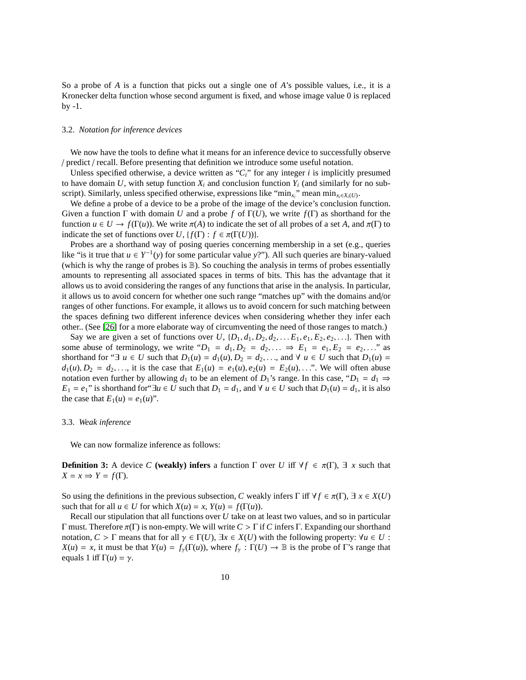So a probe of *A* is a function that picks out a single one of *A*'s possible values, i.e., it is a Kronecker delta function whose second argument is fixed, and whose image value 0 is replaced  $by -1$ .

## 3.2. *Notation for inference devices*

We now have the tools to define what it means for an inference device to successfully observe / predict / recall. Before presenting that definition we introduce some useful notation.

Unless specified otherwise, a device written as " $C_i$ " for any integer *i* is implicitly presumed to have domain U, with setup function  $X_i$  and conclusion function  $Y_i$  (and similarly for no subscript). Similarly, unless specified otherwise, expressions like "min<sub>*x<sub>i</sub>*</sub>" mean min<sub>*x<sub>i</sub>*∈*X<sub>i</sub>*(*U*).</sub>

We define a probe of a device to be a probe of the image of the device's conclusion function. Given a function Γ with domain *U* and a probe *f* of Γ(*U*), we write *f*(Γ) as shorthand for the function  $u \in U \to f(\Gamma(u))$ . We write  $\pi(A)$  to indicate the set of all probes of a set A, and  $\pi(\Gamma)$  to indicate the set of functions over  $U$ ,  $\{f(\Gamma): f \in \pi(\Gamma(U))\}.$ 

Probes are a shorthand way of posing queries concerning membership in a set (e.g., queries like "is it true that  $u \in Y^{-1}(y)$  for some particular value *y*?"). All such queries are binary-valued (which is why the range of probes is B). So couching the analysis in terms of probes essentially amounts to representing all associated spaces in terms of bits. This has the advantage that it allows us to avoid considering the ranges of any functions that arise in the analysis. In particular, it allows us to avoid concern for whether one such range "matches up" with the domains and/or ranges of other functions. For example, it allows us to avoid concern for such matching between the spaces defining two different inference devices when considering whether they infer each other.. (See [\[26\]](#page-41-15) for a more elaborate way of circumventing the need of those ranges to match.)

Say we are given a set of functions over  $U$ ,  $\{D_1, d_1, D_2, d_2, \ldots E_1, e_1, E_2, e_2, \ldots\}$ . Then with some abuse of terminology, we write " $D_1 = d_1, D_2 = d_2, \ldots \Rightarrow E_1 = e_1, E_2 = e_2, \ldots$ " as shorthand for "∃  $u \in U$  such that  $D_1(u) = d_1(u), D_2 = d_2, \ldots$ , and  $\forall u \in U$  such that  $D_1(u) = d_2(u)$  $d_1(u), D_2 = d_2, \ldots$ , it is the case that  $E_1(u) = e_1(u), e_2(u) = E_2(u), \ldots$ . We will often abuse notation even further by allowing  $d_1$  to be an element of  $D_1$ 's range. In this case, " $D_1 = d_1 \Rightarrow$ *E*<sub>1</sub> =  $e_1$ " is shorthand for "∃*u* ∈ *U* such that  $D_1 = d_1$ , and ∀ *u* ∈ *U* such that  $D_1(u) = d_1$ , it is also the case that  $E_1(u) = e_1(u)$ ".

## 3.3. *Weak inference*

We can now formalize inference as follows:

**Definition 3:** A device *C* (weakly) infers a function  $\Gamma$  over *U* iff  $\forall f \in \pi(\Gamma)$ ,  $\exists x$  such that  $X = x \Rightarrow Y = f(\Gamma).$ 

So using the definitions in the previous subsection, *C* weakly infers  $\Gamma$  iff  $\forall f \in \pi(\Gamma)$ ,  $\exists x \in X(U)$ such that for all  $u \in U$  for which  $X(u) = x$ ,  $Y(u) = f(\Gamma(u))$ .

Recall our stipulation that all functions over *U* take on at least two values, and so in particular Γ must. Therefore π(Γ) is non-empty. We will write *C* > Γ if *C* infers Γ. Expanding our shorthand notation, *C* > Γ means that for all  $γ ∈ Γ(U)$ ,  $∃x ∈ X(U)$  with the following property:  $∀u ∈ U$ :  $X(u) = x$ , it must be that  $Y(u) = f_{\gamma}(\Gamma(u))$ , where  $f_{\gamma}: \Gamma(U) \to \mathbb{B}$  is the probe of Γ's range that equals 1 iff  $\Gamma(u) = \gamma$ .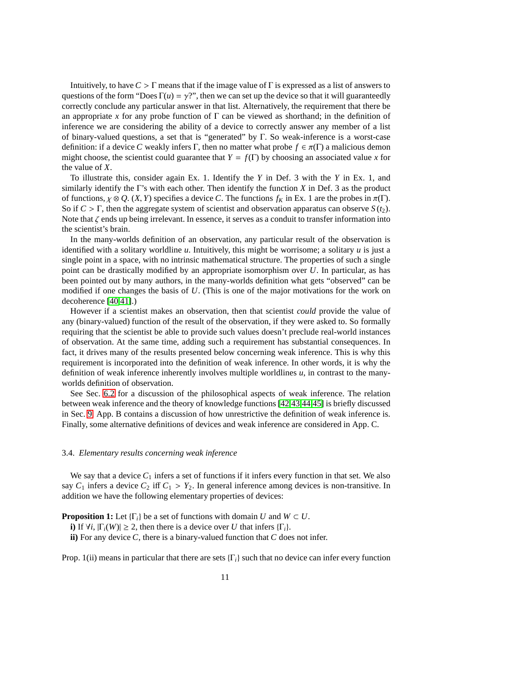Intuitively, to have  $C > \Gamma$  means that if the image value of  $\Gamma$  is expressed as a list of answers to questions of the form "Does  $\Gamma(u) = \gamma$ ", then we can set up the device so that it will guaranteedly correctly conclude any particular answer in that list. Alternatively, the requirement that there be an appropriate *x* for any probe function of Γ can be viewed as shorthand; in the definition of inference we are considering the ability of a device to correctly answer any member of a list of binary-valued questions, a set that is "generated" by Γ. So weak-inference is a worst-case definition: if a device C weakly infers  $\Gamma$ , then no matter what probe  $f \in \pi(\Gamma)$  a malicious demon might choose, the scientist could guarantee that  $Y = f(\Gamma)$  by choosing an associated value *x* for the value of *X*.

To illustrate this, consider again Ex. 1. Identify the *Y* in Def. 3 with the *Y* in Ex. 1, and similarly identify the Γ's with each other. Then identify the function *X* in Def. 3 as the product of functions,  $\chi \otimes Q$ . (*X*, *Y*) specifies a device *C*. The functions  $f_K$  in Ex. 1 are the probes in  $\pi(\Gamma)$ . So if  $C > \Gamma$ , then the aggregate system of scientist and observation apparatus can observe  $S(t_2)$ . Note that  $\zeta$  ends up being irrelevant. In essence, it serves as a conduit to transfer information into the scientist's brain.

In the many-worlds definition of an observation, any particular result of the observation is identified with a solitary worldline  $u$ . Intuitively, this might be worrisome; a solitary  $u$  is just a single point in a space, with no intrinsic mathematical structure. The properties of such a single point can be drastically modified by an appropriate isomorphism over *U*. In particular, as has been pointed out by many authors, in the many-worlds definition what gets "observed" can be modified if one changes the basis of *U*. (This is one of the major motivations for the work on decoherence [\[40,](#page-41-29)[41\]](#page-41-30).)

However if a scientist makes an observation, then that scientist *could* provide the value of any (binary-valued) function of the result of the observation, if they were asked to. So formally requiring that the scientist be able to provide such values doesn't preclude real-world instances of observation. At the same time, adding such a requirement has substantial consequences. In fact, it drives many of the results presented below concerning weak inference. This is why this requirement is incorporated into the definition of weak inference. In other words, it is why the definition of weak inference inherently involves multiple worldlines *u*, in contrast to the manyworlds definition of observation.

See Sec. [6.2](#page-22-0) for a discussion of the philosophical aspects of weak inference. The relation between weak inference and the theory of knowledge functions [\[42,](#page-41-31)[43,](#page-41-32)[44,](#page-41-33)[45\]](#page-41-34) is briefly discussed in Sec. [9.](#page-26-0) App. B contains a discussion of how unrestrictive the definition of weak inference is. Finally, some alternative definitions of devices and weak inference are considered in App. C.

## 3.4. *Elementary results concerning weak inference*

We say that a device  $C_1$  infers a set of functions if it infers every function in that set. We also say  $C_1$  infers a device  $C_2$  iff  $C_1 > Y_2$ . In general inference among devices is non-transitive. In addition we have the following elementary properties of devices:

**Proposition 1:** Let  $\{\Gamma_i\}$  be a set of functions with domain *U* and  $W \subset U$ .

**i**) If  $\forall i$ ,  $|\Gamma_i(W)| \geq 2$ , then there is a device over *U* that infers  $\{\Gamma_i\}$ .

**ii)** For any device *C*, there is a binary-valued function that *C* does not infer.

Prop. 1(ii) means in particular that there are sets  $\{\Gamma_i\}$  such that no device can infer every function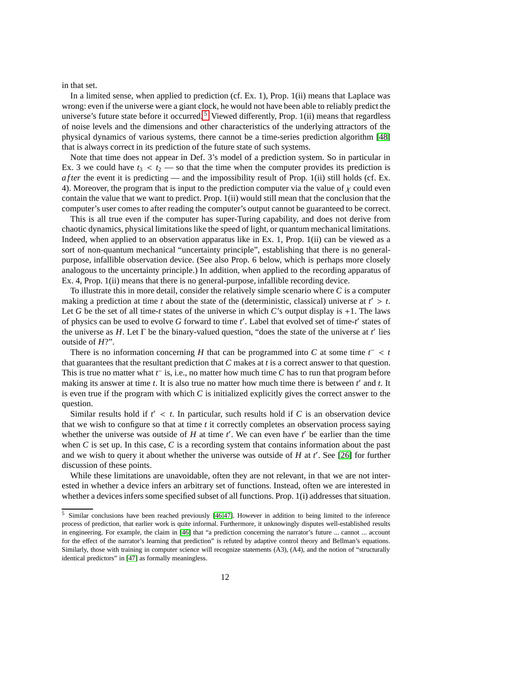in that set.

In a limited sense, when applied to prediction (cf. Ex. 1), Prop. 1(ii) means that Laplace was wrong: even if the universe were a giant clock, he would not have been able to reliably predict the universe's future state before it occurred.<sup>[5](#page-11-0)</sup> Viewed differently, Prop.  $1(ii)$  means that regardless of noise levels and the dimensions and other characteristics of the underlying attractors of the physical dynamics of various systems, there cannot be a time-series prediction algorithm [\[48\]](#page-42-0) that is always correct in its prediction of the future state of such systems.

Note that time does not appear in Def. 3's model of a prediction system. So in particular in Ex. 3 we could have  $t_3 < t_2$  — so that the time when the computer provides its prediction is *after* the event it is predicting — and the impossibility result of Prop. 1(ii) still holds (cf. Ex. 4). Moreover, the program that is input to the prediction computer via the value of  $\chi$  could even contain the value that we want to predict. Prop. 1(ii) would still mean that the conclusion that the computer's user comes to after reading the computer's output cannot be guaranteed to be correct.

This is all true even if the computer has super-Turing capability, and does not derive from chaotic dynamics, physical limitations like the speed of light, or quantum mechanical limitations. Indeed, when applied to an observation apparatus like in Ex. 1, Prop. 1(ii) can be viewed as a sort of non-quantum mechanical "uncertainty principle", establishing that there is no generalpurpose, infallible observation device. (See also Prop. 6 below, which is perhaps more closely analogous to the uncertainty principle.) In addition, when applied to the recording apparatus of Ex. 4, Prop. 1(ii) means that there is no general-purpose, infallible recording device.

To illustrate this in more detail, consider the relatively simple scenario where *C* is a computer making a prediction at time  $t$  about the state of the (deterministic, classical) universe at  $t' > t$ . Let *G* be the set of all time-*t* states of the universe in which *C*'s output display is +1. The laws of physics can be used to evolve *G* forward to time *t* ′ . Label that evolved set of time-*t* ′ states of the universe as  $H$ . Let  $\Gamma$  be the binary-valued question, "does the state of the universe at  $t'$  lies outside of *H*?".

There is no information concerning *H* that can be programmed into *C* at some time  $t^ < t$ that guarantees that the resultant prediction that *C* makes at *t* is a correct answer to that question. This is true no matter what  $t^-$  is, i.e., no matter how much time  $C$  has to run that program before making its answer at time *t*. It is also true no matter how much time there is between *t'* and *t*. It is even true if the program with which *C* is initialized explicitly gives the correct answer to the question.

Similar results hold if  $t' < t$ . In particular, such results hold if C is an observation device that we wish to configure so that at time *t* it correctly completes an observation process saying whether the universe was outside of  $H$  at time  $t'$ . We can even have  $t'$  be earlier than the time when  $C$  is set up. In this case,  $C$  is a recording system that contains information about the past and we wish to query it about whether the universe was outside of *H* at *t* ′ . See [\[26\]](#page-41-15) for further discussion of these points.

While these limitations are unavoidable, often they are not relevant, in that we are not interested in whether a device infers an arbitrary set of functions. Instead, often we are interested in whether a devices infers some specified subset of all functions. Prop. 1(i) addresses that situation.

<span id="page-11-0"></span><sup>5</sup> Similar conclusions have been reached previously [\[46,](#page-41-35)[47\]](#page-42-1). However in addition to being limited to the inference process of prediction, that earlier work is quite informal. Furthermore, it unknowingly disputes well-established results in engineering. For example, the claim in [\[46\]](#page-41-35) that "a prediction concerning the narrator's future ... cannot ... account for the effect of the narrator's learning that prediction" is refuted by adaptive control theory and Bellman's equations. Similarly, those with training in computer science will recognize statements (A3), (A4), and the notion of "structurally identical predictors" in [\[47\]](#page-42-1) as formally meaningless.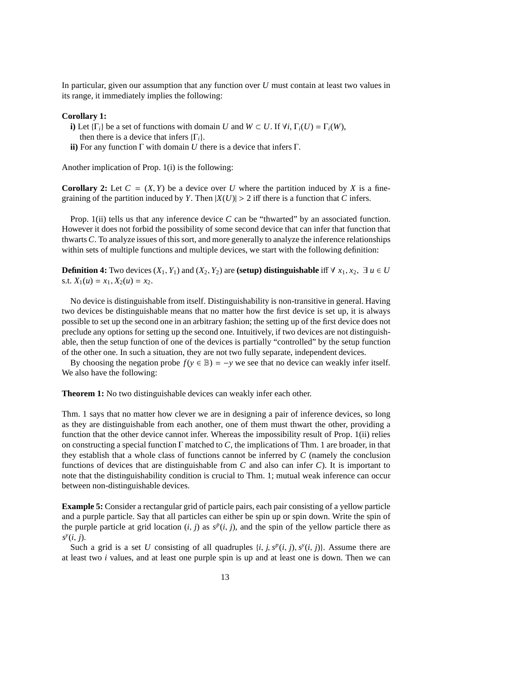In particular, given our assumption that any function over *U* must contain at least two values in its range, it immediately implies the following:

# **Corollary 1:**

- **i**) Let  $\{\Gamma_i\}$  be a set of functions with domain *U* and  $W \subset U$ . If  $\forall i$ ,  $\Gamma_i(U) = \Gamma_i(W)$ , then there is a device that infers  ${\{\Gamma_i\}}$ .
- **ii)** For any function Γ with domain *U* there is a device that infers Γ.

Another implication of Prop. 1(i) is the following:

**Corollary 2:** Let  $C = (X, Y)$  be a device over *U* where the partition induced by *X* is a finegraining of the partition induced by *Y*. Then  $|X(U)| > 2$  iff there is a function that *C* infers.

Prop. 1(ii) tells us that any inference device *C* can be "thwarted" by an associated function. However it does not forbid the possibility of some second device that can infer that function that thwarts*C*. To analyze issues of this sort, and more generally to analyze the inference relationships within sets of multiple functions and multiple devices, we start with the following definition:

**Definition 4:** Two devices  $(X_1, Y_1)$  and  $(X_2, Y_2)$  are (setup) distinguishable iff  $\forall x_1, x_2, \exists u \in U$ s.t.  $X_1(u) = x_1, X_2(u) = x_2$ .

No device is distinguishable from itself. Distinguishability is non-transitive in general. Having two devices be distinguishable means that no matter how the first device is set up, it is always possible to set up the second one in an arbitrary fashion; the setting up of the first device does not preclude any options for setting up the second one. Intuitively, if two devices are not distinguishable, then the setup function of one of the devices is partially "controlled" by the setup function of the other one. In such a situation, they are not two fully separate, independent devices.

By choosing the negation probe  $f(y \in \mathbb{B}) = -y$  we see that no device can weakly infer itself. We also have the following:

**Theorem 1:** No two distinguishable devices can weakly infer each other.

Thm. 1 says that no matter how clever we are in designing a pair of inference devices, so long as they are distinguishable from each another, one of them must thwart the other, providing a function that the other device cannot infer. Whereas the impossibility result of Prop. 1(ii) relies on constructing a special function Γ matched to *C*, the implications of Thm. 1 are broader, in that they establish that a whole class of functions cannot be inferred by *C* (namely the conclusion functions of devices that are distinguishable from *C* and also can infer *C*). It is important to note that the distinguishability condition is crucial to Thm. 1; mutual weak inference can occur between non-distinguishable devices.

**Example 5:** Consider a rectangular grid of particle pairs, each pair consisting of a yellow particle and a purple particle. Say that all particles can either be spin up or spin down. Write the spin of the purple particle at grid location  $(i, j)$  as  $s^p(i, j)$ , and the spin of the yellow particle there as *s y* (*i*, *j*).

Such a grid is a set *U* consisting of all quadruples  $\{i, j, s^p(i, j), s^y(i, j)\}$ . Assume there are at least two *i* values, and at least one purple spin is up and at least one is down. Then we can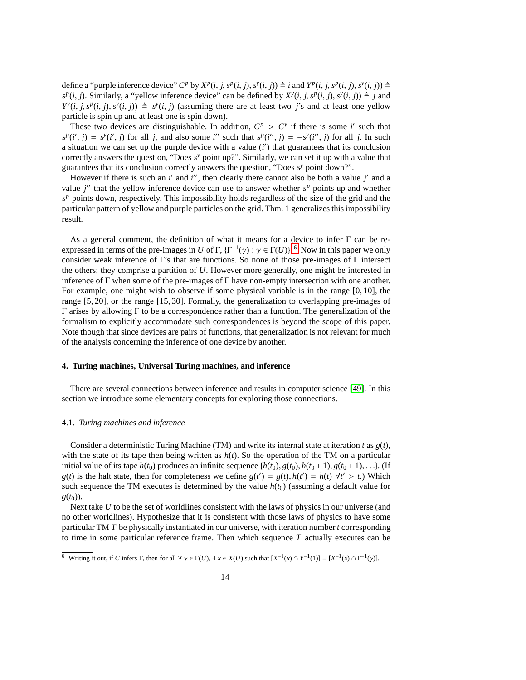define a "purple inference device" C<sup>p</sup> by  $X^p(i, j, s^p(i, j), s^y(i, j)) \triangleq i$  and  $Y^p(i, j, s^p(i, j), s^y(i, j)) \triangleq$  $s^p(i, j)$ . Similarly, a "yellow inference device" can be defined by  $X^y(i, j, s^p(i, j), s^y(i, j)) \triangleq j$  and  $Y^{\gamma}(i, j, s^{p}(i, j), s^{\gamma}(i, j)) \triangleq s^{\gamma}(i, j)$  (assuming there are at least two j's and at least one yellow particle is spin up and at least one is spin down).

These two devices are distinguishable. In addition,  $C^p > C^y$  if there is some *i*' such that  $s^p(i', j) = s^y(i', j)$  for all j, and also some i'' such that  $s^p(i'', j) = -s^y(i'', j)$  for all j. In such a situation we can set up the purple device with a value  $(i')$  that guarantees that its conclusion correctly answers the question, "Does *s*<sup>y</sup> point up?". Similarly, we can set it up with a value that guarantees that its conclusion correctly answers the question, "Does *s <sup>y</sup>* point down?".

However if there is such an *i'* and *i''*, then clearly there cannot also be both a value *j'* and a value  $j''$  that the yellow inference device can use to answer whether  $s^p$  points up and whether  $s^p$  points down, respectively. This impossibility holds regardless of the size of the grid and the particular pattern of yellow and purple particles on the grid. Thm. 1 generalizes this impossibility result.

As a general comment, the definition of what it means for a device to infer Γ can be reexpressed in terms of the pre-images in *U* of  $\Gamma$ , { $\Gamma^{-1}(\gamma)$  :  $\gamma \in \Gamma(U)$ }. <sup>[6](#page-13-0)</sup> Now in this paper we only consider weak inference of Γ's that are functions. So none of those pre-images of Γ intersect the others; they comprise a partition of *U*. However more generally, one might be interested in inference of  $\Gamma$  when some of the pre-images of  $\Gamma$  have non-empty intersection with one another. For example, one might wish to observe if some physical variable is in the range [0, 10], the range [5, 20], or the range [15, 30]. Formally, the generalization to overlapping pre-images of Γ arises by allowing Γ to be a correspondence rather than a function. The generalization of the formalism to explicitly accommodate such correspondences is beyond the scope of this paper. Note though that since devices are pairs of functions, that generalization is not relevant for much of the analysis concerning the inference of one device by another.

# **4. Turing machines, Universal Turing machines, and inference**

There are several connections between inference and results in computer science [\[49\]](#page-42-2). In this section we introduce some elementary concepts for exploring those connections.

### 4.1. *Turing machines and inference*

Consider a deterministic Turing Machine (TM) and write its internal state at iteration *t* as *g*(*t*), with the state of its tape then being written as *h*(*t*). So the operation of the TM on a particular initial value of its tape  $h(t_0)$  produces an infinite sequence  $\{h(t_0), g(t_0), h(t_0+1), g(t_0+1), \ldots\}$ . (If *g*(*t*) is the halt state, then for completeness we define  $g(t') = g(t)$ ,  $h(t') = h(t) \forall t' > t$ .) Which such sequence the TM executes is determined by the value  $h(t_0)$  (assuming a default value for  $g(t_0)$ ).

Next take *U* to be the set of worldlines consistent with the laws of physics in our universe (and no other worldlines). Hypothesize that it is consistent with those laws of physics to have some particular TM *T* be physically instantiated in our universe, with iteration number *t* corresponding to time in some particular reference frame. Then which sequence *T* actually executes can be

<span id="page-13-0"></span><sup>&</sup>lt;sup>6</sup> Writing it out, if *C* infers Γ, then for all  $∀ γ ∈ Γ(*U*), ∃ x ∈ *X*(*U*) such that  $[X^{-1}(x) ∩ Y^{-1}(1)] = [X^{-1}(x) ∩ Γ^{-1}(γ)]$ .$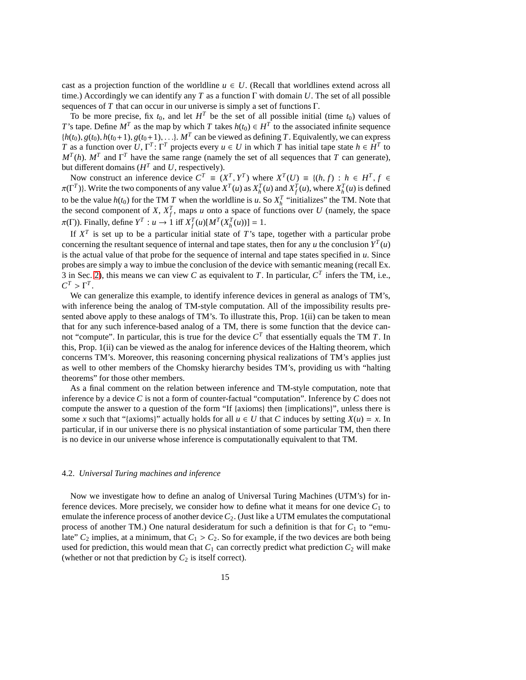cast as a projection function of the worldline  $u \in U$ . (Recall that worldlines extend across all time.) Accordingly we can identify any *T* as a function Γ with domain *U*. The set of all possible sequences of  $T$  that can occur in our universe is simply a set of functions  $\Gamma$ .

To be more precise, fix  $t_0$ , and let  $H^T$  be the set of all possible initial (time  $t_0$ ) values of *T*'s tape. Define  $M^T$  as the map by which *T* takes  $h(t_0) \in H^T$  to the associated infinite sequence  ${h(t_0), g(t_0), h(t_0+1), g(t_0+1), \ldots}$ . *M*<sup>*T*</sup> can be viewed as defining *T*. Equivalently, we can express *T* as a function over *U*,  $\Gamma^T$ :  $\Gamma^T$  projects every  $u \in U$  in which *T* has initial tape state  $h \in H^T$  to  $M^T(h)$ .  $M^T$  and  $\Gamma^T$  have the same range (namely the set of all sequences that *T* can generate), but different domains  $(H<sup>T</sup>$  and  $U$ , respectively).

Now construct an inference device  $C^T \equiv (X^T, Y^T)$  where  $X^T(U) \equiv \{(h, f) : h \in H^T, f \in$  $\pi(\Gamma^T)$ }. Write the two components of any value  $X^T(u)$  as  $X^T_h(u)$  and  $X^T_f(u)$ , where  $X^T_h(u)$  is defined to be the value  $h(t_0)$  for the TM *T* when the worldline is *u*. So  $X_h^T$  "initializes" the TM. Note that the second component of *X*,  $X_f^T$ , maps *u* onto a space of functions over *U* (namely, the space  $\pi(\Gamma)$ ). Finally, define  $Y^T: u \to 1$  iff  $X_f^T(u)[M^T(X_h^T(u))] = 1$ .

If  $X<sup>T</sup>$  is set up to be a particular initial state of *T*'s tape, together with a particular probe concerning the resultant sequence of internal and tape states, then for any  $u$  the conclusion  $Y^T(u)$ is the actual value of that probe for the sequence of internal and tape states specified in *u*. Since probes are simply a way to imbue the conclusion of the device with semantic meaning (recall Ex. 3 in Sec. [2\)](#page-2-0), this means we can view *C* as equivalent to *T*. In particular,  $C<sup>T</sup>$  infers the TM, i.e.,  $C^T > \Gamma^T$ .

We can generalize this example, to identify inference devices in general as analogs of TM's, with inference being the analog of TM-style computation. All of the impossibility results presented above apply to these analogs of TM's. To illustrate this, Prop. 1(ii) can be taken to mean that for any such inference-based analog of a TM, there is some function that the device cannot "compute". In particular, this is true for the device  $C<sup>T</sup>$  that essentially equals the TM *T*. In this, Prop. 1(ii) can be viewed as the analog for inference devices of the Halting theorem, which concerns TM's. Moreover, this reasoning concerning physical realizations of TM's applies just as well to other members of the Chomsky hierarchy besides TM's, providing us with "halting theorems" for those other members.

As a final comment on the relation between inference and TM-style computation, note that inference by a device *C* is not a form of counter-factual "computation". Inference by *C* does not compute the answer to a question of the form "If {axioms} then {implications}", unless there is some *x* such that "{axioms}" actually holds for all  $u \in U$  that *C* induces by setting  $X(u) = x$ . In particular, if in our universe there is no physical instantiation of some particular TM, then there is no device in our universe whose inference is computationally equivalent to that TM.

#### <span id="page-14-0"></span>4.2. *Universal Turing machines and inference*

Now we investigate how to define an analog of Universal Turing Machines (UTM's) for inference devices. More precisely, we consider how to define what it means for one device  $C_1$  to emulate the inference process of another device *C*2. (Just like a UTM emulates the computational process of another TM.) One natural desideratum for such a definition is that for  $C_1$  to "emulate"  $C_2$  implies, at a minimum, that  $C_1 > C_2$ . So for example, if the two devices are both being used for prediction, this would mean that  $C_1$  can correctly predict what prediction  $C_2$  will make (whether or not that prediction by  $C_2$  is itself correct).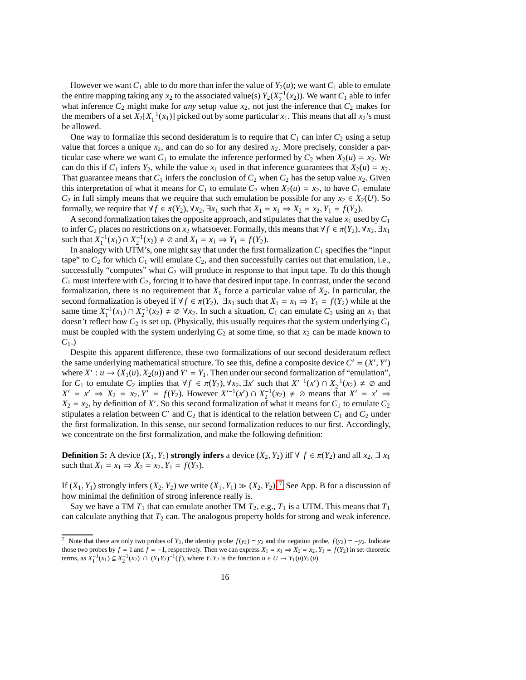However we want  $C_1$  able to do more than infer the value of  $Y_2(u)$ ; we want  $C_1$  able to emulate the entire mapping taking any  $x_2$  to the associated value(s)  $Y_2(X_2^{-1}(x_2))$ . We want  $C_1$  able to infer what inference  $C_2$  might make for *any* setup value  $x_2$ , not just the inference that  $C_2$  makes for the members of a set  $X_2[X_1^{-1}(x_1)]$  picked out by some particular  $x_1$ . This means that all  $x_2$ 's must be allowed.

One way to formalize this second desideratum is to require that  $C_1$  can infer  $C_2$  using a setup value that forces a unique  $x_2$ , and can do so for any desired  $x_2$ . More precisely, consider a particular case where we want  $C_1$  to emulate the inference performed by  $C_2$  when  $X_2(u) = x_2$ . We can do this if  $C_1$  infers  $Y_2$ , while the value  $x_1$  used in that inference guarantees that  $X_2(u) = x_2$ . That guarantee means that  $C_1$  infers the conclusion of  $C_2$  when  $C_2$  has the setup value  $x_2$ . Given this interpretation of what it means for  $C_1$  to emulate  $C_2$  when  $X_2(u) = x_2$ , to have  $C_1$  emulate *C*<sub>2</sub> in full simply means that we require that such emulation be possible for any  $x_2 \in X_2(U)$ . So formally, we require that  $\forall f \in \pi(Y_2)$ ,  $\forall x_2$ ,  $\exists x_1$  such that  $X_1 = x_1 \Rightarrow X_2 = x_2, Y_1 = f(Y_2)$ .

A second formalization takes the opposite approach, and stipulates that the value  $x_1$  used by  $C_1$ to infer  $C_2$  places no restrictions on  $x_2$  whatsoever. Formally, this means that  $\forall f \in \pi(Y_2), \forall x_2, \exists x_1$ such that  $X_1^{-1}(x_1) \cap X_2^{-1}(x_2) \neq \emptyset$  and  $X_1 = x_1 \Rightarrow Y_1 = f(Y_2)$ .

In analogy with UTM's, one might say that under the first formalization  $C_1$  specifies the "input tape" to  $C_2$  for which  $C_1$  will emulate  $C_2$ , and then successfully carries out that emulation, i.e., successfully "computes" what  $C_2$  will produce in response to that input tape. To do this though  $C_1$  must interfere with  $C_2$ , forcing it to have that desired input tape. In contrast, under the second formalization, there is no requirement that  $X_1$  force a particular value of  $X_2$ . In particular, the second formalization is obeyed if  $\forall f \in \pi(Y_2)$ ,  $\exists x_1$  such that  $X_1 = x_1 \Rightarrow Y_1 = f(Y_2)$  while at the same time  $X_1^{-1}(x_1) \cap X_2^{-1}(x_2) \neq \emptyset$   $\forall x_2$ . In such a situation,  $C_1$  can emulate  $C_2$  using an  $x_1$  that doesn't reflect how  $C_2$  is set up. (Physically, this usually requires that the system underlying  $C_1$ must be coupled with the system underlying  $C_2$  at some time, so that  $x_2$  can be made known to *C*1.)

Despite this apparent difference, these two formalizations of our second desideratum reflect the same underlying mathematical structure. To see this, define a composite device  $C' = (X', Y')$ where  $X' : u \to (X_1(u), X_2(u))$  and  $Y' = Y_1$ . Then under our second formalization of "emulation", for  $C_1$  to emulate  $C_2$  implies that  $\forall f \in \pi(Y_2), \forall x_2, \exists x'$  such that  $X'^{-1}(x') \cap X_2^{-1}(x_2) \neq \emptyset$  and *X*<sup>1</sup> = *x*<sup>2</sup> ⇒ *X*<sub>2</sub> = *x*<sub>2</sub>, *Y*<sup>1</sup> = *f*(*Y*<sub>2</sub>). However *X*<sup>1</sup><sup>-1</sup>(*x*<sup>2</sup>) ∩ *X*<sub>2</sub><sup>-1</sup>(*x*<sub>2</sub>) ≠ ∅ means that *X*<sup>1</sup> = *x*<sup>1</sup> ⇒  $X_2 = x_2$ , by definition of *X*'. So this second formalization of what it means for  $C_1$  to emulate  $C_2$ stipulates a relation between  $C'$  and  $C_2$  that is identical to the relation between  $C_1$  and  $C_2$  under the first formalization. In this sense, our second formalization reduces to our first. Accordingly, we concentrate on the first formalization, and make the following definition:

**Definition 5:** A device  $(X_1, Y_1)$  **strongly infers** a device  $(X_2, Y_2)$  iff  $\forall f \in \pi(Y_2)$  and all  $x_2, \exists x_1$ such that  $X_1 = x_1 \Rightarrow X_2 = x_2, Y_1 = f(Y_2)$ .

If  $(X_1, Y_1)$  strongly infers  $(X_2, Y_2)$  we write  $(X_1, Y_1) \gg (X_2, Y_2)$ . <sup>[7](#page-15-0)</sup> See App. B for a discussion of how minimal the definition of strong inference really is.

Say we have a TM  $T_1$  that can emulate another TM  $T_2$ , e.g.,  $T_1$  is a UTM. This means that  $T_1$ can calculate anything that  $T_2$  can. The analogous property holds for strong and weak inference.

<span id="page-15-0"></span><sup>&</sup>lt;sup>7</sup> Note that there are only two probes of *Y*<sub>2</sub>, the identity probe  $f(y_2) = y_2$  and the negation probe,  $f(y_2) = -y_2$ . Indicate those two probes by *f* = 1 and *f* = −1, respectively. Then we can express  $X_1 = x_1 \Rightarrow X_2 = x_2, Y_1 = f(Y_2)$  in set-theoretic terms, as  $X_1^{-1}(x_1) \subseteq X_2^{-1}(x_2)$  ∩  $(Y_1Y_2)^{-1}(f)$ , where  $Y_1Y_2$  is the function  $u \in U \to Y_1(u)Y_2(u)$ .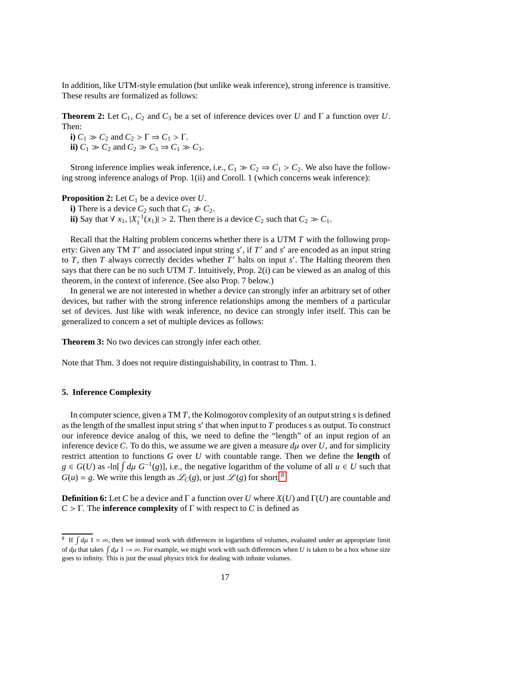In addition, like UTM-style emulation (but unlike weak inference), strong inference is transitive. These results are formalized as follows:

**Theorem 2:** Let  $C_1$ ,  $C_2$  and  $C_3$  be a set of inference devices over *U* and  $\Gamma$  a function over *U*. Then:

**i**)  $C_1 \gg C_2$  and  $C_2 > \Gamma \Rightarrow C_1 > \Gamma$ . **ii**)  $C_1 \gg C_2$  and  $C_2 \gg C_3 \Rightarrow C_1 \gg C_3$ .

Strong inference implies weak inference, i.e.,  $C_1 \gg C_2 \Rightarrow C_1 > C_2$ . We also have the following strong inference analogs of Prop. 1(ii) and Coroll. 1 (which concerns weak inference):

**Proposition 2:** Let  $C_1$  be a device over  $U$ .

**i**) There is a device  $C_2$  such that  $C_1 \not\gg C_2$ . **ii**) Say that ∀  $x_1$ ,  $|X_1^{-1}(x_1)| > 2$ . Then there is a device  $C_2$  such that  $C_2 \gg C_1$ .

Recall that the Halting problem concerns whether there is a UTM *T* with the following property: Given any TM *T'* and associated input string *s'*, if *T'* and *s'* are encoded as an input string to  $T$ , then  $T$  always correctly decides whether  $T'$  halts on input  $s'$ . The Halting theorem then says that there can be no such UTM *T*. Intuitively, Prop. 2(i) can be viewed as an analog of this theorem, in the context of inference. (See also Prop. 7 below.)

In general we are not interested in whether a device can strongly infer an arbitrary set of other devices, but rather with the strong inference relationships among the members of a particular set of devices. Just like with weak inference, no device can strongly infer itself. This can be generalized to concern a set of multiple devices as follows:

**Theorem 3:** No two devices can strongly infer each other.

Note that Thm. 3 does not require distinguishability, in contrast to Thm. 1.

# <span id="page-16-1"></span>**5. Inference Complexity**

In computer science, given a TM *T*, the Kolmogorov complexity of an output string *s* is defined as the length of the smallest input string *s* ′ that when input to *T* produces *s* as output. To construct our inference device analog of this, we need to define the "length" of an input region of an inference device C. To do this, we assume we are given a measure  $d\mu$  over U, and for simplicity restrict attention to functions *G* over *U* with countable range. Then we define the **length** of  $g \in G(U)$  as  $-\ln[\int d\mu G^{-1}(g)]$ , i.e., the negative logarithm of the volume of all  $u \in U$  such that  $G(u) = g$ . We write this length as  $\mathcal{L}_C(g)$ , or just  $\mathcal{L}(g)$  for short. <sup>[8](#page-16-0)</sup>

**Definition 6:** Let *C* be a device and Γ a function over *U* where *X*(*U*) and Γ(*U*) are countable and  $C > Γ$ . The **inference complexity** of Γ with respect to *C* is defined as

<span id="page-16-0"></span><sup>&</sup>lt;sup>8</sup> If  $\int d\mu$  1 =  $\infty$ , then we instead work with differences in logarithms of volumes, evaluated under an appropriate limit of  $d\mu$  that takes  $\int d\mu$  1  $\rightarrow \infty$ . For example, we might work with such differences when *U* is taken to be a box whose size goes to infinity. This is just the usual physics trick for dealing with infinite volumes.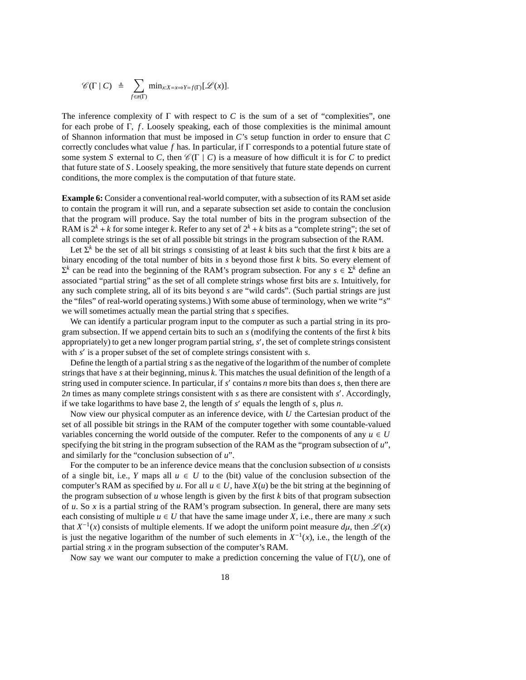$$
\mathscr{C}(\Gamma \mid C) \triangleq \sum_{f \in \pi(\Gamma)} \min_{x:X=x \Rightarrow Y=f(\Gamma)}[\mathscr{L}(x)].
$$

The inference complexity of  $\Gamma$  with respect to C is the sum of a set of "complexities", one for each probe of Γ, *f* . Loosely speaking, each of those complexities is the minimal amount of Shannon information that must be imposed in *C*'s setup function in order to ensure that *C* correctly concludes what value *f* has. In particular, if Γ corresponds to a potential future state of some system *S* external to *C*, then  $\mathcal{C}(\Gamma \mid C)$  is a measure of how difficult it is for *C* to predict that future state of *S* . Loosely speaking, the more sensitively that future state depends on current conditions, the more complex is the computation of that future state.

**Example 6:** Consider a conventional real-world computer, with a subsection of its RAM set aside to contain the program it will run, and a separate subsection set aside to contain the conclusion that the program will produce. Say the total number of bits in the program subsection of the RAM is  $2^k + k$  for some integer k. Refer to any set of  $2^k + k$  bits as a "complete string"; the set of all complete strings is the set of all possible bit strings in the program subsection of the RAM.

Let  $\Sigma^k$  be the set of all bit strings *s* consisting of at least *k* bits such that the first *k* bits are a binary encoding of the total number of bits in *s* beyond those first *k* bits. So every element of  $Σ<sup>k</sup>$  can be read into the beginning of the RAM's program subsection. For any *s* ∈  $Σ<sup>k</sup>$  define an associated "partial string" as the set of all complete strings whose first bits are *s*. Intuitively, for any such complete string, all of its bits beyond *s* are "wild cards". (Such partial strings are just the "files" of real-world operating systems.) With some abuse of terminology, when we write "*s*" we will sometimes actually mean the partial string that *s* specifies.

We can identify a particular program input to the computer as such a partial string in its program subsection. If we append certain bits to such an *s* (modifying the contents of the first *k* bits appropriately) to get a new longer program partial string, *s* ′ , the set of complete strings consistent with *s'* is a proper subset of the set of complete strings consistent with *s*.

Define the length of a partial string *s* as the negative of the logarithm of the number of complete strings that have *s* at their beginning, minus *k*. This matches the usual definition of the length of a string used in computer science. In particular, if *s* ′ contains *n* more bits than does *s*, then there are 2*n* times as many complete strings consistent with *s* as there are consistent with *s* ′ . Accordingly, if we take logarithms to have base 2, the length of *s* ′ equals the length of *s*, plus *n*.

Now view our physical computer as an inference device, with *U* the Cartesian product of the set of all possible bit strings in the RAM of the computer together with some countable-valued variables concerning the world outside of the computer. Refer to the components of any  $u \in U$ specifying the bit string in the program subsection of the RAM as the "program subsection of *u*", and similarly for the "conclusion subsection of *u*".

For the computer to be an inference device means that the conclusion subsection of *u* consists of a single bit, i.e., *Y* maps all  $u \in U$  to the (bit) value of the conclusion subsection of the computer's RAM as specified by *u*. For all  $u \in U$ , have  $X(u)$  be the bit string at the beginning of the program subsection of *u* whose length is given by the first *k* bits of that program subsection of *u*. So *x* is a partial string of the RAM's program subsection. In general, there are many sets each consisting of multiple  $u \in U$  that have the same image under *X*, i.e., there are many *x* such that  $X^{-1}(x)$  consists of multiple elements. If we adopt the uniform point measure  $d\mu$ , then  $\mathscr{L}(x)$ is just the negative logarithm of the number of such elements in  $X^{-1}(x)$ , i.e., the length of the partial string *x* in the program subsection of the computer's RAM.

Now say we want our computer to make a prediction concerning the value of  $\Gamma(U)$ , one of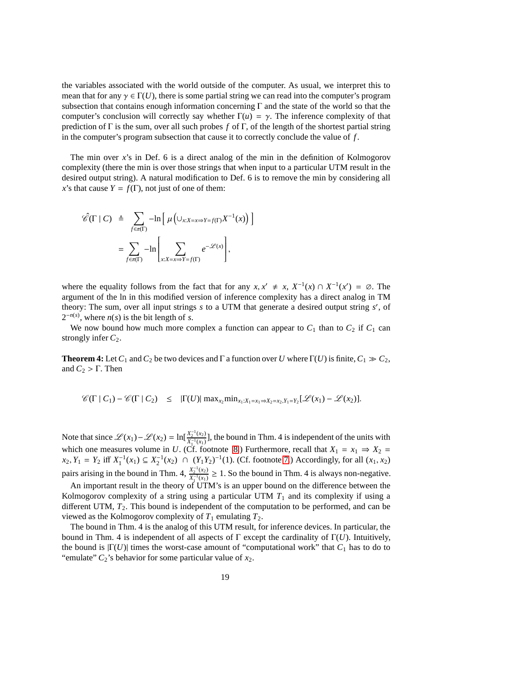the variables associated with the world outside of the computer. As usual, we interpret this to mean that for any  $\gamma \in \Gamma(U)$ , there is some partial string we can read into the computer's program subsection that contains enough information concerning  $\Gamma$  and the state of the world so that the computer's conclusion will correctly say whether  $\Gamma(u) = \gamma$ . The inference complexity of that prediction of Γ is the sum, over all such probes *f* of Γ, of the length of the shortest partial string in the computer's program subsection that cause it to correctly conclude the value of *f* .

The min over *x*'s in Def. 6 is a direct analog of the min in the definition of Kolmogorov complexity (there the min is over those strings that when input to a particular UTM result in the desired output string). A natural modification to Def. 6 is to remove the min by considering all *x*'s that cause  $Y = f(\Gamma)$ , not just of one of them:

$$
\mathscr{C}(\Gamma \mid C) \triangleq \sum_{f \in \pi(\Gamma)} -\ln \left[ \mu \left( \cup_{x:X=x \Rightarrow Y=f(\Gamma)} X^{-1}(x) \right) \right]
$$

$$
= \sum_{f \in \pi(\Gamma)} -\ln \left[ \sum_{x:X=x \Rightarrow Y=f(\Gamma)} e^{-\mathscr{L}(x)} \right],
$$

where the equality follows from the fact that for any  $x, x' \neq x, X^{-1}(x) \cap X^{-1}(x') = \emptyset$ . The argument of the ln in this modified version of inference complexity has a direct analog in TM theory: The sum, over all input strings *s* to a UTM that generate a desired output string *s* ′ , of  $2^{-n(s)}$ , where  $n(s)$  is the bit length of *s*.

We now bound how much more complex a function can appear to  $C_1$  than to  $C_2$  if  $C_1$  can strongly infer  $C_2$ .

**Theorem 4:** Let  $C_1$  and  $C_2$  be two devices and  $\Gamma$  a function over *U* where  $\Gamma(U)$  is finite,  $C_1 \gg C_2$ , and  $C_2 > \Gamma$ . Then

$$
\mathscr{C}(\Gamma \mid C_1) - \mathscr{C}(\Gamma \mid C_2) \leq |\Gamma(U)| \max_{x_2} \min_{x_1: X_1 = x_1 \Rightarrow X_2 = x_2, Y_1 = Y_2} [\mathscr{L}(x_1) - \mathscr{L}(x_2)].
$$

Note that since  $\mathscr{L}(x_1) - \mathscr{L}(x_2) = \ln[\frac{X_2^{-1}(x_2)}{X_2^{-1}(x_1)}]$  $\frac{\lambda_2(\lambda_2)}{\lambda_1^{-1}(x_1)}$ , the bound in Thm. 4 is independent of the units with which one measures volume in *U*. (Cf. footnote [8.](#page-16-0)) Furthermore, recall that  $X_1 = x_1 \Rightarrow X_2 =$ *x*<sub>2</sub>, *Y*<sub>1</sub> = *Y*<sub>2</sub> iff *X*<sub>1</sub><sup>-1</sup>(*x*<sub>1</sub>) ⊆ *X*<sub>2</sub><sup>-1</sup>(*x*<sub>2</sub>) ∩ (*Y*<sub>1</sub>*Y*<sub>2</sub>)<sup>-1</sup>(1). (Cf. footnote [7.](#page-14-0)) Accordingly, for all (*x*<sub>1</sub>, *x*<sub>2</sub>) pairs arising in the bound in Thm. 4,  $\frac{X_2^{-1}(x_2)}{X_2^{-1}(x_1)}$  $\frac{\lambda_2(\lambda_2)}{\lambda_1^{-1}(x_1)} \ge 1$ . So the bound in Thm. 4 is always non-negative.

An important result in the theory of UTM's is an upper bound on the difference between the Kolmogorov complexity of a string using a particular UTM  $T_1$  and its complexity if using a different UTM,  $T_2$ . This bound is independent of the computation to be performed, and can be viewed as the Kolmogorov complexity of  $T_1$  emulating  $T_2$ .

The bound in Thm. 4 is the analog of this UTM result, for inference devices. In particular, the bound in Thm. 4 is independent of all aspects of Γ except the cardinality of Γ(*U*). Intuitively, the bound is  $|\Gamma(U)|$  times the worst-case amount of "computational work" that  $C_1$  has to do to "emulate"  $C_2$ 's behavior for some particular value of  $x_2$ .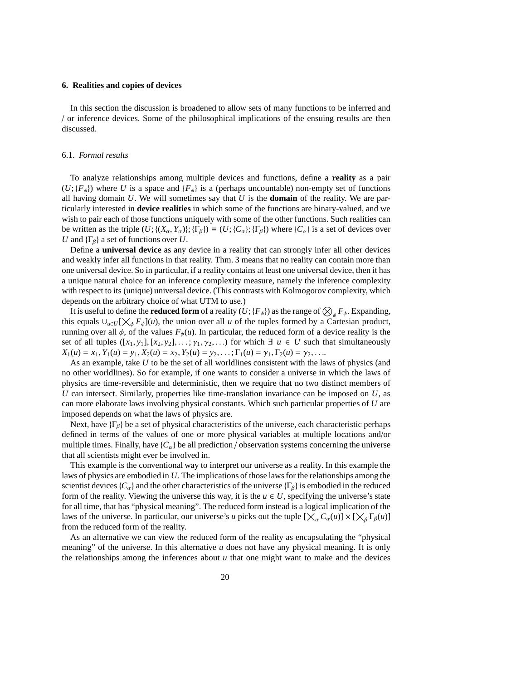#### **6. Realities and copies of devices**

In this section the discussion is broadened to allow sets of many functions to be inferred and / or inference devices. Some of the philosophical implications of the ensuing results are then discussed.

## 6.1. *Formal results*

To analyze relationships among multiple devices and functions, define a **reality** as a pair  $(U; {F<sub>\phi</sub>})$  where *U* is a space and  ${F<sub>\phi</sub>}$  is a (perhaps uncountable) non-empty set of functions all having domain *U*. We will sometimes say that *U* is the **domain** of the reality. We are particularly interested in **device realities** in which some of the functions are binary-valued, and we wish to pair each of those functions uniquely with some of the other functions. Such realities can be written as the triple  $(U; \{(X_\alpha, Y_\alpha)\}; {\Gamma_\beta}) \equiv (U; \{C_\alpha\}; {\Gamma_\beta})$  where  $\{C_\alpha\}$  is a set of devices over *U* and  $\{\Gamma_{\beta}\}\$ a set of functions over *U*.

Define a **universal device** as any device in a reality that can strongly infer all other devices and weakly infer all functions in that reality. Thm. 3 means that no reality can contain more than one universal device. So in particular, if a reality contains at least one universal device, then it has a unique natural choice for an inference complexity measure, namely the inference complexity with respect to its (unique) universal device. (This contrasts with Kolmogorov complexity, which depends on the arbitrary choice of what UTM to use.)

It is useful to define the **reduced form** of a reality  $(U;\{F_\phi\})$  as the range of  $\bigotimes_\phi F_\phi.$  Expanding, this equals  $\cup_{u \in U} [\times_{\phi} F_{\phi}](u)$ , the union over all *u* of the tuples formed by a Cartesian product, running over all  $\phi$ , of the values  $F_{\phi}(u)$ . In particular, the reduced form of a device reality is the set of all tuples  $([x_1, y_1], [x_2, y_2], \ldots; \gamma_1, \gamma_2, \ldots)$  for which  $\exists u \in U$  such that simultaneously  $X_1(u) = x_1, Y_1(u) = y_1, X_2(u) = x_2, Y_2(u) = y_2, \ldots; \Gamma_1(u) = \gamma_1, \Gamma_2(u) = \gamma_2, \ldots$ 

As an example, take *U* to be the set of all worldlines consistent with the laws of physics (and no other worldlines). So for example, if one wants to consider a universe in which the laws of physics are time-reversible and deterministic, then we require that no two distinct members of *U* can intersect. Similarly, properties like time-translation invariance can be imposed on *U*, as can more elaborate laws involving physical constants. Which such particular properties of *U* are imposed depends on what the laws of physics are.

Next, have  $\{\Gamma_\beta\}$  be a set of physical characteristics of the universe, each characteristic perhaps defined in terms of the values of one or more physical variables at multiple locations and/or multiple times. Finally, have  ${C_\alpha}$  be all prediction / observation systems concerning the universe that all scientists might ever be involved in.

This example is the conventional way to interpret our universe as a reality. In this example the laws of physics are embodied in *U*. The implications of those laws for the relationships among the scientist devices { $C_{\alpha}$ } and the other characteristics of the universe { $\Gamma_{\beta}$ } is embodied in the reduced form of the reality. Viewing the universe this way, it is the  $u \in U$ , specifying the universe's state for all time, that has "physical meaning". The reduced form instead is a logical implication of the laws of the universe. In particular, our universe's *u* picks out the tuple  $[\times_{\alpha} C_{\alpha}(u)] \times [\times_{\beta} \Gamma_{\beta}(u)]$ from the reduced form of the reality.

As an alternative we can view the reduced form of the reality as encapsulating the "physical meaning" of the universe. In this alternative *u* does not have any physical meaning. It is only the relationships among the inferences about  $u$  that one might want to make and the devices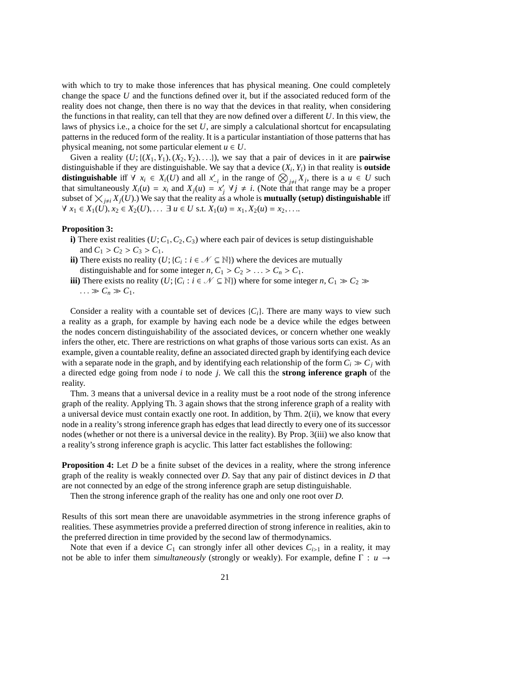with which to try to make those inferences that has physical meaning. One could completely change the space *U* and the functions defined over it, but if the associated reduced form of the reality does not change, then there is no way that the devices in that reality, when considering the functions in that reality, can tell that they are now defined over a different *U*. In this view, the laws of physics i.e., a choice for the set *U*, are simply a calculational shortcut for encapsulating patterns in the reduced form of the reality. It is a particular instantiation of those patterns that has physical meaning, not some particular element  $u \in U$ .

Given a reality  $(U; \{(X_1, Y_1), (X_2, Y_2), \ldots\})$ , we say that a pair of devices in it are **pairwise** distinguishable if they are distinguishable. We say that a device (*X<sup>i</sup>* , *Yi*) in that reality is **outside distinguishable** if  $\forall x_i \in X_i(U)$  and all  $x'_{-i}$  in the range of  $\bigotimes_{j \neq i} X_j$ , there is a  $u \in U$  such that simultaneously  $X_i(u) = x_i$  and  $X_j(u) = x'_j \forall j \neq i$ . (Note that that range may be a proper subset of  $\times_{j\neq i} X_j(U)$ .) We say that the reality as a whole is **mutually (setup) distinguishable** iff  $∀ x<sub>1</sub> ∈ X<sub>1</sub>(U), x<sub>2</sub> ∈ X<sub>2</sub>(U), ... ∃ u ∈ U s.t. X<sub>1</sub>(u) = x<sub>1</sub>, X<sub>2</sub>(u) = x<sub>2</sub>, ...$ 

## **Proposition 3:**

- **i)** There exist realities  $(U; C_1, C_2, C_3)$  where each pair of devices is setup distinguishable and  $C_1 > C_2 > C_3 > C_1$ .
- **ii**) There exists no reality  $(U; \{C_i : i \in \mathcal{N} \subseteq \mathbb{N}\})$  where the devices are mutually distinguishable and for some integer  $n, C_1 > C_2 > ... > C_n > C_1$ .
- **iii**) There exists no reality  $(U; \{C_i : i \in \mathcal{N} \subseteq \mathbb{N}\})$  where for some integer  $n, C_1 \gg C_2 \gg$ ...  $\gg C_n \gg C_1$ .

Consider a reality with a countable set of devices  ${C_i}$ . There are many ways to view such a reality as a graph, for example by having each node be a device while the edges between the nodes concern distinguishability of the associated devices, or concern whether one weakly infers the other, etc. There are restrictions on what graphs of those various sorts can exist. As an example, given a countable reality, define an associated directed graph by identifying each device with a separate node in the graph, and by identifying each relationship of the form  $C_i \gg C_j$  with a directed edge going from node *i* to node *j*. We call this the **strong inference graph** of the reality.

Thm. 3 means that a universal device in a reality must be a root node of the strong inference graph of the reality. Applying Th. 3 again shows that the strong inference graph of a reality with a universal device must contain exactly one root. In addition, by Thm. 2(ii), we know that every node in a reality's strong inference graph has edges that lead directly to every one of its successor nodes (whether or not there is a universal device in the reality). By Prop. 3(iii) we also know that a reality's strong inference graph is acyclic. This latter fact establishes the following:

**Proposition 4:** Let *D* be a finite subset of the devices in a reality, where the strong inference graph of the reality is weakly connected over *D*. Say that any pair of distinct devices in *D* that are not connected by an edge of the strong inference graph are setup distinguishable.

Then the strong inference graph of the reality has one and only one root over *D*.

Results of this sort mean there are unavoidable asymmetries in the strong inference graphs of realities. These asymmetries provide a preferred direction of strong inference in realities, akin to the preferred direction in time provided by the second law of thermodynamics.

Note that even if a device  $C_1$  can strongly infer all other devices  $C_{i>1}$  in a reality, it may not be able to infer them *simultaneously* (strongly or weakly). For example, define Γ : *u* →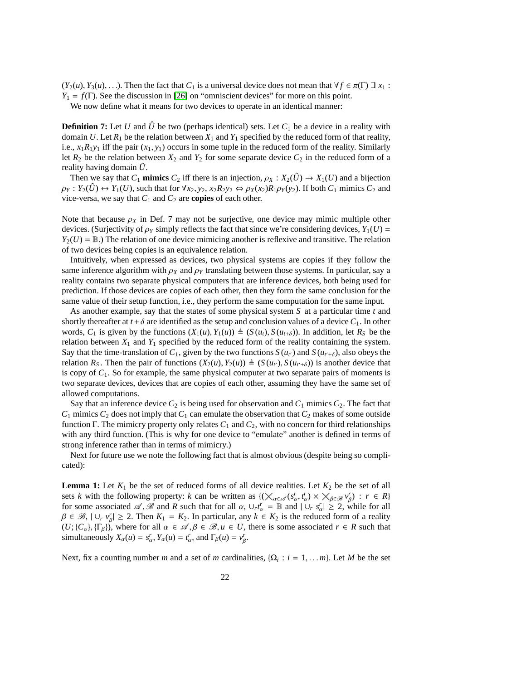$(Y_2(u), Y_3(u), \ldots)$ . Then the fact that  $C_1$  is a universal device does not mean that  $\forall f \in \pi(\Gamma) \exists x_1$ :  $Y_1 = f(\Gamma)$ . See the discussion in [\[26\]](#page-41-15) on "omniscient devices" for more on this point.

We now define what it means for two devices to operate in an identical manner:

**Definition 7:** Let *U* and  $\hat{U}$  be two (perhaps identical) sets. Let  $C_1$  be a device in a reality with domain *U*. Let  $R_1$  be the relation between  $X_1$  and  $Y_1$  specified by the reduced form of that reality, i.e.,  $x_1R_1y_1$  iff the pair  $(x_1, y_1)$  occurs in some tuple in the reduced form of the reality. Similarly let  $R_2$  be the relation between  $X_2$  and  $Y_2$  for some separate device  $C_2$  in the reduced form of a reality having domain *U*ˆ.

Then we say that  $C_1$  **mimics**  $C_2$  iff there is an injection,  $\rho_X : X_2(\hat{U}) \to X_1(U)$  and a bijection  $\rho_Y: Y_2(\hat{U}) \leftrightarrow Y_1(U)$ , such that for  $\forall x_2, y_2, x_2R_2y_2 \Leftrightarrow \rho_X(x_2)R_1\rho_Y(y_2)$ . If both  $C_1$  mimics  $C_2$  and vice-versa, we say that  $C_1$  and  $C_2$  are **copies** of each other.

Note that because  $\rho_X$  in Def. 7 may not be surjective, one device may mimic multiple other devices. (Surjectivity of  $\rho_Y$  simply reflects the fact that since we're considering devices,  $Y_1(U)$  =  $Y_2(U) = \mathbb{B}$ .) The relation of one device mimicing another is reflexive and transitive. The relation of two devices being copies is an equivalence relation.

Intuitively, when expressed as devices, two physical systems are copies if they follow the same inference algorithm with  $\rho_X$  and  $\rho_Y$  translating between those systems. In particular, say a reality contains two separate physical computers that are inference devices, both being used for prediction. If those devices are copies of each other, then they form the same conclusion for the same value of their setup function, i.e., they perform the same computation for the same input.

As another example, say that the states of some physical system *S* at a particular time *t* and shortly thereafter at  $t + \delta$  are identified as the setup and conclusion values of a device  $C_1$ . In other words,  $C_1$  is given by the functions  $(X_1(u), Y_1(u)) \triangleq (S(u_t), S(u_{t+\delta}))$ . In addition, let  $R_S$  be the relation between  $X_1$  and  $Y_1$  specified by the reduced form of the reality containing the system. Say that the time-translation of  $C_1$ , given by the two functions  $S(u_{t})$  and  $S(u_{t'+\delta})$ , also obeys the relation  $R_S$ . Then the pair of functions  $(X_2(u), Y_2(u)) \triangleq (S(u_{t'},), S(u_{t'+\delta}))$  is another device that is copy of *C*1. So for example, the same physical computer at two separate pairs of moments is two separate devices, devices that are copies of each other, assuming they have the same set of allowed computations.

Say that an inference device  $C_2$  is being used for observation and  $C_1$  mimics  $C_2$ . The fact that  $C_1$  mimics  $C_2$  does not imply that  $C_1$  can emulate the observation that  $C_2$  makes of some outside function Γ. The mimicry property only relates  $C_1$  and  $C_2$ , with no concern for third relationships with any third function. (This is why for one device to "emulate" another is defined in terms of strong inference rather than in terms of mimicry.)

Next for future use we note the following fact that is almost obvious (despite being so complicated):

**Lemma 1:** Let  $K_1$  be the set of reduced forms of all device realities. Let  $K_2$  be the set of all sets *k* with the following property: *k* can be written as  $\{(\times_{\alpha \in \mathscr{A}} (s_\alpha^r, t_\alpha^r) \times \times_{\beta \in \mathscr{B}} v_\beta^r) : r \in R\}$ for some associated  $\mathscr{A}, \mathscr{B}$  and *R* such that for all  $\alpha$ ,  $\cup_r t^r_{\alpha} = \mathbb{B}$  and  $|\cup_r s^r_{\alpha}| \geq 2$ , while for all  $\beta \in \mathcal{B}$ ,  $|\cup_r v_{\beta}'| \geq 2$ . Then  $K_1 = K_2$ . In particular, any  $k \in K_2$  is the reduced form of a reality  $(U; {C_{\alpha}}, {F_{\beta}})$ , where for all  $\alpha \in \mathcal{A}, \beta \in \mathcal{B}, u \in U$ , there is some associated  $r \in R$  such that simultaneously  $X_{\alpha}(u) = s_{\alpha}^r$ ,  $Y_{\alpha}(u) = t_{\alpha}^r$ , and  $\Gamma_{\beta}(u) = v_{\beta}^r$ .

Next, fix a counting number *m* and a set of *m* cardinalities,  $\{\Omega_i : i = 1, \ldots m\}$ . Let *M* be the set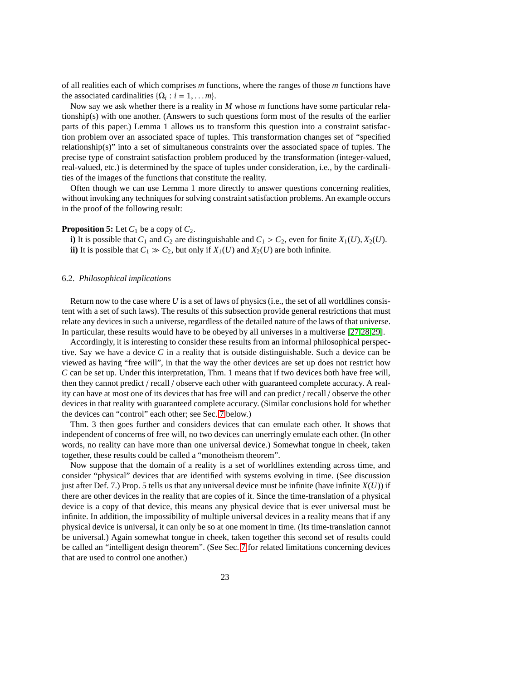of all realities each of which comprises *m* functions, where the ranges of those *m* functions have the associated cardinalities  $\{\Omega_i : i = 1, \dots m\}.$ 

Now say we ask whether there is a reality in *M* whose *m* functions have some particular relationship(s) with one another. (Answers to such questions form most of the results of the earlier parts of this paper.) Lemma 1 allows us to transform this question into a constraint satisfaction problem over an associated space of tuples. This transformation changes set of "specified relationship(s)" into a set of simultaneous constraints over the associated space of tuples. The precise type of constraint satisfaction problem produced by the transformation (integer-valued, real-valued, etc.) is determined by the space of tuples under consideration, i.e., by the cardinalities of the images of the functions that constitute the reality.

Often though we can use Lemma 1 more directly to answer questions concerning realities, without invoking any techniques for solving constraint satisfaction problems. An example occurs in the proof of the following result:

## **Proposition 5:** Let  $C_1$  be a copy of  $C_2$ .

**i**) It is possible that  $C_1$  and  $C_2$  are distinguishable and  $C_1 > C_2$ , even for finite  $X_1(U), X_2(U)$ . **ii**) It is possible that  $C_1 \gg C_2$ , but only if  $X_1(U)$  and  $X_2(U)$  are both infinite.

## <span id="page-22-0"></span>6.2. *Philosophical implications*

Return now to the case where *U* is a set of laws of physics (i.e., the set of all worldlines consistent with a set of such laws). The results of this subsection provide general restrictions that must relate any devices in such a universe, regardless of the detailed nature of the laws of that universe. In particular, these results would have to be obeyed by all universes in a multiverse [\[27,](#page-41-16)[28,](#page-41-17)[29\]](#page-41-18).

Accordingly, it is interesting to consider these results from an informal philosophical perspective. Say we have a device  $C$  in a reality that is outside distinguishable. Such a device can be viewed as having "free will", in that the way the other devices are set up does not restrict how *C* can be set up. Under this interpretation, Thm. 1 means that if two devices both have free will, then they cannot predict / recall / observe each other with guaranteed complete accuracy. A reality can have at most one of its devices that has free will and can predict / recall / observe the other devices in that reality with guaranteed complete accuracy. (Similar conclusions hold for whether the devices can "control" each other; see Sec. [7](#page-23-0) below.)

Thm. 3 then goes further and considers devices that can emulate each other. It shows that independent of concerns of free will, no two devices can unerringly emulate each other. (In other words, no reality can have more than one universal device.) Somewhat tongue in cheek, taken together, these results could be called a "monotheism theorem".

Now suppose that the domain of a reality is a set of worldlines extending across time, and consider "physical" devices that are identified with systems evolving in time. (See discussion just after Def. 7.) Prop. 5 tells us that any universal device must be infinite (have infinite  $X(U)$ ) if there are other devices in the reality that are copies of it. Since the time-translation of a physical device is a copy of that device, this means any physical device that is ever universal must be infinite. In addition, the impossibility of multiple universal devices in a reality means that if any physical device is universal, it can only be so at one moment in time. (Its time-translation cannot be universal.) Again somewhat tongue in cheek, taken together this second set of results could be called an "intelligent design theorem". (See Sec. [7](#page-23-0) for related limitations concerning devices that are used to control one another.)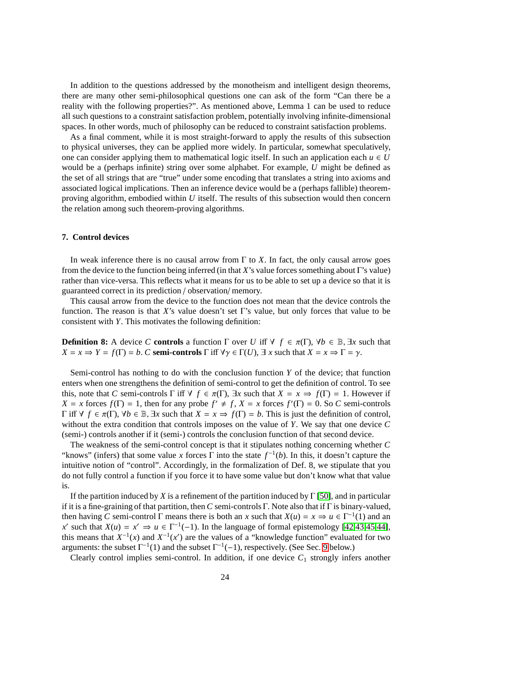In addition to the questions addressed by the monotheism and intelligent design theorems, there are many other semi-philosophical questions one can ask of the form "Can there be a reality with the following properties?". As mentioned above, Lemma 1 can be used to reduce all such questions to a constraint satisfaction problem, potentially involving infinite-dimensional spaces. In other words, much of philosophy can be reduced to constraint satisfaction problems.

As a final comment, while it is most straight-forward to apply the results of this subsection to physical universes, they can be applied more widely. In particular, somewhat speculatively, one can consider applying them to mathematical logic itself. In such an application each  $u \in U$ would be a (perhaps infinite) string over some alphabet. For example, *U* might be defined as the set of all strings that are "true" under some encoding that translates a string into axioms and associated logical implications. Then an inference device would be a (perhaps fallible) theoremproving algorithm, embodied within *U* itself. The results of this subsection would then concern the relation among such theorem-proving algorithms.

#### <span id="page-23-0"></span>**7. Control devices**

In weak inference there is no causal arrow from  $\Gamma$  to *X*. In fact, the only causal arrow goes from the device to the function being inferred (in that *X*'s value forces something about Γ's value) rather than vice-versa. This reflects what it means for us to be able to set up a device so that it is guaranteed correct in its prediction / observation/ memory.

This causal arrow from the device to the function does not mean that the device controls the function. The reason is that *X*'s value doesn't set Γ's value, but only forces that value to be consistent with *Y*. This motivates the following definition:

**Definition 8:** A device *C* **controls** a function  $\Gamma$  over *U* iff  $\forall f \in \pi(\Gamma)$ ,  $\forall b \in \mathbb{B}$ ,  $\exists x$  such that *X* = *x* ⇒ *Y* = *f*(Γ) = *b*. *C* **semi-controls** Γ iff  $\forall$ γ ∈ Γ(*U*), ∃ *x* such that *X* = *x* ⇒ Γ = γ.

Semi-control has nothing to do with the conclusion function *Y* of the device; that function enters when one strengthens the definition of semi-control to get the definition of control. To see this, note that *C* semi-controls  $\Gamma$  iff  $\forall$  *f*  $\in \pi(\Gamma)$ ,  $\exists x$  such that  $X = x \Rightarrow f(\Gamma) = 1$ . However if  $X = x$  forces  $f(\Gamma) = 1$ , then for any probe  $f' \neq f$ ,  $X = x$  forces  $f'(\Gamma) = 0$ . So *C* semi-controls Γ iff ∀ *f* ∈ π(Γ), ∀*b* ∈ B, ∃*x* such that *X* = *x* ⇒ *f*(Γ) = *b*. This is just the definition of control, without the extra condition that controls imposes on the value of *Y*. We say that one device *C* (semi-) controls another if it (semi-) controls the conclusion function of that second device.

The weakness of the semi-control concept is that it stipulates nothing concerning whether *C* "knows" (infers) that some value *x* forces  $\Gamma$  into the state  $f^{-1}(b)$ . In this, it doesn't capture the intuitive notion of "control". Accordingly, in the formalization of Def. 8, we stipulate that you do not fully control a function if you force it to have some value but don't know what that value is.

If the partition induced by *X* is a refinement of the partition induced by Γ [\[50\]](#page-42-3), and in particular if it is a fine-graining of that partition, then *C* semi-controls Γ. Note also that if Γ is binary-valued, then having *C* semi-control  $\Gamma$  means there is both an *x* such that  $X(u) = x \Rightarrow u \in \Gamma^{-1}(1)$  and an *x*′ such that  $X(u) = x' \Rightarrow u \in \Gamma^{-1}(-1)$ . In the language of formal epistemology [\[42](#page-41-31)[,43](#page-41-32)[,45](#page-41-34)[,44\]](#page-41-33), this means that  $X^{-1}(x)$  and  $X^{-1}(x')$  are the values of a "knowledge function" evaluated for two arguments: the subset  $\Gamma^{-1}(1)$  and the subset  $\Gamma^{-1}(-1)$ , respectively. (See Sec. [9](#page-26-0) below.)

Clearly control implies semi-control. In addition, if one device  $C_1$  strongly infers another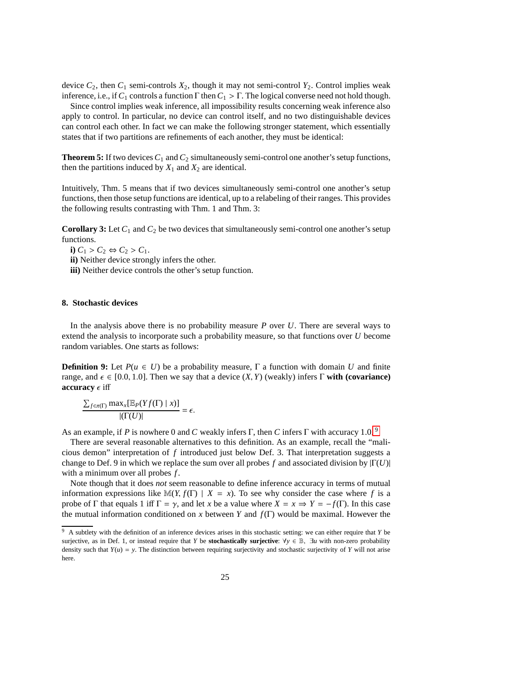device  $C_2$ , then  $C_1$  semi-controls  $X_2$ , though it may not semi-control  $Y_2$ . Control implies weak inference, i.e., if  $C_1$  controls a function  $\Gamma$  then  $C_1 > \Gamma$ . The logical converse need not hold though.

Since control implies weak inference, all impossibility results concerning weak inference also apply to control. In particular, no device can control itself, and no two distinguishable devices can control each other. In fact we can make the following stronger statement, which essentially states that if two partitions are refinements of each another, they must be identical:

**Theorem 5:** If two devices*C*<sup>1</sup> and *C*<sup>2</sup> simultaneously semi-control one another's setup functions, then the partitions induced by  $X_1$  and  $X_2$  are identical.

Intuitively, Thm. 5 means that if two devices simultaneously semi-control one another's setup functions, then those setup functions are identical, up to a relabeling of their ranges. This provides the following results contrasting with Thm. 1 and Thm. 3:

**Corollary 3:** Let  $C_1$  and  $C_2$  be two devices that simultaneously semi-control one another's setup functions.

**i**)  $C_1 > C_2 \Leftrightarrow C_2 > C_1$ . **ii)** Neither device strongly infers the other. **iii)** Neither device controls the other's setup function.

## **8. Stochastic devices**

In the analysis above there is no probability measure *P* over *U*. There are several ways to extend the analysis to incorporate such a probability measure, so that functions over *U* become random variables. One starts as follows:

**Definition 9:** Let  $P(u \in U)$  be a probability measure,  $\Gamma$  a function with domain U and finite range, and  $\epsilon \in [0.0, 1.0]$ . Then we say that a device  $(X, Y)$  (weakly) infers  $\Gamma$  with (covariance) **accuracy**  $\epsilon$  iff

$$
\frac{\sum_{f \in \pi(\Gamma)} \max_x [\mathbb{E}_P(Yf(\Gamma) \mid x)]}{|\Gamma(U)|} = \epsilon.
$$

As an example, if *P* is nowhere 0 and *C* weakly infers Γ, then *C* infers Γ with accuracy 1.0. [9](#page-24-0)

There are several reasonable alternatives to this definition. As an example, recall the "malicious demon" interpretation of *f* introduced just below Def. 3. That interpretation suggests a change to Def. 9 in which we replace the sum over all probes *f* and associated division by  $|{\Gamma}(U)|$ with a minimum over all probes *f* .

Note though that it does *not* seem reasonable to define inference accuracy in terms of mutual information expressions like  $\mathbb{M}(Y, f(\Gamma) \mid X = x)$ . To see why consider the case where f is a probe of Γ that equals 1 iff  $\Gamma = \gamma$ , and let *x* be a value where  $X = x \Rightarrow Y = -f(\Gamma)$ . In this case the mutual information conditioned on *x* between *Y* and *f*(Γ) would be maximal. However the

<span id="page-24-0"></span><sup>9</sup> A subtlety with the definition of an inference devices arises in this stochastic setting: we can either require that *Y* be surjective, as in Def. 1, or instead require that *Y* be **stochastically surjective**: ∀*y* ∈ B, ∃*u* with non-zero probability density such that *Y*(*u*) = *y*. The distinction between requiring surjectivity and stochastic surjectivity of *Y* will not arise here.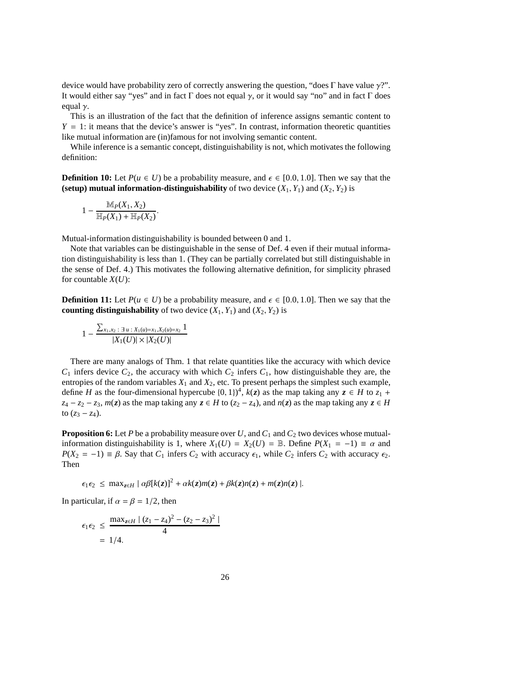device would have probability zero of correctly answering the question, "does Γ have value  $γ$ ". It would either say "yes" and in fact Γ does not equal γ, or it would say "no" and in fact Γ does equal  $\gamma$ .

This is an illustration of the fact that the definition of inference assigns semantic content to  $Y = 1$ : it means that the device's answer is "yes". In contrast, information theoretic quantities like mutual information are (in)famous for not involving semantic content.

While inference is a semantic concept, distinguishability is not, which motivates the following definition:

**Definition 10:** Let  $P(u \in U)$  be a probability measure, and  $\epsilon \in [0.0, 1.0]$ . Then we say that the (setup) mutual information-distinguishability of two device  $(X_1, Y_1)$  and  $(X_2, Y_2)$  is

$$
1-\frac{\mathbb{M}_P(X_1,X_2)}{\mathbb{H}_P(X_1)+\mathbb{H}_P(X_2)}
$$

Mutual-information distinguishability is bounded between 0 and 1.

.

Note that variables can be distinguishable in the sense of Def. 4 even if their mutual information distinguishability is less than 1. (They can be partially correlated but still distinguishable in the sense of Def. 4.) This motivates the following alternative definition, for simplicity phrased for countable  $X(U)$ :

**Definition 11:** Let  $P(u \in U)$  be a probability measure, and  $\epsilon \in [0.0, 1.0]$ . Then we say that the **counting distinguishability** of two device  $(X_1, Y_1)$  and  $(X_2, Y_2)$  is

$$
1 - \frac{\sum_{x_1, x_2 \colon \exists u \colon X_1(u) = x_1, X_2(u) = x_2} 1}{|X_1(U)| \times |X_2(U)|}
$$

There are many analogs of Thm. 1 that relate quantities like the accuracy with which device  $C_1$  infers device  $C_2$ , the accuracy with which  $C_2$  infers  $C_1$ , how distinguishable they are, the entropies of the random variables  $X_1$  and  $X_2$ , etc. To present perhaps the simplest such example, define *H* as the four-dimensional hypercube  $\{0, 1\}^4$ ,  $k(z)$  as the map taking any  $z \in H$  to  $z_1 +$ *z*<sub>4</sub> − *z*<sub>2</sub> − *z*<sub>3</sub>, *m*(*z*) as the map taking any *z* ∈ *H* to (*z*<sub>2</sub> − *z*<sub>4</sub>), and *n*(*z*) as the map taking any *z* ∈ *H* to  $(z_3 - z_4)$ .

**Proposition 6:** Let *P* be a probability measure over *U*, and  $C_1$  and  $C_2$  two devices whose mutualinformation distinguishability is 1, where  $X_1(U) = X_2(U) = \mathbb{B}$ . Define  $P(X_1 = -1) \equiv \alpha$  and  $P(X_2 = -1) \equiv \beta$ . Say that  $C_1$  infers  $C_2$  with accuracy  $\epsilon_1$ , while  $C_2$  infers  $C_2$  with accuracy  $\epsilon_2$ . Then

 $\epsilon_1 \epsilon_2 \leq \max_{z \in H} |\alpha \beta[k(z)]^2 + \alpha k(z)m(z) + \beta k(z)n(z) + m(z)n(z)$ .

In particular, if  $\alpha = \beta = 1/2$ , then

$$
\epsilon_1 \epsilon_2 \le \frac{\max_{z \in H} |(z_1 - z_4)^2 - (z_2 - z_3)^2|}{4}
$$
  
= 1/4.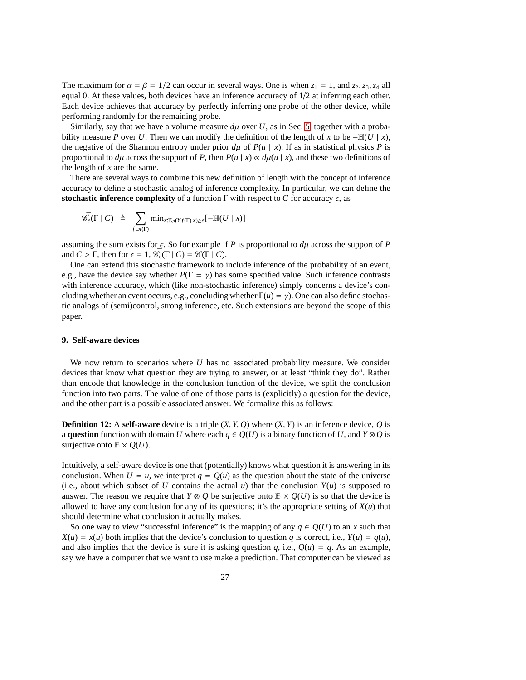The maximum for  $\alpha = \beta = 1/2$  can occur in several ways. One is when  $z_1 = 1$ , and  $z_2$ ,  $z_3$ ,  $z_4$  all equal 0. At these values, both devices have an inference accuracy of 1/2 at inferring each other. Each device achieves that accuracy by perfectly inferring one probe of the other device, while performing randomly for the remaining probe.

Similarly, say that we have a volume measure  $d\mu$  over *U*, as in Sec. [5,](#page-16-1) together with a probability measure *P* over *U*. Then we can modify the definition of the length of *x* to be  $-\mathbb{H}(U \mid x)$ , the negative of the Shannon entropy under prior  $d\mu$  of  $P(u \mid x)$ . If as in statistical physics P is proportional to  $d\mu$  across the support of *P*, then  $P(u | x) \propto d\mu(u | x)$ , and these two definitions of the length of *x* are the same.

There are several ways to combine this new definition of length with the concept of inference accuracy to define a stochastic analog of inference complexity. In particular, we can define the **stochastic inference complexity** of a function  $\Gamma$  with respect to *C* for accuracy  $\epsilon$ , as

$$
\bar{\mathscr{C}}_{\epsilon}(\Gamma \mid C) \triangleq \sum_{f \in \pi(\Gamma)} \min_{x : \mathbb{E}_P(Yf(\Gamma)|x) \geq \epsilon} [-\mathbb{H}(U \mid x)]
$$

assuming the sum exists for  $\epsilon$ . So for example if *P* is proportional to  $d\mu$  across the support of *P* and  $C > \Gamma$ , then for  $\epsilon = 1$ ,  $\overline{\mathcal{C}}_{\epsilon}(\Gamma \mid C) = \mathcal{C}(\Gamma \mid C)$ .

One can extend this stochastic framework to include inference of the probability of an event, e.g., have the device say whether  $P(\Gamma = \gamma)$  has some specified value. Such inference contrasts with inference accuracy, which (like non-stochastic inference) simply concerns a device's concluding whether an event occurs, e.g., concluding whether  $\Gamma(u) = \gamma$ ). One can also define stochastic analogs of (semi)control, strong inference, etc. Such extensions are beyond the scope of this paper.

## <span id="page-26-0"></span>**9. Self-aware devices**

We now return to scenarios where U has no associated probability measure. We consider devices that know what question they are trying to answer, or at least "think they do". Rather than encode that knowledge in the conclusion function of the device, we split the conclusion function into two parts. The value of one of those parts is (explicitly) a question for the device, and the other part is a possible associated answer. We formalize this as follows:

**Definition 12:** A **self-aware** device is a triple  $(X, Y, Q)$  where  $(X, Y)$  is an inference device,  $Q$  is a **question** function with domain *U* where each  $q \in Q(U)$  is a binary function of *U*, and  $Y \otimes Q$  is surjective onto  $\mathbb{B} \times O(U)$ .

Intuitively, a self-aware device is one that (potentially) knows what question it is answering in its conclusion. When  $U = u$ , we interpret  $q = Q(u)$  as the question about the state of the universe (i.e., about which subset of *U* contains the actual *u*) that the conclusion  $Y(u)$  is supposed to answer. The reason we require that *Y* ⊗ *Q* be surjective onto  $\mathbb{B} \times Q(U)$  is so that the device is allowed to have any conclusion for any of its questions; it's the appropriate setting of  $X(u)$  that should determine what conclusion it actually makes.

So one way to view "successful inference" is the mapping of any  $q \in Q(U)$  to an *x* such that  $X(u) = x(u)$  both implies that the device's conclusion to question *q* is correct, i.e.,  $Y(u) = q(u)$ , and also implies that the device is sure it is asking question *q*, i.e.,  $Q(u) = q$ . As an example, say we have a computer that we want to use make a prediction. That computer can be viewed as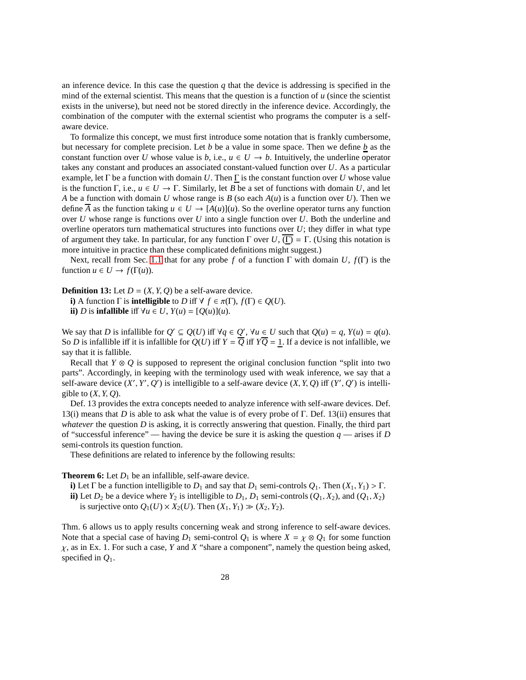an inference device. In this case the question  $q$  that the device is addressing is specified in the mind of the external scientist. This means that the question is a function of *u* (since the scientist exists in the universe), but need not be stored directly in the inference device. Accordingly, the combination of the computer with the external scientist who programs the computer is a selfaware device.

To formalize this concept, we must first introduce some notation that is frankly cumbersome, but necessary for complete precision. Let *b* be a value in some space. Then we define *b* as the constant function over *U* whose value is *b*, i.e.,  $u \in U \rightarrow b$ . Intuitively, the underline operator takes any constant and produces an associated constant-valued function over *U*. As a particular example, let  $\Gamma$  be a function with domain *U*. Then  $\Gamma$  is the constant function over *U* whose value is the function  $\Gamma$ , i.e.,  $u \in U \to \Gamma$ . Similarly, let *B* be a set of functions with domain *U*, and let *A* be a function with domain *U* whose range is *B* (so each  $A(u)$  is a function over *U*). Then we define  $\overline{A}$  as the function taking  $u \in U \to [A(u)](u)$ . So the overline operator turns any function over *U* whose range is functions over *U* into a single function over *U*. Both the underline and overline operators turn mathematical structures into functions over *U*; they differ in what type of argument they take. In particular, for any function  $\Gamma$  over  $U$ ,  $(\Gamma) = \Gamma$ . (Using this notation is more intuitive in practice than these complicated definitions might suggest.)

Next, recall from Sec. [1.1](#page-2-1) that for any probe *f* of a function Γ with domain *U*, *f*(Γ) is the function  $u \in U \rightarrow f(\Gamma(u))$ .

**Definition 13:** Let  $D = (X, Y, Q)$  be a self-aware device.

**i**) A function  $\Gamma$  is **intelligible** to *D* iff  $\forall f \in \pi(\Gamma), f(\Gamma) \in Q(U)$ . **ii**) *D* is **infallible** iff  $\forall u \in U$ ,  $Y(u) = [Q(u)](u)$ .

We say that *D* is infallible for  $Q' \subseteq Q(U)$  iff  $\forall q \in Q'$ ,  $\forall u \in U$  such that  $Q(u) = q$ ,  $Y(u) = q(u)$ . So *D* is infallible iff it is infallible for  $Q(U)$  iff  $Y = Q$  iff  $YQ = 1$ . If a device is not infallible, we say that it is fallible.

Recall that  $Y \otimes Q$  is supposed to represent the original conclusion function "split into two parts". Accordingly, in keeping with the terminology used with weak inference, we say that a self-aware device  $(X', Y', Q')$  is intelligible to a self-aware device  $(X, Y, Q)$  iff  $(Y', Q')$  is intelligible to  $(X, Y, Q)$ .

Def. 13 provides the extra concepts needed to analyze inference with self-aware devices. Def. 13(i) means that *D* is able to ask what the value is of every probe of Γ. Def. 13(ii) ensures that *whatever* the question *D* is asking, it is correctly answering that question. Finally, the third part of "successful inference" — having the device be sure it is asking the question  $q$  — arises if *D* semi-controls its question function.

These definitions are related to inference by the following results:

**Theorem 6:** Let  $D_1$  be an infallible, self-aware device.

**i**) Let  $\Gamma$  be a function intelligible to  $D_1$  and say that  $D_1$  semi-controls  $Q_1$ . Then  $(X_1, Y_1) > \Gamma$ . **ii**) Let  $D_2$  be a device where  $Y_2$  is intelligible to  $D_1$ ,  $D_1$  semi-controls  $(Q_1, X_2)$ , and  $(Q_1, X_2)$ is surjective onto  $Q_1(U) \times X_2(U)$ . Then  $(X_1, Y_1) \gg (X_2, Y_2)$ .

Thm. 6 allows us to apply results concerning weak and strong inference to self-aware devices. Note that a special case of having  $D_1$  semi-control  $Q_1$  is where  $X = \chi \otimes Q_1$  for some function  $\chi$ , as in Ex. 1. For such a case, *Y* and *X* "share a component", namely the question being asked, specified in *Q*1.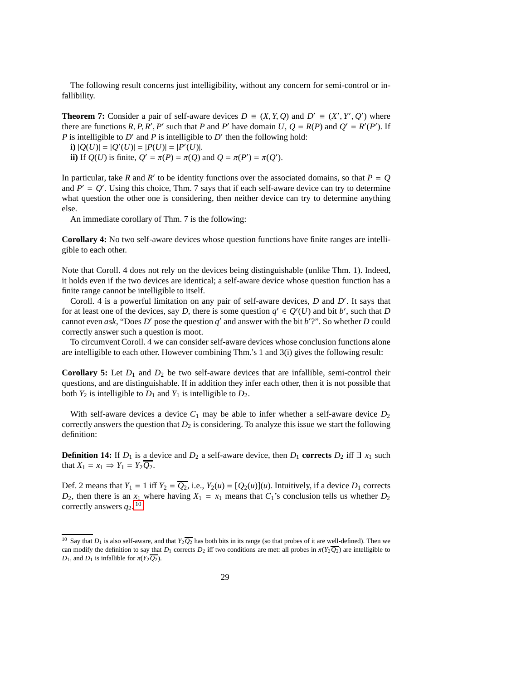The following result concerns just intelligibility, without any concern for semi-control or infallibility.

**Theorem 7:** Consider a pair of self-aware devices  $D \equiv (X, Y, Q)$  and  $D' \equiv (X', Y', Q')$  where there are functions *R*, *P*, *R'*, *P'* such that *P* and *P'* have domain *U*,  $Q = R(P)$  and  $Q' = R'(P')$ . If *P* is intelligible to *D'* and *P* is intelligible to *D'* then the following hold:

- **i**)  $|Q(U)| = |Q'(U)| = |P(U)| = |P'(U)|$ .
- **ii**) If  $Q(U)$  is finite,  $Q' = \pi(P) = \pi(Q)$  and  $Q = \pi(P') = \pi(Q')$ .

In particular, take *R* and *R'* to be identity functions over the associated domains, so that  $P = Q$ and  $P' = Q'$ . Using this choice, Thm. 7 says that if each self-aware device can try to determine what question the other one is considering, then neither device can try to determine anything else.

An immediate corollary of Thm. 7 is the following:

**Corollary 4:** No two self-aware devices whose question functions have finite ranges are intelligible to each other.

Note that Coroll. 4 does not rely on the devices being distinguishable (unlike Thm. 1). Indeed, it holds even if the two devices are identical; a self-aware device whose question function has a finite range cannot be intelligible to itself.

Coroll. 4 is a powerful limitation on any pair of self-aware devices, *D* and *D'*. It says that for at least one of the devices, say *D*, there is some question  $q' \in Q'(U)$  and bit *b'*, such that *D* cannot even *ask*, "Does *D'* pose the question *q'* and answer with the bit *b'*?". So whether *D* could correctly answer such a question is moot.

To circumvent Coroll. 4 we can consider self-aware devices whose conclusion functions alone are intelligible to each other. However combining Thm.'s 1 and 3(i) gives the following result:

**Corollary 5:** Let  $D_1$  and  $D_2$  be two self-aware devices that are infallible, semi-control their questions, and are distinguishable. If in addition they infer each other, then it is not possible that both  $Y_2$  is intelligible to  $D_1$  and  $Y_1$  is intelligible to  $D_2$ .

With self-aware devices a device  $C_1$  may be able to infer whether a self-aware device  $D_2$ correctly answers the question that  $D_2$  is considering. To analyze this issue we start the following definition:

**Definition 14:** If *D*<sub>1</sub> is a device and *D*<sub>2</sub> a self-aware device, then *D*<sub>1</sub> **corrects** *D*<sub>2</sub> iff  $\exists$  *x*<sub>1</sub> such that  $X_1 = x_1 \Rightarrow Y_1 = Y_2 \overline{Q_2}$ .

Def. 2 means that  $Y_1 = 1$  iff  $Y_2 = \overline{Q_2}$ , i.e.,  $Y_2(u) = [Q_2(u)](u)$ . Intuitively, if a device  $D_1$  corrects  $D_2$ , then there is an  $x_1$  where having  $X_1 = x_1$  means that  $C_1$ 's conclusion tells us whether  $D_2$ correctly answers *q*2. [10](#page-28-0)

<span id="page-28-0"></span><sup>&</sup>lt;sup>10</sup> Say that  $D_1$  is also self-aware, and that  $Y_2\overline{Q_2}$  has both bits in its range (so that probes of it are well-defined). Then we can modify the definition to say that  $D_1$  corrects  $D_2$  iff two conditions are met: all probes in  $\pi(Y_2\overline{Q_2})$  are intelligible to *D*<sub>1</sub>, and *D*<sub>1</sub> is infallible for  $\pi(Y_2\overline{Q_2})$ .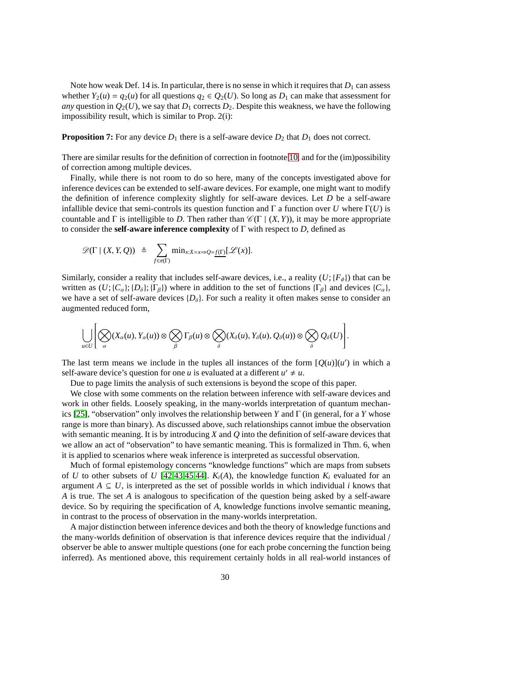Note how weak Def. 14 is. In particular, there is no sense in which it requires that  $D_1$  can assess whether  $Y_2(u) = q_2(u)$  for all questions  $q_2 \in Q_2(U)$ . So long as  $D_1$  can make that assessment for *any* question in  $Q_2(U)$ , we say that  $D_1$  corrects  $D_2$ . Despite this weakness, we have the following impossibility result, which is similar to Prop. 2(i):

**Proposition 7:** For any device  $D_1$  there is a self-aware device  $D_2$  that  $D_1$  does not correct.

There are similar results for the definition of correction in footnote [10,](#page-28-0) and for the (im)possibility of correction among multiple devices.

Finally, while there is not room to do so here, many of the concepts investigated above for inference devices can be extended to self-aware devices. For example, one might want to modify the definition of inference complexity slightly for self-aware devices. Let *D* be a self-aware infallible device that semi-controls its question function and  $\Gamma$  a function over *U* where  $\Gamma(U)$  is countable and  $\Gamma$  is intelligible to *D*. Then rather than  $\mathcal{C}(\Gamma | (X, Y))$ , it may be more appropriate to consider the **self-aware inference complexity** of Γ with respect to *D*, defined as

$$
\mathscr{D}(\Gamma \mid (X, Y, Q)) \triangleq \sum_{f \in \pi(\Gamma)} \min_{x: X = x \Rightarrow Q = f(\Gamma)} [\mathscr{L}(x)].
$$

Similarly, consider a reality that includes self-aware devices, i.e., a reality  $(U; {F_\phi})$  that can be written as  $(U; {C_\alpha}; {D_\delta}; {F_\beta})$  where in addition to the set of functions  ${F_\beta}$  and devices  ${C_\alpha}$ , we have a set of self-aware devices  $\{D_\delta\}$ . For such a reality it often makes sense to consider an augmented reduced form,

$$
\bigcup_{u\in U}\Bigg[ \bigotimes_{\alpha}(X_{\alpha}(u),Y_{\alpha}(u))\otimes\bigotimes_{\beta}\Gamma_{\beta}(u)\otimes\bigotimes_{\delta}(X_{\delta}(u),Y_{\delta}(u),Q_{\delta}(u))\otimes\bigotimes_{\delta}Q_{\delta}(U)\Bigg].
$$

The last term means we include in the tuples all instances of the form  $[Q(u)](u')$  in which a self-aware device's question for one *u* is evaluated at a different  $u' \neq u$ .

Due to page limits the analysis of such extensions is beyond the scope of this paper.

We close with some comments on the relation between inference with self-aware devices and work in other fields. Loosely speaking, in the many-worlds interpretation of quantum mechanics [\[25\]](#page-41-14), "observation" only involves the relationship between *Y* and Γ (in general, for a *Y* whose range is more than binary). As discussed above, such relationships cannot imbue the observation with semantic meaning. It is by introducing *X* and *Q* into the definition of self-aware devices that we allow an act of "observation" to have semantic meaning. This is formalized in Thm. 6, when it is applied to scenarios where weak inference is interpreted as successful observation.

Much of formal epistemology concerns "knowledge functions" which are maps from subsets of *U* to other subsets of *U* [\[42](#page-41-31)[,43](#page-41-32)[,45,](#page-41-34)[44\]](#page-41-33).  $K_i(A)$ , the knowledge function  $K_i$  evaluated for an argument  $A \subseteq U$ , is interpreted as the set of possible worlds in which individual *i* knows that *A* is true. The set *A* is analogous to specification of the question being asked by a self-aware device. So by requiring the specification of *A*, knowledge functions involve semantic meaning, in contrast to the process of observation in the many-worlds interpretation.

A major distinction between inference devices and both the theory of knowledge functions and the many-worlds definition of observation is that inference devices require that the individual / observer be able to answer multiple questions (one for each probe concerning the function being inferred). As mentioned above, this requirement certainly holds in all real-world instances of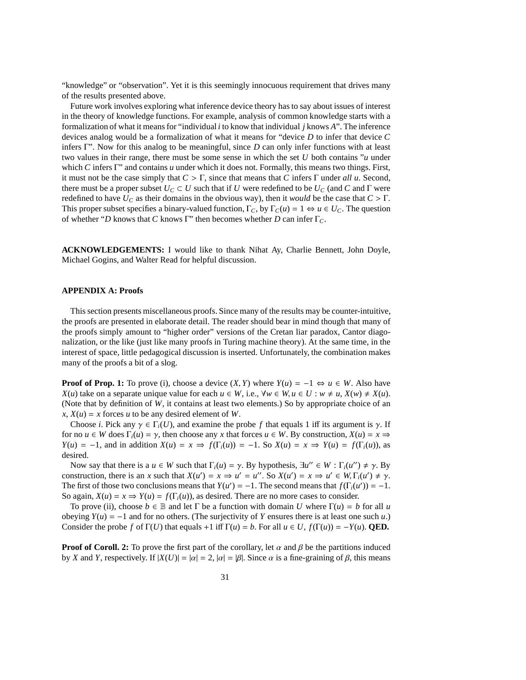"knowledge" or "observation". Yet it is this seemingly innocuous requirement that drives many of the results presented above.

Future work involves exploring what inference device theory has to say about issues of interest in the theory of knowledge functions. For example, analysis of common knowledge starts with a formalization of what it means for "individual *i* to know that individual *j* knows *A*". The inference devices analog would be a formalization of what it means for "device *D* to infer that device *C* infers Γ". Now for this analog to be meaningful, since *D* can only infer functions with at least two values in their range, there must be some sense in which the set *U* both contains "*u* under which *C* infers Γ" and contains *u* under which it does not. Formally, this means two things. First, it must not be the case simply that  $C > \Gamma$ , since that means that *C* infers  $\Gamma$  under *all u*. Second, there must be a proper subset  $U_C \subset U$  such that if *U* were redefined to be  $U_C$  (and *C* and  $\Gamma$  were redefined to have  $U_C$  as their domains in the obvious way), then it *would* be the case that  $C > \Gamma$ . This proper subset specifies a binary-valued function,  $\Gamma_C$ , by  $\Gamma_C(u) = 1 \Leftrightarrow u \in U_C$ . The question of whether "*D* knows that *C* knows Γ" then becomes whether *D* can infer Γ*C*.

**ACKNOWLEDGEMENTS:** I would like to thank Nihat Ay, Charlie Bennett, John Doyle, Michael Gogins, and Walter Read for helpful discussion.

## **APPENDIX A: Proofs**

This section presents miscellaneous proofs. Since many of the results may be counter-intuitive, the proofs are presented in elaborate detail. The reader should bear in mind though that many of the proofs simply amount to "higher order" versions of the Cretan liar paradox, Cantor diagonalization, or the like (just like many proofs in Turing machine theory). At the same time, in the interest of space, little pedagogical discussion is inserted. Unfortunately, the combination makes many of the proofs a bit of a slog.

**Proof of Prop. 1:** To prove (i), choose a device  $(X, Y)$  where  $Y(u) = -1 \Leftrightarrow u \in W$ . Also have *X*(*u*) take on a separate unique value for each *u* ∈ *W*, i.e.,  $\forall w \in W, u \in U : w ≠ u, X(w) ≠ X(u)$ . (Note that by definition of *W*, it contains at least two elements.) So by appropriate choice of an  $x, X(u) = x$  forces *u* to be any desired element of *W*.

Choose *i*. Pick any  $\gamma \in \Gamma_i(U)$ , and examine the probe f that equals 1 iff its argument is  $\gamma$ . If for no  $u \in W$  does  $\Gamma_i(u) = \gamma$ , then choose any *x* that forces  $u \in W$ . By construction,  $X(u) = x \Rightarrow$ *Y*(*u*) = −1, and in addition  $X(u) = x \Rightarrow f(\Gamma_i(u)) = -1$ . So  $X(u) = x \Rightarrow Y(u) = f(\Gamma_i(u))$ , as desired.

Now say that there is a  $u \in W$  such that  $\Gamma_i(u) = \gamma$ . By hypothesis,  $\exists u'' \in W : \Gamma_i(u'') \neq \gamma$ . By construction, there is an *x* such that  $X(u') = x \Rightarrow u' = u''$ . So  $X(u') = x \Rightarrow u' \in W$ ,  $\Gamma_i(u') \neq \gamma$ . The first of those two conclusions means that  $Y(u') = -1$ . The second means that  $f(\Gamma_i(u')) = -1$ . So again,  $X(u) = x \Rightarrow Y(u) = f(\Gamma_i(u))$ , as desired. There are no more cases to consider.

To prove (ii), choose  $b \in \mathbb{B}$  and let  $\Gamma$  be a function with domain *U* where  $\Gamma(u) = b$  for all *u* obeying  $Y(u) = -1$  and for no others. (The surjectivity of *Y* ensures there is at least one such *u*.) Consider the probe *f* of  $\Gamma(U)$  that equals +1 iff  $\Gamma(u) = b$ . For all  $u \in U$ ,  $f(\Gamma(u)) = -Y(u)$ . **QED.** 

**Proof of Coroll. 2:** To prove the first part of the corollary, let  $\alpha$  and  $\beta$  be the partitions induced by *X* and *Y*, respectively. If  $|X(U)| = |\alpha| = 2$ ,  $|\alpha| = |\beta|$ . Since  $\alpha$  is a fine-graining of  $\beta$ , this means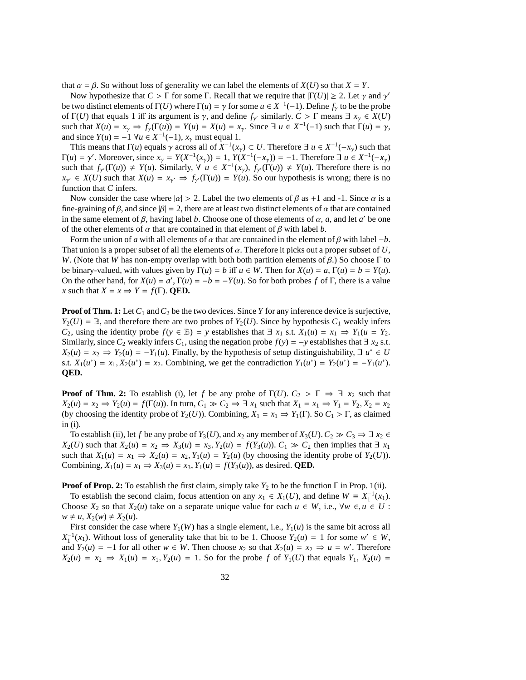that  $\alpha = \beta$ . So without loss of generality we can label the elements of  $X(U)$  so that  $X = Y$ .

Now hypothesize that  $C > \Gamma$  for some  $\Gamma$ . Recall that we require that  $|\Gamma(U)| \geq 2$ . Let  $\gamma$  and  $\gamma'$ be two distinct elements of  $\Gamma(U)$  where  $\Gamma(u) = \gamma$  for some  $u \in X^{-1}(-1)$ . Define  $f_{\gamma}$  to be the probe of Γ(*U*) that equals 1 iff its argument is γ, and define  $f<sub>γ</sub>$  similarly. *C* > Γ means ∃  $x<sub>γ</sub> ∈ X(U)$ such that  $X(u) = x_\gamma \Rightarrow f_\gamma(\Gamma(u)) = Y(u) = X(u) = x_\gamma$ . Since  $\exists u \in X^{-1}(-1)$  such that  $\Gamma(u) = \gamma$ , and since  $Y(u) = -1$   $\forall u \in X^{-1}(-1)$ ,  $x_\gamma$  must equal 1.

This means that  $\Gamma(u)$  equals  $\gamma$  across all of  $X^{-1}(x_\gamma) \subset U$ . Therefore  $\exists u \in X^{-1}(-x_\gamma)$  such that  $\Gamma(u) = \gamma'$ . Moreover, since  $x_{\gamma} = Y(X^{-1}(x_{\gamma})) = 1$ ,  $Y(X^{-1}(-x_{\gamma})) = -1$ . Therefore  $\exists u \in X^{-1}(-x_{\gamma})$ such that  $f_{\gamma'}(\Gamma(u)) \neq Y(u)$ . Similarly,  $\forall u \in X^{-1}(x_{\gamma}), f_{\gamma'}(\Gamma(u)) \neq Y(u)$ . Therefore there is no  $x_{\gamma'} \in X(U)$  such that  $X(u) = x_{\gamma'} \Rightarrow f_{\gamma'}(\Gamma(u)) = Y(u)$ . So our hypothesis is wrong; there is no function that *C* infers.

Now consider the case where  $|\alpha| > 2$ . Label the two elements of  $\beta$  as +1 and -1. Since  $\alpha$  is a fine-graining of  $\beta$ , and since  $|\beta| = 2$ , there are at least two distinct elements of  $\alpha$  that are contained in the same element of  $\beta$ , having label *b*. Choose one of those elements of  $\alpha$ ,  $\alpha$ , and let  $\alpha'$  be one of the other elements of  $\alpha$  that are contained in that element of  $\beta$  with label  $\beta$ .

Form the union of *a* with all elements of  $\alpha$  that are contained in the element of  $\beta$  with label  $-b$ . That union is a proper subset of all the elements of  $\alpha$ . Therefore it picks out a proper subset of U, *W*. (Note that *W* has non-empty overlap with both both partition elements of β.) So choose Γ to be binary-valued, with values given by  $\Gamma(u) = b$  iff  $u \in W$ . Then for  $X(u) = a$ ,  $\Gamma(u) = b = Y(u)$ . On the other hand, for  $X(u) = a'$ ,  $\Gamma(u) = -b = -Y(u)$ . So for both probes *f* of Γ, there is a value *x* such that  $X = x \Rightarrow Y = f(\Gamma)$ . **QED.** 

**Proof of Thm. 1:** Let  $C_1$  and  $C_2$  be the two devices. Since *Y* for any inference device is surjective,  $Y_2(U) = \mathbb{B}$ , and therefore there are two probes of  $Y_2(U)$ . Since by hypothesis  $C_1$  weakly infers *C*<sub>2</sub>, using the identity probe  $f(y \in \mathbb{B}) = y$  establishes that  $\exists x_1 \text{ s.t. } X_1(u) = x_1 \Rightarrow Y_1(u = Y_2)$ . Similarly, since  $C_2$  weakly infers  $C_1$ , using the negation probe  $f(y) = -y$  establishes that  $\exists x_2$  s.t.  $X_2(u) = x_2 \Rightarrow Y_2(u) = -Y_1(u)$ . Finally, by the hypothesis of setup distinguishability,  $\exists u^* \in U$ s.t.  $X_1(u^*) = x_1, X_2(u^*) = x_2$ . Combining, we get the contradiction  $Y_1(u^*) = Y_2(u^*) = -Y_1(u^*)$ . **QED.**

**Proof of Thm. 2:** To establish (i), let *f* be any probe of  $\Gamma(U)$ .  $C_2 > \Gamma \Rightarrow \exists x_2$  such that *X*<sub>2</sub>(*u*) = *x*<sub>2</sub> ⇒ *Y*<sub>2</sub>(*u*) = *f*(Γ(*u*)). In turn, *C*<sub>1</sub> ≫ *C*<sub>2</sub> ⇒ ∃ *x*<sub>1</sub> such that *X*<sub>1</sub> = *x*<sub>1</sub> ⇒ *Y*<sub>1</sub> = *Y*<sub>2</sub>, *X*<sub>2</sub> = *x*<sub>2</sub> (by choosing the identity probe of  $Y_2(U)$ ). Combining,  $X_1 = x_1 \Rightarrow Y_1(\Gamma)$ . So  $C_1 > \Gamma$ , as claimed in (i).

To establish (ii), let *f* be any probe of  $Y_3(U)$ , and  $x_2$  any member of  $X_3(U)$ .  $C_2 \gg C_3 \Rightarrow \exists x_2 \in C_3$ *X*<sub>2</sub>(*U*) such that *X*<sub>2</sub>(*u*) = *x*<sub>2</sub> ⇒ *X*<sub>3</sub>(*u*) = *x*<sub>3</sub>, *Y*<sub>2</sub>(*u*) = *f*(*Y*<sub>3</sub>(*u*)). *C*<sub>1</sub> ≫ *C*<sub>2</sub> then implies that ∃ *x*<sub>1</sub> such that  $X_1(u) = x_1 \Rightarrow X_2(u) = x_2, Y_1(u) = Y_2(u)$  (by choosing the identity probe of  $Y_2(U)$ ). Combining,  $X_1(u) = x_1 \Rightarrow X_3(u) = x_3, Y_1(u) = f(Y_3(u))$ , as desired. **QED.** 

**Proof of Prop. 2:** To establish the first claim, simply take  $Y_2$  to be the function  $\Gamma$  in Prop. 1(ii).

To establish the second claim, focus attention on any  $x_1 \in X_1(U)$ , and define  $W = X_1^{-1}(x_1)$ . Choose  $X_2$  so that  $X_2(u)$  take on a separate unique value for each  $u \in W$ , i.e.,  $\forall w \in \mathcal{U}$  :  $w \neq u, X_2(w) \neq X_2(u)$ .

First consider the case where  $Y_1(W)$  has a single element, i.e.,  $Y_1(u)$  is the same bit across all *X*<sup>-1</sup>(*x*<sub>1</sub>). Without loss of generality take that bit to be 1. Choose *Y*<sub>2</sub>(*u*) = 1 for some *w*<sup>'</sup>  $\in$  *W*, and  $Y_2(u) = -1$  for all other  $w \in W$ . Then choose  $x_2$  so that  $X_2(u) = x_2 \Rightarrow u = w'$ . Therefore  $X_2(u) = x_2 \Rightarrow X_1(u) = x_1, Y_2(u) = 1$ . So for the probe *f* of  $Y_1(U)$  that equals  $Y_1, X_2(u) = 1$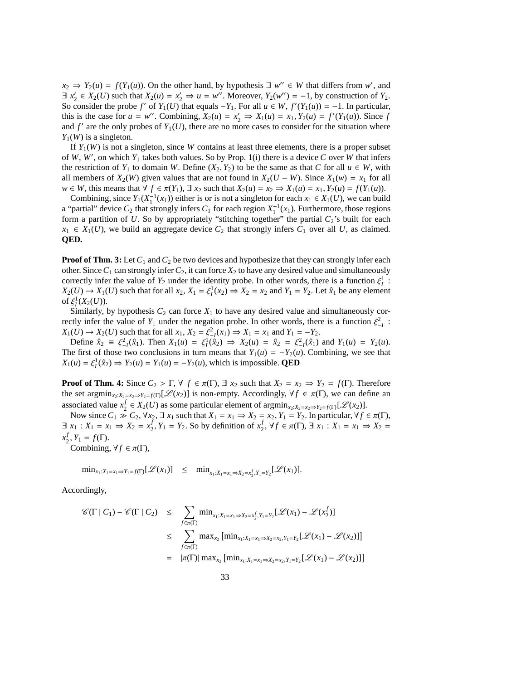$x_2 \Rightarrow Y_2(u) = f(Y_1(u))$ . On the other hand, by hypothesis  $\exists w'' \in W$  that differs from w', and  $\exists x_2' \in X_2(U)$  such that  $X_2(u) = x_2' \Rightarrow u = w''$ . Moreover,  $Y_2(w'') = -1$ , by construction of  $Y_2$ . So consider the probe *f'* of  $Y_1(U)$  that equals  $-Y_1$ . For all  $u \in W$ ,  $f'(Y_1(u)) = -1$ . In particular, this is the case for  $u = w''$ . Combining,  $X_2(u) = x'_2 \Rightarrow X_1(u) = x_1, Y_2(u) = f'(Y_1(u))$ . Since *f* and  $f'$  are the only probes of  $Y_1(U)$ , there are no more cases to consider for the situation where *Y*1(*W*) is a singleton.

If  $Y_1(W)$  is not a singleton, since *W* contains at least three elements, there is a proper subset of *W*, *W*′ , on which *Y*<sup>1</sup> takes both values. So by Prop. 1(i) there is a device *C* over *W* that infers the restriction of *Y*<sub>1</sub> to domain *W*. Define  $(X_2, Y_2)$  to be the same as that *C* for all  $u \in W$ , with all members of  $X_2(W)$  given values that are not found in  $X_2(U - W)$ . Since  $X_1(w) = x_1$  for all *w* ∈ *W*, this means that  $∀ f ∈ π(Y_1)$ ,  $∃ x_2$  such that  $X_2(u) = x_2 ⇒ X_1(u) = x_1, Y_2(u) = f(Y_1(u))$ .

Combining, since  $Y_1(X_1^{-1}(x_1))$  either is or is not a singleton for each  $x_1 \in X_1(U)$ , we can build a "partial" device  $C_2$  that strongly infers  $C_1$  for each region  $X_1^{-1}(x_1)$ . Furthermore, those regions form a partition of U. So by appropriately "stitching together" the partial  $C_2$ 's built for each  $x_1 \in X_1(U)$ , we build an aggregate device  $C_2$  that strongly infers  $C_1$  over all U, as claimed. **QED.**

**Proof of Thm. 3:** Let  $C_1$  and  $C_2$  be two devices and hypothesize that they can strongly infer each other. Since  $C_1$  can strongly infer  $C_2$ , it can force  $X_2$  to have any desired value and simultaneously correctly infer the value of  $Y_2$  under the identity probe. In other words, there is a function  $\xi_1^1$ :  $X_2(U) \to X_1(U)$  such that for all  $x_2$ ,  $X_1 = \xi_1^1(x_2) \Rightarrow X_2 = x_2$  and  $Y_1 = Y_2$ . Let  $\hat{x}_1$  be any element of  $\xi_I^1(X_2(U))$ .

Similarly, by hypothesis  $C_2$  can force  $X_1$  to have any desired value and simultaneously correctly infer the value of  $Y_1$  under the negation probe. In other words, there is a function  $\xi_{-I}^2$ :  $X_1(U) \to X_2(U)$  such that for all  $x_1, X_2 = \xi_{-I}^2(x_1) \Rightarrow X_1 = x_1$  and  $Y_1 = -Y_2$ .

Define  $\hat{x}_2 \equiv \xi_{-I}^2(\hat{x}_1)$ . Then  $X_1(u) = \xi_1^1(\hat{x}_2) \Rightarrow X_2(u) = \hat{x}_2 = \xi_{-I}^2(\hat{x}_1)$  and  $Y_1(u) = Y_2(u)$ . The first of those two conclusions in turn means that  $Y_1(u) = -Y_2(u)$ . Combining, we see that  $X_1(u) = \xi_1^1(\hat{x}_2) \Rightarrow Y_2(u) = Y_1(u) = -Y_2(u)$ , which is impossible. **QED** 

**Proof of Thm. 4:** Since  $C_2 > \Gamma$ ,  $\forall f \in \pi(\Gamma)$ ,  $\exists x_2$  such that  $X_2 = x_2 \Rightarrow Y_2 = f(\Gamma)$ . Therefore the set argmin<sub>*x*2:*X*<sub>2</sub>=*x*<sub>2</sub>⇒*Y*<sub>2</sub>=*f*(Γ)[ $\mathcal{L}(x_2)$ ] is non-empty. Accordingly,  $\forall f \in \pi(\Gamma)$ , we can define an</sub> associated value *x f*  $\mathcal{L}_2^f \in X_2(U)$  as some particular element of argmin<sub>*x*2</sub>:*X*<sub>2</sub>=*x*<sub>2</sub>⇒*Y*<sub>2</sub>=*f*(Γ)[ $\mathcal{L}(x_2)$ ].

Now since  $C_1 \gg C_2$ ,  $\forall x_2$ ,  $\exists x_1$  such that  $X_1 = x_1 \Rightarrow X_2 = x_2$ ,  $Y_1 = Y_2$ . In particular,  $\forall f \in \pi(\Gamma)$ ,  $\exists x_1 : X_1 = x_1 \Rightarrow X_2 = x_2^f$  $\int_{2}^{T}$ ,  $Y_1 = Y_2$ . So by definition of  $x_2^f$  $Z_2^J$ ,  $\forall f \in \pi(\Gamma), \exists x_1 : X_1 = x_1 \Rightarrow X_2 =$ *x f*  $_{2}^{J}, Y_{1} = f(\Gamma).$ 

Combining,  $\forall f \in \pi(\Gamma)$ ,

$$
\min_{x_1:X_1=x_1\Rightarrow Y_1=f(\Gamma)}[\mathcal{L}(x_1)] \leq \min_{x_1:X_1=x_1\Rightarrow X_2=x_2',Y_1=Y_2}[\mathcal{L}(x_1)].
$$

Accordingly,

$$
\mathscr{C}(\Gamma \mid C_1) - \mathscr{C}(\Gamma \mid C_2) \leq \sum_{f \in \pi(\Gamma)} \min_{x_1: X_1 = x_1 \Rightarrow X_2 = x_2', Y_1 = Y_2} [\mathscr{L}(x_1) - \mathscr{L}(x_2')] \leq \sum_{f \in \pi(\Gamma)} \max_{x_2} [\min_{x_1: X_1 = x_1 \Rightarrow X_2 = x_2, Y_1 = Y_2} [\mathscr{L}(x_1) - \mathscr{L}(x_2)]] = |\pi(\Gamma)| \max_{x_2} [\min_{x_1: X_1 = x_1 \Rightarrow X_2 = x_2, Y_1 = Y_2} [\mathscr{L}(x_1) - \mathscr{L}(x_2)]]
$$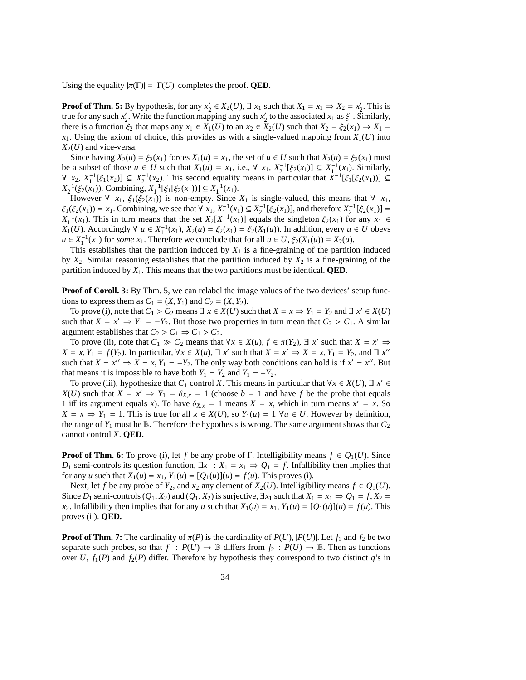Using the equality  $|\pi(\Gamma)| = |\Gamma(U)|$  completes the proof. **QED.** 

**Proof of Thm. 5:** By hypothesis, for any  $x'_2 \in X_2(U)$ ,  $\exists x_1$  such that  $X_1 = x_1 \Rightarrow X_2 = x'_2$ . This is true for any such  $x'_2$ . Write the function mapping any such  $x'_2$  to the associated  $x_1$  as  $\xi_1$ . Similarly, there is a function  $\xi_2$  that maps any  $x_1 \in X_1(U)$  to an  $x_2 \in X_2(U)$  such that  $X_2 = \xi_2(x_1) \Rightarrow X_1 =$  $x_1$ . Using the axiom of choice, this provides us with a single-valued mapping from  $X_1(U)$  into  $X_2(U)$  and vice-versa.

Since having  $X_2(u) = \xi_2(x_1)$  forces  $X_1(u) = x_1$ , the set of  $u \in U$  such that  $X_2(u) = \xi_2(x_1)$  must be a subset of those  $u \in U$  such that  $X_1(u) = x_1$ , i.e.,  $\forall x_1, X_2^{-1}[\xi_2(x_1)] \subseteq X_1^{-1}(x_1)$ . Similarly,  $\forall$  *x*<sub>2</sub>, *X*<sub>1</sub><sup>-1</sup>[ξ<sub>1</sub>(*x*<sub>2</sub>)] ⊆ *X*<sub>2</sub><sup>-1</sup>(*x*<sub>2</sub>). This second equality means in particular that  $\hat{X}_1^{-1}$ [ξ<sub>1</sub>[ξ<sub>2</sub>(*x*<sub>1</sub>))] ⊆  $X_2^{-1}(\xi_2(x_1))$ . Combining,  $X_1^{-1}[\xi_1[\xi_2(x_1))] \subseteq X_1^{-1}(x_1)$ .

However  $\forall x_1, \xi_1(\xi_2(x_1))$  is non-empty. Since  $X_1$  is single-valued, this means that  $\forall x_1$ ,  $\xi_1(\xi_2(x_1)) = x_1$ . Combining, we see that  $\forall x_1, X_1^{-1}(x_1) \subseteq X_2^{-1}[\xi_2(x_1)]$ , and therefore  $X_2^{-1}[\xi_2(x_1)] =$  $X_1^{-1}(x_1)$ . This in turn means that the set  $X_2[X_1^{-1}(x_1)]$  equals the singleton  $\xi_2(x_1)$  for any  $x_1 \in$ *X*<sub>1</sub>(*U*). Accordingly ∀ *u* ∈ *X*<sub>1</sub><sup>-1</sup>(*x*<sub>1</sub>), *X*<sub>2</sub>(*u*) =  $\xi_2(x_1) = \xi_2(X_1(u))$ . In addition, every *u* ∈ *U* obeys  $u \in X_1^{-1}(x_1)$  for *some*  $x_1$ . Therefore we conclude that for all  $u \in U$ ,  $\xi_2(X_1(u)) = X_2(u)$ .

This establishes that the partition induced by  $X_1$  is a fine-graining of the partition induced by *X*2. Similar reasoning establishes that the partition induced by *X*<sup>2</sup> is a fine-graining of the partition induced by  $X_1$ . This means that the two partitions must be identical. **QED.** 

**Proof of Coroll. 3:** By Thm. 5, we can relabel the image values of the two devices' setup functions to express them as  $C_1 = (X, Y_1)$  and  $C_2 = (X, Y_2)$ .

To prove (i), note that  $C_1 > C_2$  means  $\exists x \in X(U)$  such that  $X = x \Rightarrow Y_1 = Y_2$  and  $\exists x' \in X(U)$ such that  $X = x' \Rightarrow Y_1 = -Y_2$ . But those two properties in turn mean that  $C_2 > C_1$ . A similar argument establishes that  $C_2 > C_1 \Rightarrow C_1 > C_2$ .

To prove (ii), note that  $C_1 \gg C_2$  means that  $\forall x \in X(u)$ ,  $f \in \pi(Y_2)$ ,  $\exists x'$  such that  $X = x' \Rightarrow$  $X = x, Y_1 = f(Y_2)$ . In particular,  $\forall x \in X(u)$ ,  $\exists x'$  such that  $X = x' \Rightarrow X = x, Y_1 = Y_2$ , and  $\exists x''$ such that  $X = x'' \Rightarrow X = x, Y_1 = -Y_2$ . The only way both conditions can hold is if  $x' = x''$ . But that means it is impossible to have both  $Y_1 = Y_2$  and  $Y_1 = -Y_2$ .

To prove (iii), hypothesize that  $C_1$  control *X*. This means in particular that  $\forall x \in X(U)$ ,  $\exists x' \in Y$ *X*(*U*) such that  $X = x' \Rightarrow Y_1 = \delta_{X,x} = 1$  (choose  $b = 1$  and have *f* be the probe that equals 1 iff its argument equals *x*). To have  $\delta_{X,x} = 1$  means  $X = x$ , which in turn means  $x' = x$ . So *X* = *x* ⇒ *Y*<sub>1</sub> = 1. This is true for all *x* ∈ *X*(*U*), so *Y*<sub>1</sub>(*u*) = 1 ∀*u* ∈ *U*. However by definition, the range of  $Y_1$  must be  $\mathbb B$ . Therefore the hypothesis is wrong. The same argument shows that  $C_2$ cannot control *X*. **QED.**

**Proof of Thm. 6:** To prove (i), let *f* be any probe of Γ. Intelligibility means  $f \in Q_1(U)$ . Since *D*<sub>1</sub> semi-controls its question function,  $\exists x_1 : X_1 = x_1 \Rightarrow Q_1 = f$ . Infallibility then implies that for any *u* such that  $X_1(u) = x_1, Y_1(u) = [Q_1(u)](u) = f(u)$ . This proves (i).

Next, let *f* be any probe of  $Y_2$ , and  $x_2$  any element of  $X_2(U)$ . Intelligibility means  $f \in Q_1(U)$ . Since  $D_1$  semi-controls  $(Q_1, X_2)$  and  $(Q_1, X_2)$  is surjective,  $\exists x_1$  such that  $X_1 = x_1 \Rightarrow Q_1 = f, X_2 = f$ *x*<sub>2</sub>. Infallibility then implies that for any *u* such that  $X_1(u) = x_1, Y_1(u) = [Q_1(u)](u) = f(u)$ . This proves (ii). **QED.**

**Proof of Thm. 7:** The cardinality of  $\pi(P)$  is the cardinality of  $P(U)$ ,  $|P(U)|$ . Let  $f_1$  and  $f_2$  be two separate such probes, so that  $f_1 : P(U) \to \mathbb{B}$  differs from  $f_2 : P(U) \to \mathbb{B}$ . Then as functions over *U*,  $f_1(P)$  and  $f_2(P)$  differ. Therefore by hypothesis they correspond to two distinct *q*'s in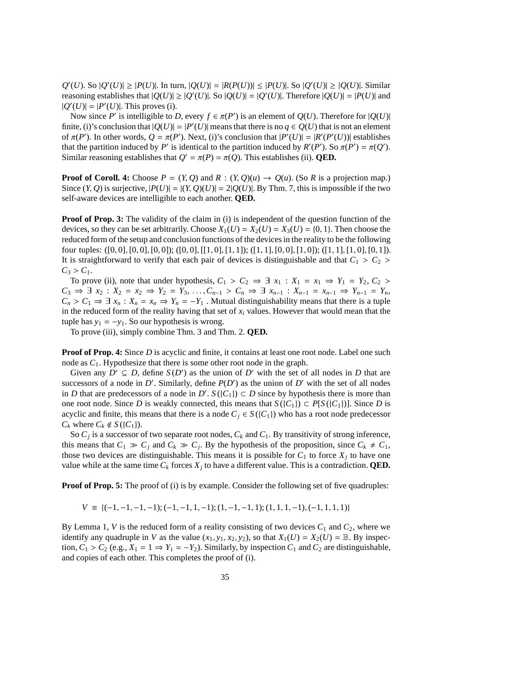*Q*<sup>'</sup>(*U*). So |*Q*<sup>'</sup>(*U*)| ≥ |*P*(*U*)|. In turn, |*Q*(*U*)| = |*R*(*P*(*U*))| ≤ |*P*(*U*)|. So |*Q*<sup>'</sup>(*U*)| ≥ |*Q*(*U*)|. Similar reasoning establishes that  $|Q(U)| \ge |Q'(U)|$ . So  $|Q(U)| = |Q'(U)|$ . Therefore  $|Q(U)| = |P(U)|$  and  $|Q'(U)| = |P'(U)|$ . This proves (i).

Now since *P*<sup> $\prime$ </sup> is intelligible to *D*, every  $f \in \pi(P')$  is an element of  $Q(U)$ . Therefore for  $|Q(U)|$ finite, (i)'s conclusion that  $|Q(U)| = |P'(U)|$  means that there is no  $q \in Q(U)$  that is not an element of  $\pi(P')$ . In other words,  $Q = \pi(P')$ . Next, (i)'s conclusion that  $|P'(U)| = |R'(P'(U))|$  establishes that the partition induced by *P'* is identical to the partition induced by  $R'(P')$ . So  $\pi(P') = \pi(Q')$ . Similar reasoning establishes that  $Q' = \pi(P) = \pi(Q)$ . This establishes (ii). **QED.** 

**Proof of Coroll. 4:** Choose  $P = (Y, Q)$  and  $R : (Y, Q)(u) \rightarrow Q(u)$ . (So R is a projection map.) Since  $(Y, Q)$  is surjective,  $|P(U)| = |(Y, Q)(U)| = 2|Q(U)|$ . By Thm. 7, this is impossible if the two self-aware devices are intelligible to each another. **QED.**

**Proof of Prop. 3:** The validity of the claim in (i) is independent of the question function of the devices, so they can be set arbitrarily. Choose  $X_1(U) = X_2(U) = X_3(U) = \{0, 1\}$ . Then choose the reduced form of the setup and conclusion functions of the devices in the reality to be the following four tuples: ([0, 0], [0, 0], [0, 0]); ([0, 0], [[1, 0], [1, 1]); ([1, 1], [0, 0], [1, 0]); ([1, 1], [1, 0], [0, 1]). It is straightforward to verify that each pair of devices is distinguishable and that  $C_1 > C_2$  $C_3 > C_1$ .

To prove (ii), note that under hypothesis,  $C_1 > C_2 \Rightarrow \exists x_1 : X_1 = x_1 \Rightarrow Y_1 = Y_2, C_2 >$  $C_3$  ⇒ ∃  $x_2$  :  $X_2$  =  $x_2$  ⇒  $Y_2$  =  $Y_3$ , ...,  $C_{n-1}$  >  $C_n$  ⇒ ∃  $x_{n-1}$  :  $X_{n-1}$  =  $x_{n-1}$  ⇒  $Y_{n-1}$  =  $Y_n$ ,  $C_n > C_1 \Rightarrow \exists x_n : X_n = x_n \Rightarrow Y_n = -Y_1$ . Mutual distinguishability means that there is a tuple in the reduced form of the reality having that set of *x<sup>i</sup>* values. However that would mean that the tuple has  $y_1 = -y_1$ . So our hypothesis is wrong.

To prove (iii), simply combine Thm. 3 and Thm. 2. **QED.**

**Proof of Prop. 4:** Since *D* is acyclic and finite, it contains at least one root node. Label one such node as  $C_1$ . Hypothesize that there is some other root node in the graph.

Given any  $D' \subseteq D$ , define  $S(D')$  as the union of  $D'$  with the set of all nodes in  $D$  that are successors of a node in  $D'$ . Similarly, define  $P(D')$  as the union of  $D'$  with the set of all nodes in *D* that are predecessors of a node in *D'*.  $S({C_1}) \subset D$  since by hypothesis there is more than one root node. Since *D* is weakly connected, this means that  $S({C_1}) \subset P[S({C_1})]$ . Since *D* is acyclic and finite, this means that there is a node  $C_i \in S({C_1})$  who has a root node predecessor  $C_k$  where  $C_k \notin S({C_1})$ .

So  $C_j$  is a successor of two separate root nodes,  $C_k$  and  $C_1$ . By transitivity of strong inference, this means that  $C_1 \gg C_j$  and  $C_k \gg C_j$ . By the hypothesis of the proposition, since  $C_k \neq C_1$ , those two devices are distinguishable. This means it is possible for  $C_1$  to force  $X_j$  to have one value while at the same time *C<sup>k</sup>* forces *X<sup>j</sup>* to have a different value. This is a contradiction. **QED.**

**Proof of Prop. 5:** The proof of (i) is by example. Consider the following set of five quadruples:

 $V = \{(-1, -1, -1, -1); (-1, -1, 1, -1); (1, -1, -1, 1); (1, 1, 1, -1), (-1, 1, 1, 1)\}$ 

By Lemma 1, *V* is the reduced form of a reality consisting of two devices  $C_1$  and  $C_2$ , where we identify any quadruple in *V* as the value  $(x_1, y_1, x_2, y_2)$ , so that  $X_1(U) = X_2(U) = \mathbb{B}$ . By inspection,  $C_1 > C_2$  (e.g.,  $X_1 = 1 \Rightarrow Y_1 = -Y_2$ ). Similarly, by inspection  $C_1$  and  $C_2$  are distinguishable, and copies of each other. This completes the proof of (i).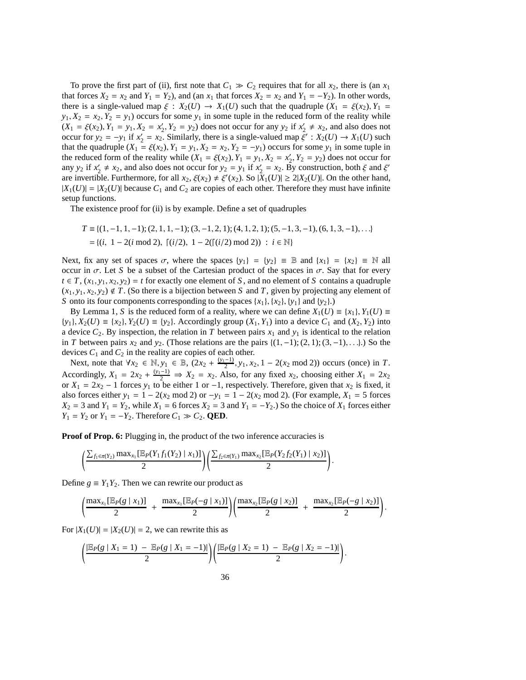To prove the first part of (ii), first note that  $C_1 \gg C_2$  requires that for all  $x_2$ , there is (an  $x_1$ ) that forces  $X_2 = x_2$  and  $Y_1 = Y_2$ ), and (an  $x_1$  that forces  $X_2 = x_2$  and  $Y_1 = -Y_2$ ). In other words, there is a single-valued map  $\xi$  :  $X_2(U) \to X_1(U)$  such that the quadruple  $(X_1 = \xi(x_2), Y_1 =$  $y_1, X_2 = x_2, Y_2 = y_1$  occurs for some  $y_1$  in some tuple in the reduced form of the reality while  $(X_1 = \xi(x_2), Y_1 = y_1, X_2 = x'_2, Y_2 = y_2)$  does not occur for any  $y_2$  if  $x'_2 \neq x_2$ , and also does not occur for  $y_2 = -y_1$  if  $x'_2 = x_2$ . Similarly, there is a single-valued map  $\tilde{\xi}' : X_2(U) \to X_1(U)$  such that the quadruple  $(X_1 = \xi(x_2), Y_1 = y_1, X_2 = x_2, Y_2 = -y_1)$  occurs for some  $y_1$  in some tuple in the reduced form of the reality while  $(X_1 = \xi(x_2), Y_1 = y_1, X_2 = x'_2, Y_2 = y_2)$  does not occur for any *y*<sub>2</sub> if  $x'_2 \neq x_2$ , and also does not occur for  $y_2 = y_1$  if  $x'_2 = x_2$ . By construction, both  $\xi$  and  $\xi'$ are invertible. Furthermore, for all  $x_2$ ,  $\xi(x_2) \neq \xi'(x_2)$ . So  $|\overline{X}_1(U)| \geq 2|X_2(U)|$ . On the other hand,  $|X_1(U)| = |X_2(U)|$  because  $C_1$  and  $C_2$  are copies of each other. Therefore they must have infinite setup functions.

The existence proof for (ii) is by example. Define a set of quadruples

$$
T \equiv \{(1, -1, 1, -1); (2, 1, 1, -1); (3, -1, 2, 1); (4, 1, 2, 1); (5, -1, 3, -1), (6, 1, 3, -1), \ldots\}
$$
  
= { $(i, 1 - 2(i \mod 2), \lceil (i/2), 1 - 2(\lceil (i/2) \mod 2) \rceil) : i \in \mathbb{N}\}$ 

Next, fix any set of spaces  $\sigma$ , where the spaces  $\{y_1\} = \{y_2\} \equiv \mathbb{B}$  and  $\{x_1\} = \{x_2\} \equiv \mathbb{N}$  all occur in  $\sigma$ . Let *S* be a subset of the Cartesian product of the spaces in  $\sigma$ . Say that for every  $t \in T$ ,  $(x_1, y_1, x_2, y_2) = t$  for exactly one element of *S*, and no element of *S* contains a quadruple  $(x_1, y_1, x_2, y_2) \notin T$ . (So there is a bijection between *S* and *T*, given by projecting any element of *S* onto its four components corresponding to the spaces  $\{x_1\}$ ,  $\{x_2\}$ ,  $\{y_1\}$  and  $\{y_2\}$ .)

By Lemma 1, *S* is the reduced form of a reality, where we can define  $X_1(U) \equiv \{x_1\}$ ,  $Y_1(U) \equiv$  ${y_1}, X_2(U) \equiv {x_2}, Y_2(U) \equiv {y_2}.$  Accordingly group  $(X_1, Y_1)$  into a device  $C_1$  and  $(X_2, Y_2)$  into a device  $C_2$ . By inspection, the relation in *T* between pairs  $x_1$  and  $y_1$  is identical to the relation in *T* between pairs  $x_2$  and  $y_2$ . (Those relations are the pairs  $\{(1, -1); (2, 1); (3, -1), \ldots\}$ .) So the devices  $C_1$  and  $C_2$  in the reality are copies of each other.

Next, note that  $\forall x_2 \in \mathbb{N}, y_1 \in \mathbb{B}, (2x_2 + \frac{(y_1-1)}{2}, y_1, x_2, 1 - 2(x_2 \mod 2))$  occurs (once) in *T*. Accordingly,  $X_1 = 2x_2 + \frac{(y_1 - 1)}{2} \Rightarrow X_2 = x_2$ . Also, for any fixed  $x_2$ , choosing either  $X_1 = 2x_2$ or  $X_1 = 2x_2 - 1$  forces  $y_1$  to be either 1 or −1, respectively. Therefore, given that  $x_2$  is fixed, it also forces either  $y_1 = 1 - 2(x_2 \mod 2)$  or  $-y_1 = 1 - 2(x_2 \mod 2)$ . (For example,  $X_1 = 5$  forces  $X_2 = 3$  and  $Y_1 = Y_2$ , while  $X_1 = 6$  forces  $X_2 = 3$  and  $Y_1 = -Y_2$ .) So the choice of  $X_1$  forces either  $Y_1 = Y_2$  or  $Y_1 = -Y_2$ . Therefore  $C_1 \gg C_2$ . **QED**.

**Proof of Prop. 6:** Plugging in, the product of the two inference accuracies is

$$
\left(\frac{\sum_{f_1 \in \pi(Y_2)} \max_{x_1} [\mathbb{E}_P(Y_1 f_1(Y_2) | x_1)]}{2}\right) \left(\frac{\sum_{f_2 \in \pi(Y_1)} \max_{x_2} [\mathbb{E}_P(Y_2 f_2(Y_1) | x_2)]}{2}\right).
$$

Define  $g \equiv Y_1 Y_2$ . Then we can rewrite our product as

$$
\left(\frac{\max_{x_1} [\mathbb{E}_P(g \mid x_1)]}{2} + \frac{\max_{x_1} [\mathbb{E}_P(-g \mid x_1)]}{2}\right) \left(\frac{\max_{x_2} [\mathbb{E}_P(g \mid x_2)]}{2} + \frac{\max_{x_2} [\mathbb{E}_P(-g \mid x_2)]}{2}\right).
$$

For  $|X_1(U)| = |X_2(U)| = 2$ , we can rewrite this as

$$
\left(\frac{|\mathbb{E}_P(g \mid X_1 = 1) - \mathbb{E}_P(g \mid X_1 = -1)|}{2}\right)\left(\frac{|\mathbb{E}_P(g \mid X_2 = 1) - \mathbb{E}_P(g \mid X_2 = -1)|}{2}\right).
$$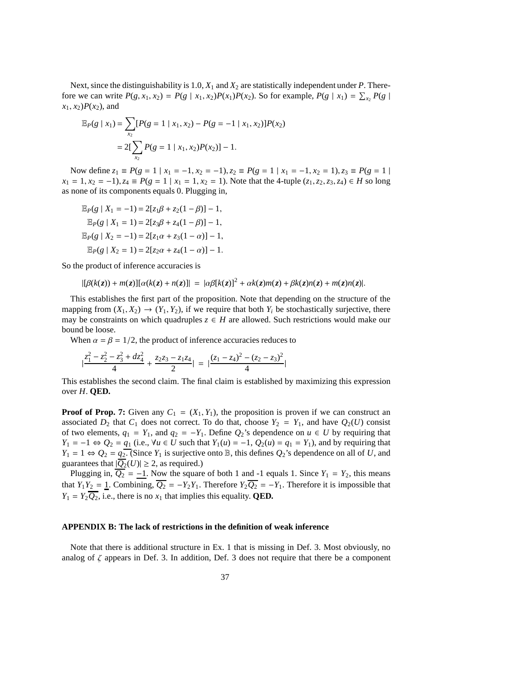Next, since the distinguishability is  $1.0$ ,  $X_1$  and  $X_2$  are statistically independent under *P*. Therefore we can write  $P(g, x_1, x_2) = P(g | x_1, x_2)P(x_1)P(x_2)$ . So for example,  $P(g | x_1) = \sum_{x_2} P(g | x_2)P(x_1)P(x_2)$ .  $(x_1, x_2)P(x_2)$ , and

$$
\mathbb{E}_P(g \mid x_1) = \sum_{x_2} [P(g = 1 \mid x_1, x_2) - P(g = -1 \mid x_1, x_2)] P(x_2)
$$

$$
= 2[\sum_{x_2} P(g = 1 \mid x_1, x_2) P(x_2)] - 1.
$$

Now define  $z_1 = P(g = 1 | x_1 = -1, x_2 = -1), z_2 = P(g = 1 | x_1 = -1, x_2 = 1), z_3 = P(g = 1 |$ *x*<sub>1</sub> = 1, *x*<sub>2</sub> = −1), *z*<sub>4</sub> ≡ *P*(*g* = 1 | *x*<sub>1</sub> = 1, *x*<sub>2</sub> = 1). Note that the 4-tuple (*z*<sub>1</sub>, *z*<sub>2</sub>, *z*<sub>3</sub>, *z*<sub>4</sub>) ∈ *H* so long as none of its components equals 0. Plugging in,

$$
\mathbb{E}_{P}(g | X_1 = -1) = 2[z_1\beta + z_2(1 - \beta)] - 1,
$$
  
\n
$$
\mathbb{E}_{P}(g | X_1 = 1) = 2[z_3\beta + z_4(1 - \beta)] - 1,
$$
  
\n
$$
\mathbb{E}_{P}(g | X_2 = -1) = 2[z_1\alpha + z_3(1 - \alpha)] - 1,
$$
  
\n
$$
\mathbb{E}_{P}(g | X_2 = 1) = 2[z_2\alpha + z_4(1 - \alpha)] - 1.
$$

So the product of inference accuracies is

$$
|[\beta(k(z)) + m(z)][\alpha(k(z) + n(z))]| = |\alpha\beta[k(z)]^2 + \alpha k(z)m(z) + \beta k(z)n(z) + m(z)n(z)|.
$$

This establishes the first part of the proposition. Note that depending on the structure of the mapping from  $(X_1, X_2) \rightarrow (Y_1, Y_2)$ , if we require that both  $Y_i$  be stochastically surjective, there may be constraints on which quadruples  $z \in H$  are allowed. Such restrictions would make our bound be loose.

When  $\alpha = \beta = 1/2$ , the product of inference accuracies reduces to

$$
|\frac{z_1^2 - z_2^2 - z_3^2 + dz_4^2}{4} + \frac{z_2 z_3 - z_1 z_4}{2}| = |\frac{(z_1 - z_4)^2 - (z_2 - z_3)^2}{4}|
$$

This establishes the second claim. The final claim is established by maximizing this expression over *H*. **QED.**

**Proof of Prop. 7:** Given any  $C_1 = (X_1, Y_1)$ , the proposition is proven if we can construct an associated  $D_2$  that  $C_1$  does not correct. To do that, choose  $Y_2 = Y_1$ , and have  $Q_2(U)$  consist of two elements,  $q_1 = Y_1$ , and  $q_2 = -Y_1$ . Define  $Q_2$ 's dependence on  $u \in U$  by requiring that *Y*<sub>1</sub> = −1 ⇔  $Q_2 = q_1$  (i.e.,  $\forall u \in U$  such that  $Y_1(u) = -1$ ,  $Q_2(u) = q_1 = Y_1$ ), and by requiring that *Y*<sub>1</sub> = 1 ⇔  $Q_2 = q_2$ . (Since *Y*<sub>1</sub> is surjective onto **B**, this defines  $Q_2$ 's dependence on all of *U*, and guarantees that  $|\overline{Q_2}(U)| \geq 2$ , as required.)

Plugging in,  $\overline{Q_2} = -1$ . Now the square of both 1 and -1 equals 1. Since  $Y_1 = Y_2$ , this means that *Y*<sub>1</sub>*Y*<sub>2</sub> = <u>1</u>. Combining,  $\overline{Q_2}$  = −*Y*<sub>2</sub>*Y*<sub>1</sub>. Therefore *Y*<sub>2</sub> $\overline{Q_2}$  = −*Y*<sub>1</sub>. Therefore it is impossible that  $Y_1 = Y_2 \overline{Q_2}$ , i.e., there is no  $x_1$  that implies this equality. **QED.** 

#### **APPENDIX B: The lack of restrictions in the definition of weak inference**

Note that there is additional structure in Ex. 1 that is missing in Def. 3. Most obviously, no analog of  $\zeta$  appears in Def. 3. In addition, Def. 3 does not require that there be a component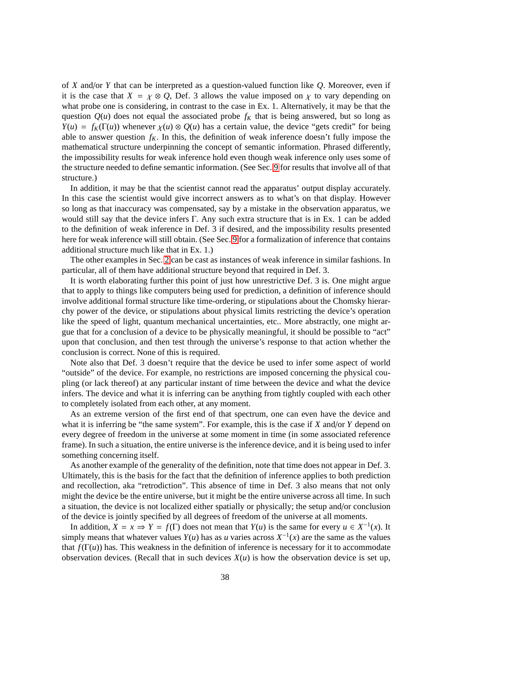of *X* and/or *Y* that can be interpreted as a question-valued function like *Q*. Moreover, even if it is the case that  $X = \chi \otimes Q$ , Def. 3 allows the value imposed on  $\chi$  to vary depending on what probe one is considering, in contrast to the case in Ex. 1. Alternatively, it may be that the question  $Q(u)$  does not equal the associated probe  $f_K$  that is being answered, but so long as  $Y(u) = f_K(\Gamma(u))$  whenever  $\chi(u) \otimes Q(u)$  has a certain value, the device "gets credit" for being able to answer question  $f_K$ . In this, the definition of weak inference doesn't fully impose the mathematical structure underpinning the concept of semantic information. Phrased differently, the impossibility results for weak inference hold even though weak inference only uses some of the structure needed to define semantic information. (See Sec. [9](#page-26-0) for results that involve all of that structure.)

In addition, it may be that the scientist cannot read the apparatus' output display accurately. In this case the scientist would give incorrect answers as to what's on that display. However so long as that inaccuracy was compensated, say by a mistake in the observation apparatus, we would still say that the device infers Γ. Any such extra structure that is in Ex. 1 can be added to the definition of weak inference in Def. 3 if desired, and the impossibility results presented here for weak inference will still obtain. (See Sec. [9](#page-26-0) for a formalization of inference that contains additional structure much like that in Ex. 1.)

The other examples in Sec. [2](#page-2-0) can be cast as instances of weak inference in similar fashions. In particular, all of them have additional structure beyond that required in Def. 3.

It is worth elaborating further this point of just how unrestrictive Def. 3 is. One might argue that to apply to things like computers being used for prediction, a definition of inference should involve additional formal structure like time-ordering, or stipulations about the Chomsky hierarchy power of the device, or stipulations about physical limits restricting the device's operation like the speed of light, quantum mechanical uncertainties, etc.. More abstractly, one might argue that for a conclusion of a device to be physically meaningful, it should be possible to "act" upon that conclusion, and then test through the universe's response to that action whether the conclusion is correct. None of this is required.

Note also that Def. 3 doesn't require that the device be used to infer some aspect of world "outside" of the device. For example, no restrictions are imposed concerning the physical coupling (or lack thereof) at any particular instant of time between the device and what the device infers. The device and what it is inferring can be anything from tightly coupled with each other to completely isolated from each other, at any moment.

As an extreme version of the first end of that spectrum, one can even have the device and what it is inferring be "the same system". For example, this is the case if *X* and/or *Y* depend on every degree of freedom in the universe at some moment in time (in some associated reference frame). In such a situation, the entire universe is the inference device, and it is being used to infer something concerning itself.

As another example of the generality of the definition, note that time does not appear in Def. 3. Ultimately, this is the basis for the fact that the definition of inference applies to both prediction and recollection, aka "retrodiction". This absence of time in Def. 3 also means that not only might the device be the entire universe, but it might be the entire universe across all time. In such a situation, the device is not localized either spatially or physically; the setup and/or conclusion of the device is jointly specified by all degrees of freedom of the universe at all moments.

In addition,  $X = x \Rightarrow Y = f(\Gamma)$  does not mean that  $Y(u)$  is the same for every  $u \in X^{-1}(x)$ . It simply means that whatever values  $Y(u)$  has as *u* varies across  $X^{-1}(x)$  are the same as the values that  $f(\Gamma(u))$  has. This weakness in the definition of inference is necessary for it to accommodate observation devices. (Recall that in such devices  $X(u)$  is how the observation device is set up,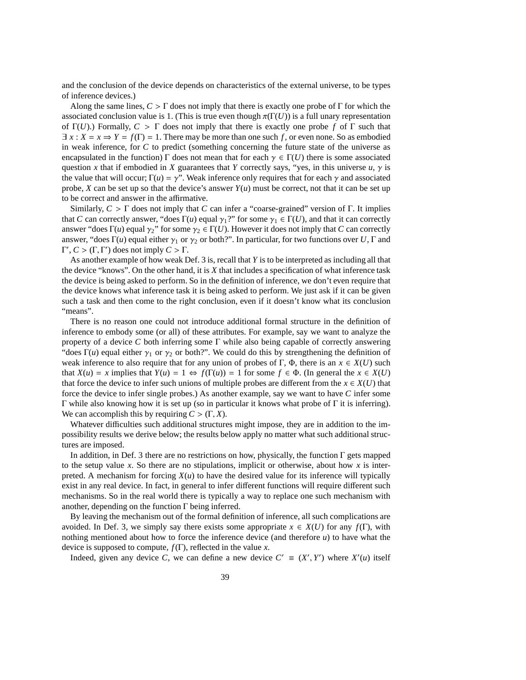and the conclusion of the device depends on characteristics of the external universe, to be types of inference devices.)

Along the same lines,  $C > \Gamma$  does not imply that there is exactly one probe of  $\Gamma$  for which the associated conclusion value is 1. (This is true even though  $\pi(\Gamma(U))$  is a full unary representation of  $\Gamma(U)$ .) Formally,  $C > \Gamma$  does not imply that there is exactly one probe f of  $\Gamma$  such that  $\exists x : X = x \Rightarrow Y = f(\Gamma) = 1$ . There may be more than one such f, or even none. So as embodied in weak inference, for *C* to predict (something concerning the future state of the universe as encapsulated in the function) Γ does not mean that for each  $\gamma \in \Gamma(U)$  there is some associated question *x* that if embodied in *X* guarantees that *Y* correctly says, "yes, in this universe  $u$ ,  $\gamma$  is the value that will occur;  $\Gamma(u) = \gamma$ ". Weak inference only requires that for each  $\gamma$  and associated probe, *X* can be set up so that the device's answer  $Y(u)$  must be correct, not that it can be set up to be correct and answer in the affirmative.

Similarly, *C* > Γ does not imply that *C* can infer a "coarse-grained" version of Γ. It implies that *C* can correctly answer, "does  $\Gamma(u)$  equal  $\gamma_1$ " for some  $\gamma_1 \in \Gamma(U)$ , and that it can correctly answer "does  $\Gamma(u)$  equal  $\gamma_2$ " for some  $\gamma_2 \in \Gamma(U)$ . However it does not imply that *C* can correctly answer, "does Γ(*u*) equal either  $\gamma_1$  or  $\gamma_2$  or both?". In particular, for two functions over *U*, Γ and  $Γ', C > (Γ, Γ')$  does not imply  $C > Γ$ .

As another example of how weak Def. 3 is, recall that *Y* is to be interpreted as including all that the device "knows". On the other hand, it is *X* that includes a specification of what inference task the device is being asked to perform. So in the definition of inference, we don't even require that the device knows what inference task it is being asked to perform. We just ask if it can be given such a task and then come to the right conclusion, even if it doesn't know what its conclusion "means".

There is no reason one could not introduce additional formal structure in the definition of inference to embody some (or all) of these attributes. For example, say we want to analyze the property of a device *C* both inferring some Γ while also being capable of correctly answering "does  $\Gamma(u)$  equal either  $\gamma_1$  or  $\gamma_2$  or both?". We could do this by strengthening the definition of weak inference to also require that for any union of probes of Γ, Φ, there is an  $x \in X(U)$  such that  $X(u) = x$  implies that  $Y(u) = 1 \Leftrightarrow f(\Gamma(u)) = 1$  for some  $f \in \Phi$ . (In general the  $x \in X(U)$ ) that force the device to infer such unions of multiple probes are different from the  $x \in X(U)$  that force the device to infer single probes.) As another example, say we want to have *C* infer some Γ while also knowing how it is set up (so in particular it knows what probe of Γ it is inferring). We can accomplish this by requiring  $C > (\Gamma, X)$ .

Whatever difficulties such additional structures might impose, they are in addition to the impossibility results we derive below; the results below apply no matter what such additional structures are imposed.

In addition, in Def. 3 there are no restrictions on how, physically, the function  $\Gamma$  gets mapped to the setup value  $x$ . So there are no stipulations, implicit or otherwise, about how  $x$  is interpreted. A mechanism for forcing  $X(u)$  to have the desired value for its inference will typically exist in any real device. In fact, in general to infer different functions will require different such mechanisms. So in the real world there is typically a way to replace one such mechanism with another, depending on the function  $\Gamma$  being inferred.

By leaving the mechanism out of the formal definition of inference, all such complications are avoided. In Def. 3, we simply say there exists some appropriate  $x \in X(U)$  for any  $f(\Gamma)$ , with nothing mentioned about how to force the inference device (and therefore  $u$ ) to have what the device is supposed to compute, *f*(Γ), reflected in the value *x*.

Indeed, given any device *C*, we can define a new device  $C' \equiv (X', Y')$  where  $X'(u)$  itself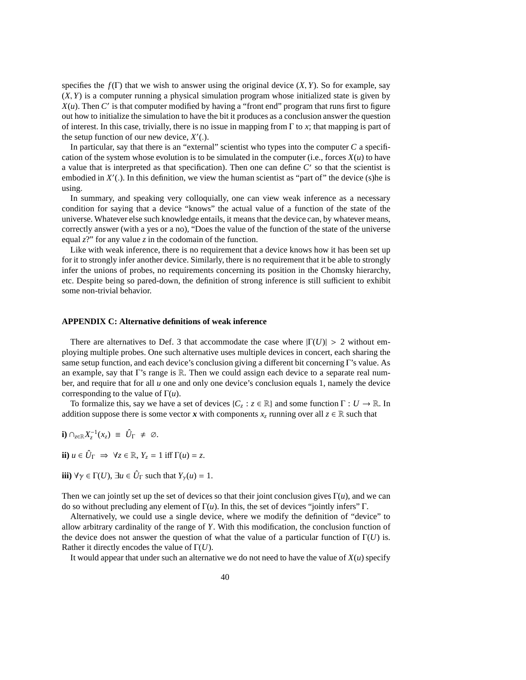specifies the  $f(\Gamma)$  that we wish to answer using the original device  $(X, Y)$ . So for example, say (*X*, *Y*) is a computer running a physical simulation program whose initialized state is given by  $X(u)$ . Then  $C'$  is that computer modified by having a "front end" program that runs first to figure out how to initialize the simulation to have the bit it produces as a conclusion answer the question of interest. In this case, trivially, there is no issue in mapping from Γ to *x*; that mapping is part of the setup function of our new device,  $X'$ .).

In particular, say that there is an "external" scientist who types into the computer *C* a specification of the system whose evolution is to be simulated in the computer (i.e., forces  $X(u)$ ) to have a value that is interpreted as that specification). Then one can define *C* ′ so that the scientist is embodied in  $X'$ (.). In this definition, we view the human scientist as "part of" the device (s)he is using.

In summary, and speaking very colloquially, one can view weak inference as a necessary condition for saying that a device "knows" the actual value of a function of the state of the universe. Whatever else such knowledge entails, it means that the device can, by whatever means, correctly answer (with a yes or a no), "Does the value of the function of the state of the universe equal *z*?" for any value *z* in the codomain of the function.

Like with weak inference, there is no requirement that a device knows how it has been set up for it to strongly infer another device. Similarly, there is no requirement that it be able to strongly infer the unions of probes, no requirements concerning its position in the Chomsky hierarchy, etc. Despite being so pared-down, the definition of strong inference is still sufficient to exhibit some non-trivial behavior.

## **APPENDIX C: Alternative definitions of weak inference**

There are alternatives to Def. 3 that accommodate the case where  $|\Gamma(U)| > 2$  without employing multiple probes. One such alternative uses multiple devices in concert, each sharing the same setup function, and each device's conclusion giving a different bit concerning Γ's value. As an example, say that Γ's range is R. Then we could assign each device to a separate real number, and require that for all *u* one and only one device's conclusion equals 1, namely the device corresponding to the value of Γ(*u*).

To formalize this, say we have a set of devices  $\{C_z : z \in \mathbb{R}\}\$  and some function  $\Gamma : U \to \mathbb{R}$ . In addition suppose there is some vector *x* with components  $x_z$  running over all  $z \in \mathbb{R}$  such that

$$
\mathbf{i}) \cap_{z \in \mathbb{R}} X_z^{-1}(x_z) \equiv \hat{U}_{\Gamma} \neq \varnothing.
$$

**ii**)  $u \in \hat{U}_{\Gamma} \implies \forall z \in \mathbb{R}, Y_z = 1$  iff  $\Gamma(u) = z$ .

**iii**)  $\forall \gamma \in \Gamma(U)$ ,  $\exists u \in \hat{U}_\Gamma$  such that  $Y_\gamma(u) = 1$ .

Then we can jointly set up the set of devices so that their joint conclusion gives  $\Gamma(u)$ , and we can do so without precluding any element of  $\Gamma(u)$ . In this, the set of devices "jointly infers" Γ.

Alternatively, we could use a single device, where we modify the definition of "device" to allow arbitrary cardinality of the range of *Y*. With this modification, the conclusion function of the device does not answer the question of what the value of a particular function of  $\Gamma(U)$  is. Rather it directly encodes the value of Γ(*U*).

It would appear that under such an alternative we do not need to have the value of  $X(u)$  specify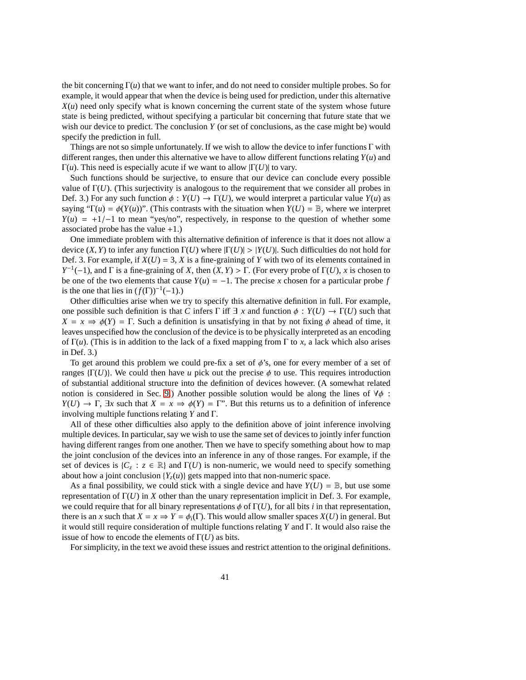the bit concerning  $\Gamma(u)$  that we want to infer, and do not need to consider multiple probes. So for example, it would appear that when the device is being used for prediction, under this alternative  $X(u)$  need only specify what is known concerning the current state of the system whose future state is being predicted, without specifying a particular bit concerning that future state that we wish our device to predict. The conclusion *Y* (or set of conclusions, as the case might be) would specify the prediction in full.

Things are not so simple unfortunately. If we wish to allow the device to infer functions  $\Gamma$  with different ranges, then under this alternative we have to allow different functions relating *Y*(*u*) and Γ(*u*). This need is especially acute if we want to allow |Γ(*U*)| to vary.

Such functions should be surjective, to ensure that our device can conclude every possible value of  $\Gamma(U)$ . (This surjectivity is analogous to the requirement that we consider all probes in Def. 3.) For any such function  $\phi : Y(U) \to \Gamma(U)$ , we would interpret a particular value  $Y(u)$  as saying " $\Gamma(u) = \phi(Y(u))$ ". (This contrasts with the situation when  $Y(U) = \mathbb{B}$ , where we interpret  $Y(u) = +1/-1$  to mean "yes/no", respectively, in response to the question of whether some associated probe has the value  $+1$ .)

One immediate problem with this alternative definition of inference is that it does not allow a device  $(X, Y)$  to infer any function  $\Gamma(U)$  where  $|\Gamma(U)| > |Y(U)|$ . Such difficulties do not hold for Def. 3. For example, if  $X(U) = 3$ , X is a fine-graining of Y with two of its elements contained in *Y*<sup>-1</sup>(-1), and Γ is a fine-graining of *X*, then  $(X, Y) > \Gamma$ . (For every probe of  $\Gamma(U)$ , *x* is chosen to be one of the two elements that cause  $Y(u) = -1$ . The precise *x* chosen for a particular probe *f* is the one that lies in  $(f(\Gamma))^{-1}(-1)$ .)

Other difficulties arise when we try to specify this alternative definition in full. For example, one possible such definition is that *C* infers  $\Gamma$  iff  $\exists x$  and function  $\phi : Y(U) \to \Gamma(U)$  such that  $X = x \Rightarrow \phi(Y) = \Gamma$ . Such a definition is unsatisfying in that by not fixing  $\phi$  ahead of time, it leaves unspecified how the conclusion of the device is to be physically interpreted as an encoding of  $\Gamma(u)$ . (This is in addition to the lack of a fixed mapping from  $\Gamma$  to *x*, a lack which also arises in Def. 3.)

To get around this problem we could pre-fix a set of  $\phi$ 's, one for every member of a set of ranges  $\{\Gamma(U)\}\)$ . We could then have *u* pick out the precise  $\phi$  to use. This requires introduction of substantial additional structure into the definition of devices however. (A somewhat related notion is considered in Sec. [9.](#page-26-0)) Another possible solution would be along the lines of  $\forall \phi$ : *Y*(*U*)  $\rightarrow$  Γ,  $\exists x$  such that  $X = x \Rightarrow \phi(Y) = \Gamma$ ". But this returns us to a definition of inference involving multiple functions relating *Y* and Γ.

All of these other difficulties also apply to the definition above of joint inference involving multiple devices. In particular, say we wish to use the same set of devices to jointly infer function having different ranges from one another. Then we have to specify something about how to map the joint conclusion of the devices into an inference in any of those ranges. For example, if the set of devices is  $\{C_z : z \in \mathbb{R}\}\$  and  $\Gamma(U)$  is non-numeric, we would need to specify something about how a joint conclusion  ${Y_z(u)}$  gets mapped into that non-numeric space.

As a final possibility, we could stick with a single device and have  $Y(U) = \mathbb{B}$ , but use some representation of Γ(*U*) in *X* other than the unary representation implicit in Def. 3. For example, we could require that for all binary representations  $\phi$  of  $\Gamma(U)$ , for all bits *i* in that representation, there is an *x* such that  $X = x \Rightarrow Y = \phi_i(\Gamma)$ . This would allow smaller spaces  $X(U)$  in general. But it would still require consideration of multiple functions relating *Y* and Γ. It would also raise the issue of how to encode the elements of  $\Gamma(U)$  as bits.

For simplicity, in the text we avoid these issues and restrict attention to the original definitions.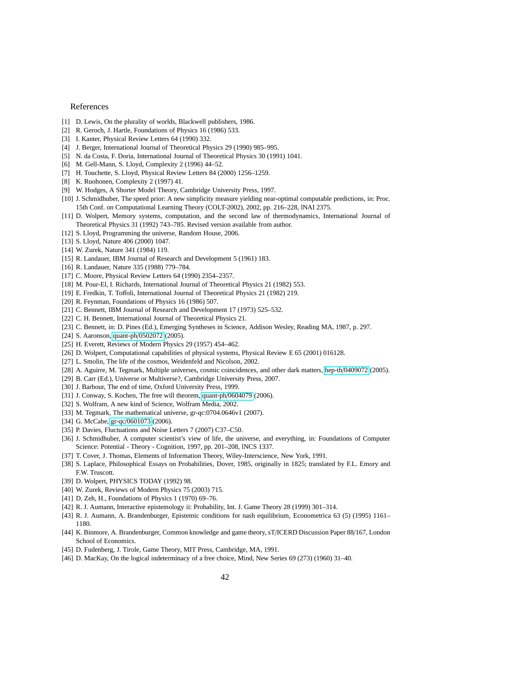#### References

- [1] D. Lewis, On the plurality of worlds, Blackwell publishers, 1986.
- [2] R. Geroch, J. Hartle, Foundations of Physics 16 (1986) 533.
- [3] I. Kanter, Physical Review Letters 64 (1990) 332.
- [4] J. Berger, International Journal of Theoretical Physics 29 (1990) 985–995.
- [5] N. da Costa, F. Doria, International Journal of Theoretical Physics 30 (1991) 1041.
- [6] M. Gell-Mann, S. Lloyd, Complexity 2 (1996) 44–52.
- [7] H. Touchette, S. Lloyd, Physical Review Letters 84 (2000) 1256–1259.
- [8] K. Ruohonen, Complexity 2 (1997) 41.
- [9] W. Hodges, A Shorter Model Theory, Cambridge University Press, 1997.
- [10] J. Schmidhuber, The speed prior: A new simplicity measure yielding near-optimal computable predictions, in: Proc. 15th Conf. on Computational Learning Theory (COLT-2002), 2002, pp. 216–228, lNAI 2375.
- <span id="page-41-0"></span>[11] D. Wolpert, Memory systems, computation, and the second law of thermodynamics, International Journal of Theoretical Physics 31 (1992) 743–785. Revised version available from author.
- <span id="page-41-2"></span><span id="page-41-1"></span>[12] S. Lloyd, Programming the universe, Random House, 2006.
- <span id="page-41-3"></span>[13] S. Lloyd, Nature 406 (2000) 1047.
- <span id="page-41-4"></span>[14] W. Zurek, Nature 341 (1984) 119.
- <span id="page-41-5"></span>[15] R. Landauer, IBM Journal of Research and Development 5 (1961) 183.
- <span id="page-41-6"></span>[16] R. Landauer, Nature 335 (1988) 779–784.
- <span id="page-41-7"></span>[17] C. Moore, Physical Review Letters 64 (1990) 2354-2357.
- <span id="page-41-8"></span>[18] M. Pour-El, I. Richards, International Journal of Theoretical Physics 21 (1982) 553.
- <span id="page-41-9"></span>[19] E. Fredkin, T. Toffoli, International Journal of Theoretical Physics 21 (1982) 219.
- <span id="page-41-10"></span>[20] R. Feynman, Foundations of Physics 16 (1986) 507.
- <span id="page-41-11"></span>[21] C. Bennett, IBM Journal of Research and Development 17 (1973) 525–532.
- <span id="page-41-12"></span>[22] C. H. Bennett, International Journal of Theoretical Physics 21.
- <span id="page-41-13"></span>[23] C. Bennett, in: D. Pines (Ed.), Emerging Syntheses in Science, Addison Wesley, Reading MA, 1987, p. 297.
- <span id="page-41-14"></span>[24] S. Aaronson, quant-ph/[0502072](http://arXiv.org/abs/quant-ph/0502072) (2005).
- <span id="page-41-15"></span>[25] H. Everett, Reviews of Modern Physics 29 (1957) 454–462.
- <span id="page-41-16"></span>[26] D. Wolpert, Computational capabilities of physical systems, Physical Review E 65 (2001) 016128.
- <span id="page-41-17"></span>[27] L. Smolin, The life of the cosmos, Weidenfeld and Nicolson, 2002.
- <span id="page-41-18"></span>[28] A. Aguirre, M. Tegmark, Multiple universes, cosmic coincidences, and other dark matters, hep-th/[0409072](http://arXiv.org/abs/hep-th/0409072) (2005).
- <span id="page-41-19"></span>[29] B. Carr (Ed.), Universe or Multiverse?, Cambridge University Press, 2007.
- <span id="page-41-20"></span>[30] J. Barbour, The end of time, Oxford University Press, 1999.
- <span id="page-41-21"></span>[31] J. Conway, S. Kochen, The free will theorem, [quant-ph](http://arXiv.org/abs/quant-ph/0604079)/0604079 (2006).
- <span id="page-41-22"></span>[32] S. Wolfram, A new kind of Science, Wolfram Media, 2002.
- <span id="page-41-23"></span>[33] M. Tegmark, The mathematical universe, gr-qc:0704.0646v1 (2007).
- <span id="page-41-24"></span>[34] G. McCabe, gr-qc/[0601073](http://arXiv.org/abs/gr-qc/0601073) (2006).
- <span id="page-41-25"></span>[35] P. Davies, Fluctuations and Noise Letters 7 (2007) C37–C50.
- [36] J. Schmidhuber, A computer scientist's view of life, the universe, and everything, in: Foundations of Computer Science: Potential - Theory - Cognition, 1997, pp. 201–208, lNCS 1337.
- <span id="page-41-27"></span><span id="page-41-26"></span>[37] T. Cover, J. Thomas, Elements of Information Theory, Wiley-Interscience, New York, 1991.
- [38] S. Laplace, Philosophical Essays on Probabilities, Dover, 1985, originally in 1825; translated by F.L. Emory and F.W. Truscott.
- <span id="page-41-29"></span><span id="page-41-28"></span>[39] D. Wolpert, PHYSICS TODAY (1992) 98.
- <span id="page-41-30"></span>[40] W. Zurek, Reviews of Modern Physics 75 (2003) 715.
- <span id="page-41-31"></span>[41] D. Zeh, H., Foundations of Physics 1 (1970) 69-76.
- <span id="page-41-32"></span>[42] R. J. Aumann, Interactive epistemology ii: Probability, Int. J. Game Theory 28 (1999) 301–314.
- [43] R. J. Aumann, A. Brandenburger, Epistemic conditions for nash equilibrium, Econometrica 63 (5) (1995) 1161– 1180.
- <span id="page-41-33"></span>[44] K. Binmore, A. Brandenburger, Common knowledge and game theory, sT/ICERD Discussion Paper 88/167, London School of Economics.
- <span id="page-41-35"></span><span id="page-41-34"></span>[45] D. Fudenberg, J. Tirole, Game Theory, MIT Press, Cambridge, MA, 1991.
- [46] D. MacKay, On the logical indeterminacy of a free choice, Mind, New Series 69 (273) (1960) 31–40.